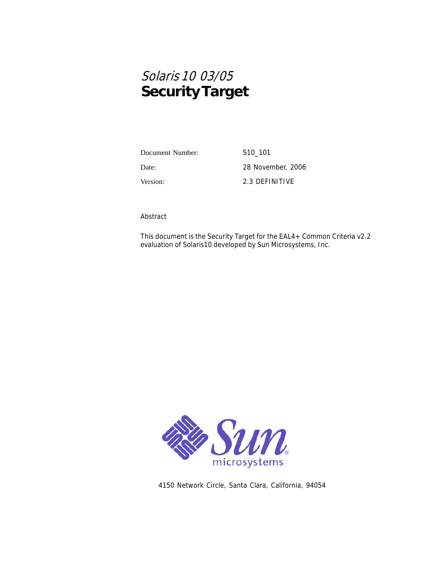# Solaris 10 03/05 **Security Target**

Version: Document Number: S10\_101 Date: 28 November, 2006

2.3 DEFINITIVE

Abstract

This document is the Security Target for the EAL4+ Common Criteria v2.2 evaluation of Solaris10 developed by Sun Microsystems, Inc.



4150 Network Circle, Santa Clara, California, 94054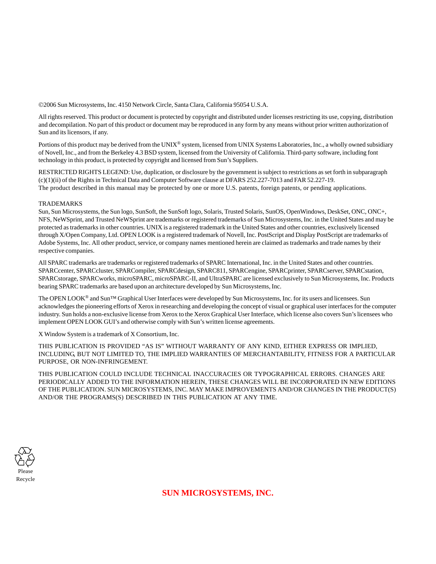©2006 Sun Microsystems, Inc. 4150 Network Circle, Santa Clara, California 95054 U.S.A.

All rights reserved. This product or document is protected by copyright and distributed under licenses restricting its use, copying, distribution and decompilation. No part of this product or document may be reproduced in any form by any means without prior written authorization of Sun and its licensors, if any.

Portions of this product may be derived from the UNIX<sup>®</sup> system, licensed from UNIX Systems Laboratories, Inc., a wholly owned subsidiary of Novell, Inc., and from the Berkeley 4.3 BSD system, licensed from the University of California. Third-party software, including font technology in this product, is protected by copyright and licensed from Sun's Suppliers.

RESTRICTED RIGHTS LEGEND: Use, duplication, or disclosure by the government is subject to restrictions as set forth in subparagraph (c)(1)(ii) of the Rights in Technical Data and Computer Software clause at DFARS 252.227-7013 and FAR 52.227-19. The product described in this manual may be protected by one or more U.S. patents, foreign patents, or pending applications.

#### TRADEMARKS

Sun, Sun Microsystems, the Sun logo, SunSoft, the SunSoft logo, Solaris, Trusted Solaris, SunOS, OpenWindows, DeskSet, ONC, ONC+, NFS, NeWSprint, and Trusted NeWSprint are trademarks or registered trademarks of Sun Microsystems, Inc. in the United States and may be protected as trademarks in other countries. UNIX is a registered trademark in the United States and other countries, exclusively licensed through X/Open Company, Ltd. OPEN LOOK is a registered trademark of Novell, Inc. PostScript and Display PostScript are trademarks of Adobe Systems, Inc. All other product, service, or company names mentioned herein are claimed as trademarks and trade names by their respective companies.

All SPARC trademarks are trademarks or registered trademarks of SPARC International, Inc. in the United States and other countries. SPARCcenter, SPARCcluster, SPARCompiler, SPARCdesign, SPARC811, SPARCengine, SPARCprinter, SPARCserver, SPARCstation, SPARCstorage, SPARCworks, microSPARC, microSPARC-II, and UltraSPARC are licensed exclusively to Sun Microsystems, Inc. Products bearing SPARC trademarks are based upon an architecture developed by Sun Microsystems, Inc.

The OPEN LOOK® and Sun™ Graphical User Interfaces were developed by Sun Microsystems, Inc. for its users and licensees. Sun acknowledges the pioneering efforts of Xerox in researching and developing the concept of visual or graphical user interfaces for the computer industry. Sun holds a non-exclusive license from Xerox to the Xerox Graphical User Interface, which license also covers Sun's licensees who implement OPEN LOOK GUI's and otherwise comply with Sun's written license agreements.

X Window System is a trademark of X Consortium, Inc.

THIS PUBLICATION IS PROVIDED "AS IS" WITHOUT WARRANTY OF ANY KIND, EITHER EXPRESS OR IMPLIED, INCLUDING, BUT NOT LIMITED TO, THE IMPLIED WARRANTIES OF MERCHANTABILITY, FITNESS FOR A PARTICULAR PURPOSE, OR NON-INFRINGEMENT.

THIS PUBLICATION COULD INCLUDE TECHNICAL INACCURACIES OR TYPOGRAPHICAL ERRORS. CHANGES ARE PERIODICALLY ADDED TO THE INFORMATION HEREIN, THESE CHANGES WILL BE INCORPORATED IN NEW EDITIONS OF THE PUBLICATION. SUN MICROSYSTEMS, INC. MAY MAKE IMPROVEMENTS AND/OR CHANGES IN THE PRODUCT(S) AND/OR THE PROGRAMS(S) DESCRIBED IN THIS PUBLICATION AT ANY TIME.

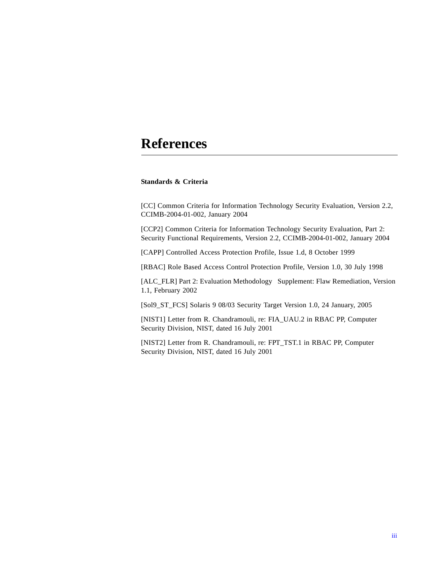# **References**

#### **Standards & Criteria**

[CC] Common Criteria for Information Technology Security Evaluation, Version 2.2, CCIMB-2004-01-002, January 2004

[CCP2] Common Criteria for Information Technology Security Evaluation, Part 2: Security Functional Requirements, Version 2.2, CCIMB-2004-01-002, January 2004

[CAPP] Controlled Access Protection Profile, Issue 1.d, 8 October 1999

[RBAC] Role Based Access Control Protection Profile, Version 1.0, 30 July 1998

[ALC\_FLR] Part 2: Evaluation Methodology Supplement: Flaw Remediation, Version 1.1, February 2002

[Sol9\_ST\_FCS] Solaris 9 08/03 Security Target Version 1.0, 24 January, 2005

[NIST1] Letter from R. Chandramouli, re: FIA\_UAU.2 in RBAC PP, Computer Security Division, NIST, dated 16 July 2001

[NIST2] Letter from R. Chandramouli, re: FPT\_TST.1 in RBAC PP, Computer Security Division, NIST, dated 16 July 2001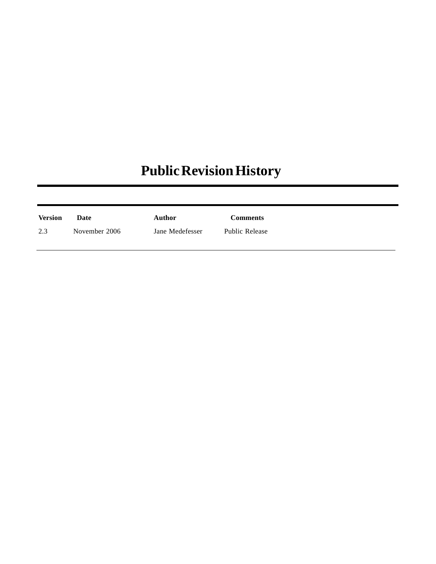# **Public Revision History**

| <b>Version</b> | Date          | <b>Author</b>   | <b>Comments</b> |
|----------------|---------------|-----------------|-----------------|
| 2.3            | November 2006 | Jane Medefesser | Public Release  |
|                |               |                 |                 |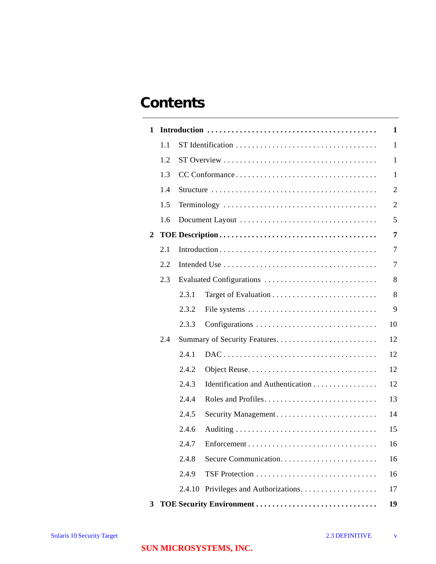# **Contents**

| 1              |     |                |                                                                                       | 1              |
|----------------|-----|----------------|---------------------------------------------------------------------------------------|----------------|
|                | 1.1 |                |                                                                                       | $\mathbf{1}$   |
|                | 1.2 |                |                                                                                       | $\mathbf{1}$   |
|                | 1.3 | CC Conformance |                                                                                       |                |
|                | 1.4 |                |                                                                                       |                |
|                | 1.5 |                |                                                                                       | $\overline{2}$ |
|                | 1.6 |                |                                                                                       | 5              |
| $\overline{2}$ |     |                |                                                                                       | 7              |
|                | 2.1 |                |                                                                                       | $\tau$         |
|                | 2.2 |                |                                                                                       | $\overline{7}$ |
|                | 2.3 |                |                                                                                       | 8              |
|                |     | 2.3.1          |                                                                                       | 8              |
|                |     | 2.3.2          |                                                                                       | 9              |
|                |     | 2.3.3          |                                                                                       | 10             |
|                | 2.4 |                |                                                                                       | 12             |
|                |     | 2.4.1          |                                                                                       | 12             |
|                |     | 2.4.2          |                                                                                       | 12             |
|                |     | 2.4.3          | Identification and Authentication                                                     | 12             |
|                |     | 2.4.4          | Roles and Profiles                                                                    | 13             |
|                |     | 2.4.5          | Security Management                                                                   | 14             |
|                |     | 2.4.6          |                                                                                       | 15             |
|                |     | 2.4.7          | $Enforcement \dots \dots \dots \dots \dots \dots \dots \dots \dots \dots \dots \dots$ | 16             |
|                |     | 2.4.8          | Secure Communication                                                                  | 16             |
|                |     | 2.4.9          |                                                                                       | 16             |
|                |     | 2.4.10         | Privileges and Authorizations                                                         | 17             |
| 3              |     |                | TOE Security Environment                                                              | 19             |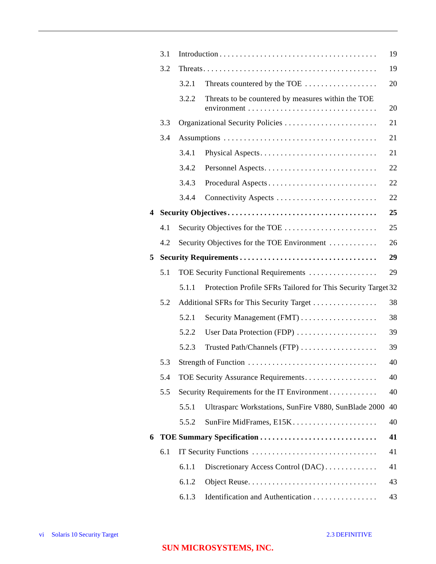|   | 3.1 |                                          |                                                              |    |
|---|-----|------------------------------------------|--------------------------------------------------------------|----|
|   | 3.2 |                                          |                                                              | 19 |
|   |     | 3.2.1                                    | Threats countered by the TOE                                 | 20 |
|   |     | 3.2.2                                    | Threats to be countered by measures within the TOE           | 20 |
|   | 3.3 |                                          | Organizational Security Policies                             | 21 |
|   | 3.4 |                                          |                                                              | 21 |
|   |     | 3.4.1                                    | Physical Aspects                                             | 21 |
|   |     | 3.4.2                                    |                                                              | 22 |
|   |     | 3.4.3                                    | Procedural Aspects                                           | 22 |
|   |     | 3.4.4                                    | Connectivity Aspects                                         | 22 |
| 4 |     |                                          |                                                              | 25 |
|   | 4.1 |                                          | Security Objectives for the TOE                              | 25 |
|   | 4.2 |                                          | Security Objectives for the TOE Environment                  | 26 |
| 5 |     |                                          |                                                              | 29 |
|   | 5.1 |                                          | TOE Security Functional Requirements                         | 29 |
|   |     | 5.1.1                                    | Protection Profile SFRs Tailored for This Security Target 32 |    |
|   | 5.2 | Additional SFRs for This Security Target |                                                              | 38 |
|   |     | 5.2.1                                    |                                                              | 38 |
|   |     | 5.2.2                                    |                                                              | 39 |
|   |     | 5.2.3                                    | Trusted Path/Channels (FTP)                                  | 39 |
|   | 5.3 |                                          | Strength of Function                                         | 40 |
|   | 5.4 |                                          | TOE Security Assurance Requirements                          | 40 |
|   | 5.5 |                                          | Security Requirements for the IT Environment                 | 40 |
|   |     | 5.5.1                                    | Ultrasparc Workstations, SunFire V880, SunBlade 2000         | 40 |
|   |     | 5.5.2                                    | SunFire MidFrames, E15K                                      | 40 |
| 6 |     |                                          |                                                              | 41 |
|   | 6.1 |                                          |                                                              | 41 |
|   |     | 6.1.1                                    | Discretionary Access Control (DAC)                           | 41 |
|   |     | 6.1.2                                    |                                                              | 43 |
|   |     | 6.1.3                                    | Identification and Authentication                            | 43 |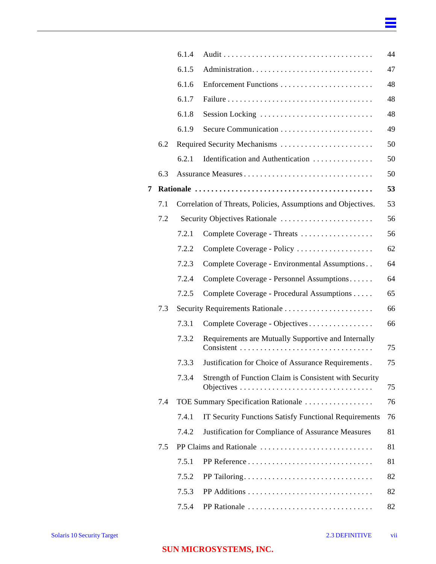|   |     | 6.1.4                         |                                                               | 44 |
|---|-----|-------------------------------|---------------------------------------------------------------|----|
|   |     | 6.1.5                         | Administration                                                | 47 |
|   |     | 6.1.6                         | Enforcement Functions                                         | 48 |
|   |     | 6.1.7                         |                                                               | 48 |
|   |     | 6.1.8                         | Session Locking                                               | 48 |
|   |     | 6.1.9                         |                                                               | 49 |
|   | 6.2 |                               | Required Security Mechanisms                                  | 50 |
|   |     | 6.2.1                         | Identification and Authentication                             | 50 |
|   | 6.3 |                               |                                                               | 50 |
| 7 |     |                               |                                                               | 53 |
|   | 7.1 |                               | Correlation of Threats, Policies, Assumptions and Objectives. | 53 |
|   | 7.2 |                               | Security Objectives Rationale                                 | 56 |
|   |     | 7.2.1                         | Complete Coverage - Threats                                   | 56 |
|   |     | 7.2.2                         | Complete Coverage - Policy                                    | 62 |
|   |     | 7.2.3                         | Complete Coverage - Environmental Assumptions                 | 64 |
|   |     | 7.2.4                         | Complete Coverage - Personnel Assumptions                     | 64 |
|   |     | 7.2.5                         | Complete Coverage - Procedural Assumptions                    | 65 |
|   | 7.3 |                               |                                                               | 66 |
|   |     | 7.3.1                         | Complete Coverage - Objectives                                | 66 |
|   |     | 7.3.2                         | Requirements are Mutually Supportive and Internally           | 75 |
|   |     | 7.3.3                         | Justification for Choice of Assurance Requirements.           | 75 |
|   |     | 7.3.4                         | Strength of Function Claim is Consistent with Security        | 75 |
|   | 7.4 |                               | TOE Summary Specification Rationale                           | 76 |
|   |     | 7.4.1                         | IT Security Functions Satisfy Functional Requirements         | 76 |
|   |     | 7.4.2                         | Justification for Compliance of Assurance Measures            | 81 |
|   | 7.5 | PP Claims and Rationale<br>81 |                                                               |    |
|   |     | 7.5.1                         |                                                               | 81 |
|   |     | 7.5.2                         | PP Tailoring                                                  | 82 |
|   |     | 7.5.3                         |                                                               | 82 |
|   |     | 7.5.4                         | PP Rationale                                                  | 82 |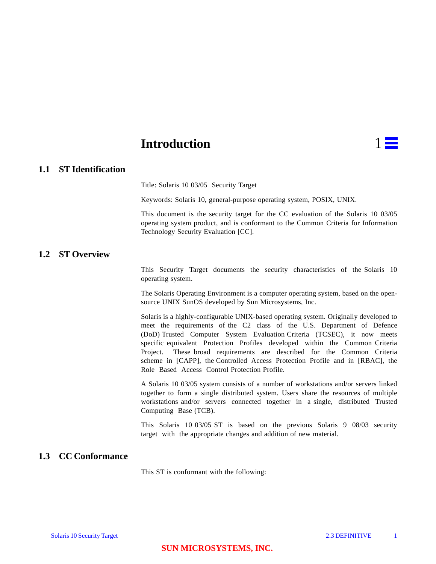# **Introduction** 1

# <span id="page-8-1"></span><span id="page-8-0"></span>**1.1 ST Identification**

Title: Solaris 10 03/05 Security Target

Keywords: Solaris 10, general-purpose operating system, POSIX, UNIX.

This document is the security target for the CC evaluation of the Solaris 10 03/05 operating system product, and is conformant to the Common Criteria for Information Technology Security Evaluation [CC].

# <span id="page-8-2"></span>**1.2 ST Overview**

This Security Target documents the security characteristics of the Solaris 10 operating system.

The Solaris Operating Environment is a computer operating system, based on the opensource UNIX SunOS developed by Sun Microsystems, Inc.

Solaris is a highly-configurable UNIX-based operating system. Originally developed to meet the requirements of the C2 class of the U.S. Department of Defence (DoD) Trusted Computer System Evaluation Criteria (TCSEC), it now meets specific equivalent Protection Profiles developed within the Common Criteria Project. These broad requirements are described for the Common Criteria scheme in [CAPP], the Controlled Access Protection Profile and in [RBAC], the Role Based Access Control Protection Profile.

A Solaris 10 03/05 system consists of a number of workstations and/or servers linked together to form a single distributed system. Users share the resources of multiple workstations and/or servers connected together in a single, distributed Trusted Computing Base (TCB).

This Solaris 10 03/05 ST is based on the previous Solaris 9 08/03 security target with the appropriate changes and addition of new material.

# <span id="page-8-3"></span>**1.3 CC Conformance**

This ST is conformant with the following: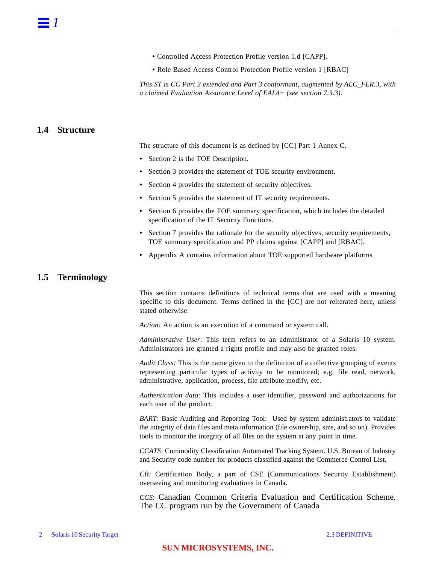- **•** Controlled Access Protection Profile version 1.d [CAPP].
- **•** Role Based Access Control Protection Profile version 1 [RBAC]

*This ST is CC Part 2 extended and Part 3 conformant, augmented by ALC\_FLR.3, with a claimed Evaluation Assurance Level of EAL4+ (see section 7.3.3).*

#### <span id="page-9-0"></span>**1.4 Structure**

The structure of this document is as defined by [CC] Part 1 Annex C.

- **•** Section 2 is the TOE Description.
- **•** Section 3 provides the statement of TOE security environment.
- **•** Section 4 provides the statement of security objectives.
- **•** Section 5 provides the statement of IT security requirements.
- **•** Section 6 provides the TOE summary specification, which includes the detailed specification of the IT Security Functions.
- Section 7 provides the rationale for the security objectives, security requirements, TOE summary specification and PP claims against [CAPP] and [RBAC].
- **•** Appendix A contains information about TOE supported hardware platforms

# <span id="page-9-1"></span>**1.5 Terminology**

This section contains definitions of technical terms that are used with a meaning specific to this document. Terms defined in the [CC] are not reiterated here, unless stated otherwise.

*Action:* An action is an execution of a command or system call.

*Administrative User*: This term refers to an administrator of a Solaris 10 system. Administrators are granted a rights profile and may also be granted roles.

*Audit Class:* This is the name given to the definition of a collective grouping of events representing particular types of activity to be monitored; e.g. file read, network, administrative, application, process, file attribute modify, etc.

*Authentication data*: This includes a user identifier, password and authorizations for each user of the product.

*BART:* Basic Auditing and Reporting Tool: Used by system administrators to validate the integrity of data files and meta information (file ownership, size, and so on). Provides tools to monitor the integrity of all files on the system at any point in time.

*CCATS*: Commodity Classification Automated Tracking System. U.S. Bureau of Industry and Security code number for products classified against the Commerce Control List.

*CB:* Certification Body, a part of CSE (Communications Security Establishment) overseeing and monitoring evaluations in Canada.

*CCS*: Canadian Common Criteria Evaluation and Certification Scheme. The CC program run by the Government of Canada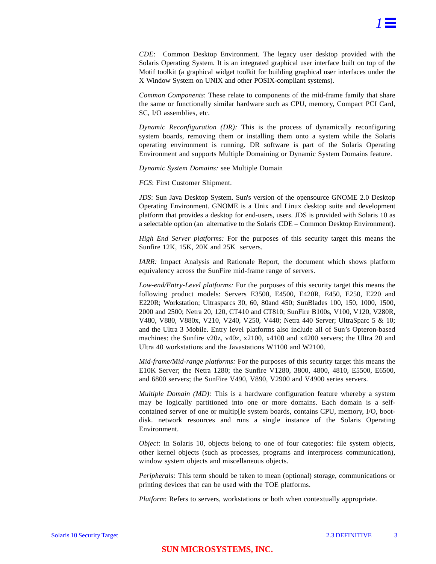*CDE*: Common Desktop Environment. The legacy user desktop provided with the Solaris Operating System. It is an integrated graphical user interface built on top of the Motif toolkit (a graphical widget toolkit for building graphical user interfaces under the X Window System on UNIX and other POSIX-compliant systems).

*Common Components*: These relate to components of the mid-frame family that share the same or functionally similar hardware such as CPU, memory, Compact PCI Card, SC, I/O assemblies, etc.

*Dynamic Reconfiguration (DR)*: This is the process of dynamically reconfiguring system boards, removing them or installing them onto a system while the Solaris operating environment is running. DR software is part of the Solaris Operating Environment and supports Multiple Domaining or Dynamic System Domains feature.

*Dynamic System Domains:* see Multiple Domain

*FCS*: First Customer Shipment.

*JDS*: Sun Java Desktop System. Sun's version of the opensource GNOME 2.0 Desktop Operating Environment. GNOME is a Unix and Linux desktop suite and development platform that provides a desktop for end-users, users. JDS is provided with Solaris 10 as a selectable option (an alternative to the Solaris CDE – Common Desktop Environment).

*High End Server platforms:* For the purposes of this security target this means the Sunfire 12K, 15K, 20K and 25K servers.

*IARR:* Impact Analysis and Rationale Report, the document which shows platform equivalency across the SunFire mid-frame range of servers.

*Low-end/Entry-Level platforms:* For the purposes of this security target this means the following product models: Servers E3500, E4500, E420R, E450, E250, E220 and E220R; Workstation; Ultrasparcs 30, 60, 80and 450; SunBlades 100, 150, 1000, 1500, 2000 and 2500; Netra 20, 120, CT410 and CT810; SunFire B100s, V100, V120, V280R, V480, V880, V880x, V210, V240, V250, V440; Netra 440 Server; UltraSparc 5 & 10; and the Ultra 3 Mobile. Entry level platforms also include all of Sun's Opteron-based machines: the Sunfire v20z, v40z, x2100, x4100 and x4200 servers; the Ultra 20 and Ultra 40 workstations and the Javastations W1100 and W2100.

*Mid-frame/Mid-range platforms:* For the purposes of this security target this means the E10K Server; the Netra 1280; the Sunfire V1280, 3800, 4800, 4810, E5500, E6500, and 6800 servers; the SunFire V490, V890, V2900 and V4900 series servers.

*Multiple Domain (MD):* This is a hardware configuration feature whereby a system may be logically partitioned into one or more domains. Each domain is a selfcontained server of one or multip[le system boards, contains CPU, memory, I/O, bootdisk. network resources and runs a single instance of the Solaris Operating Environment.

*Object*: In Solaris 10, objects belong to one of four categories: file system objects, other kernel objects (such as processes, programs and interprocess communication), window system objects and miscellaneous objects.

*Peripherals:* This term should be taken to mean (optional) storage, communications or printing devices that can be used with the TOE platforms.

*Platform*: Refers to servers, workstations or both when contextually appropriate.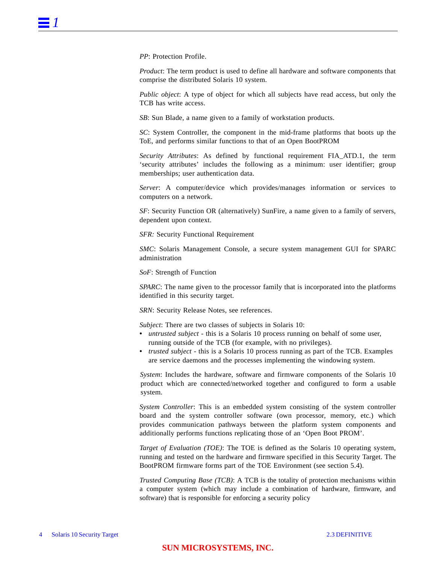*PP*: Protection Profile.

*Product*: The term product is used to define all hardware and software components that comprise the distributed Solaris 10 system.

*Public object*: A type of object for which all subjects have read access, but only the TCB has write access.

*SB*: Sun Blade, a name given to a family of workstation products.

*SC*: System Controller, the component in the mid-frame platforms that boots up the ToE, and performs similar functions to that of an Open BootPROM

*Security Attributes*: As defined by functional requirement FIA\_ATD.1, the term 'security attributes' includes the following as a minimum: user identifier; group memberships; user authentication data.

*Server*: A computer/device which provides/manages information or services to computers on a network.

*SF*: Security Function OR (alternatively) SunFire, a name given to a family of servers, dependent upon context.

*SFR:* Security Functional Requirement

*SMC*: Solaris Management Console, a secure system management GUI for SPARC administration

*SoF*: Strength of Function

*SPARC*: The name given to the processor family that is incorporated into the platforms identified in this security target.

*SRN*: Security Release Notes, see references.

*Subject*: There are two classes of subjects in Solaris 10:

- **•** *untrusted subject* this is a Solaris 10 process running on behalf of some user, running outside of the TCB (for example, with no privileges).
- **•** *trusted subject*  this is a Solaris 10 process running as part of the TCB. Examples are service daemons and the processes implementing the windowing system.

*System*: Includes the hardware, software and firmware components of the Solaris 10 product which are connected/networked together and configured to form a usable system.

*System Controller*: This is an embedded system consisting of the system controller board and the system controller software (own processor, memory, etc.) which provides communication pathways between the platform system components and additionally performs functions replicating those of an 'Open Boot PROM'.

*Target of Evaluation (TOE)*: The TOE is defined as the Solaris 10 operating system, running and tested on the hardware and firmware specified in this Security Target. The BootPROM firmware forms part of the TOE Environment (see section 5.4).

*Trusted Computing Base (TCB)*: A TCB is the totality of protection mechanisms within a computer system (which may include a combination of hardware, firmware, and software) that is responsible for enforcing a security policy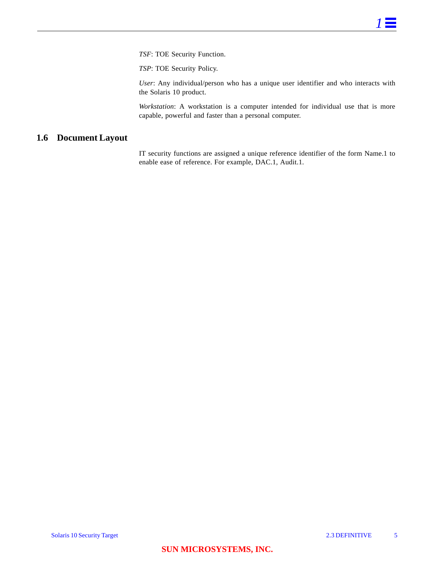*TSF*: TOE Security Function.

*TSP*: TOE Security Policy.

*User*: Any individual/person who has a unique user identifier and who interacts with the Solaris 10 product.

*Workstation*: A workstation is a computer intended for individual use that is more capable, powerful and faster than a personal computer.

# <span id="page-12-0"></span>**1.6 Document Layout**

IT security functions are assigned a unique reference identifier of the form Name.1 to enable ease of reference. For example, DAC.1, Audit.1.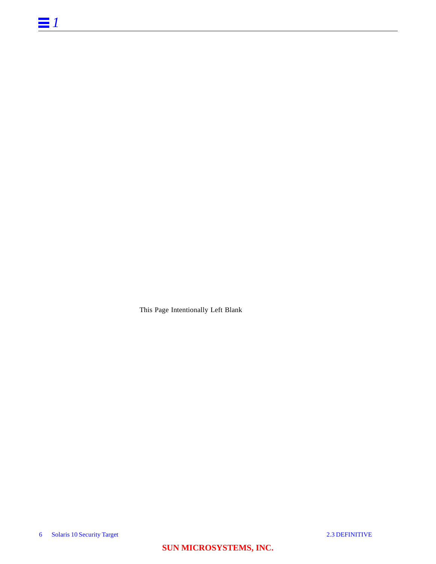This Page Intentionally Left Blank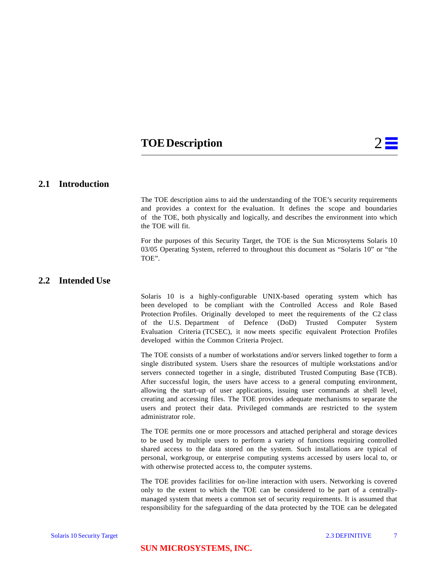# **TOE Description**

# <span id="page-14-1"></span><span id="page-14-0"></span>**2.1 Introduction**

The TOE description aims to aid the understanding of the TOE's security requirements and provides a context for the evaluation. It defines the scope and boundaries of the TOE, both physically and logically, and describes the environment into which the TOE will fit.

For the purposes of this Security Target, the TOE is the Sun Microsytems Solaris 10 03/05 Operating System, referred to throughout this document as "Solaris 10" or "the TOE".

#### <span id="page-14-2"></span>**2.2 Intended Use**

Solaris 10 is a highly-configurable UNIX-based operating system which has been developed to be compliant with the Controlled Access and Role Based Protection Profiles. Originally developed to meet the requirements of the C2 class of the U.S. Department of Defence (DoD) Trusted Computer System Evaluation Criteria (TCSEC), it now meets specific equivalent Protection Profiles developed within the Common Criteria Project.

The TOE consists of a number of workstations and/or servers linked together to form a single distributed system. Users share the resources of multiple workstations and/or servers connected together in a single, distributed Trusted Computing Base (TCB). After successful login, the users have access to a general computing environment, allowing the start-up of user applications, issuing user commands at shell level, creating and accessing files. The TOE provides adequate mechanisms to separate the users and protect their data. Privileged commands are restricted to the system administrator role.

The TOE permits one or more processors and attached peripheral and storage devices to be used by multiple users to perform a variety of functions requiring controlled shared access to the data stored on the system. Such installations are typical of personal, workgroup, or enterprise computing systems accessed by users local to, or with otherwise protected access to, the computer systems.

The TOE provides facilities for on-line interaction with users. Networking is covered only to the extent to which the TOE can be considered to be part of a centrallymanaged system that meets a common set of security requirements. It is assumed that responsibility for the safeguarding of the data protected by the TOE can be delegated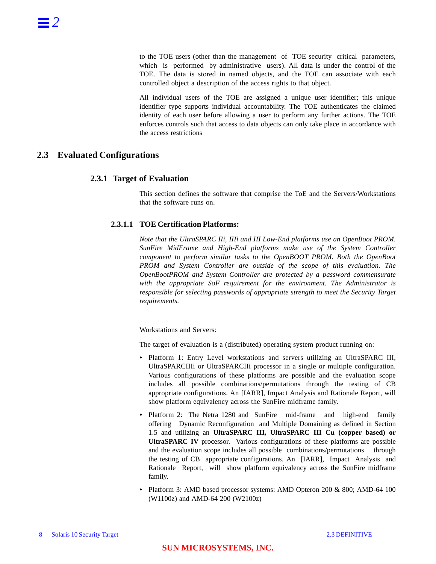to the TOE users (other than the management of TOE security critical parameters, which is performed by administrative users). All data is under the control of the TOE. The data is stored in named objects, and the TOE can associate with each controlled object a description of the access rights to that object.

All individual users of the TOE are assigned a unique user identifier; this unique identifier type supports individual accountability. The TOE authenticates the claimed identity of each user before allowing a user to perform any further actions. The TOE enforces controls such that access to data objects can only take place in accordance with the access restrictions

# <span id="page-15-1"></span><span id="page-15-0"></span>**2.3 Evaluated Configurations**

## **2.3.1 Target of Evaluation**

This section defines the software that comprise the ToE and the Servers/Workstations that the software runs on.

#### **2.3.1.1 TOE Certification Platforms:**

*Note that the UltraSPARC IIi, IIIi and III Low-End platforms use an OpenBoot PROM. SunFire MidFrame and High-End platforms make use of the System Controller component to perform similar tasks to the OpenBOOT PROM. Both the OpenBoot PROM and System Controller are outside of the scope of this evaluation. The OpenBootPROM and System Controller are protected by a password commensurate with the appropriate SoF requirement for the environment. The Administrator is responsible for selecting passwords of appropriate strength to meet the Security Target requirements.*

#### Workstations and Servers:

The target of evaluation is a (distributed) operating system product running on:

- **•** Platform 1: Entry Level workstations and servers utilizing an UltraSPARC III, UltraSPARCIIIi or UltraSPARCIIi processor in a single or multiple configuration. Various configurations of these platforms are possible and the evaluation scope includes all possible combinations/permutations through the testing of CB appropriate configurations. An [IARR], Impact Analysis and Rationale Report, will show platform equivalency across the SunFire midframe family.
- **•** Platform 2: The Netra 1280 and SunFire mid-frame and high-end family offering Dynamic Reconfiguration and Multiple Domaining as defined in Section 1.5 and utilizing an **UltraSPARC III, UltraSPARC III Cu (copper based) or UltraSPARC IV** processor. Various configurations of these platforms are possible and the evaluation scope includes all possible combinations/permutations through the testing of CB appropriate configurations. An [IARR], Impact Analysis and Rationale Report, will show platform equivalency across the SunFire midframe family.
- **•** Platform 3: AMD based processor systems: AMD Opteron 200 & 800; AMD-64 100 (W1100z) and AMD-64 200 (W2100z)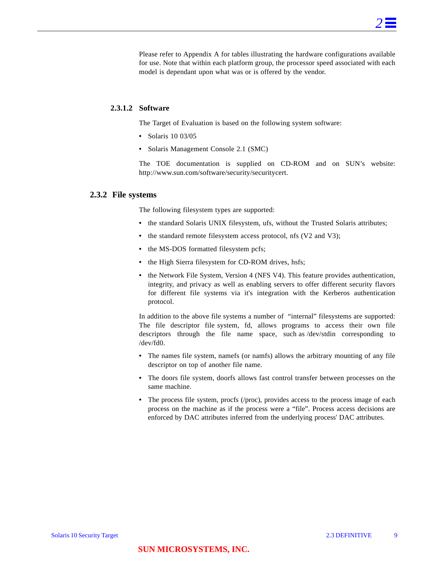*2*

Please refer to Appendix A for tables illustrating the hardware configurations available for use. Note that within each platform group, the processor speed associated with each model is dependant upon what was or is offered by the vendor.

#### **2.3.1.2 Software**

The Target of Evaluation is based on the following system software:

- **•** Solaris 10 03/05
- **•** Solaris Management Console 2.1 (SMC)

The TOE documentation is supplied on CD-ROM and on SUN's website: http://www.sun.com/software/security/securitycert.

#### <span id="page-16-0"></span>**2.3.2 File systems**

The following filesystem types are supported:

- **•** the standard Solaris UNIX filesystem, ufs, without the Trusted Solaris attributes;
- the standard remote filesystem access protocol, nfs (V2 and V3);
- **•** the MS-DOS formatted filesystem pcfs;
- **•** the High Sierra filesystem for CD-ROM drives, hsfs;
- the Network File System, Version 4 (NFS V4). This feature provides authentication, integrity, and privacy as well as enabling servers to offer different security flavors for different file systems via it's integration with the Kerberos authentication protocol.

In addition to the above file systems a number of "internal" filesystems are supported: The file descriptor file system, fd, allows programs to access their own file descriptors through the file name space, such as /dev/stdin corresponding to /dev/fd0.

- **•** The names file system, namefs (or namfs) allows the arbitrary mounting of any file descriptor on top of another file name.
- **•** The doors file system, doorfs allows fast control transfer between processes on the same machine.
- The process file system, procfs (/proc), provides access to the process image of each process on the machine as if the process were a "file". Process access decisions are enforced by DAC attributes inferred from the underlying process' DAC attributes.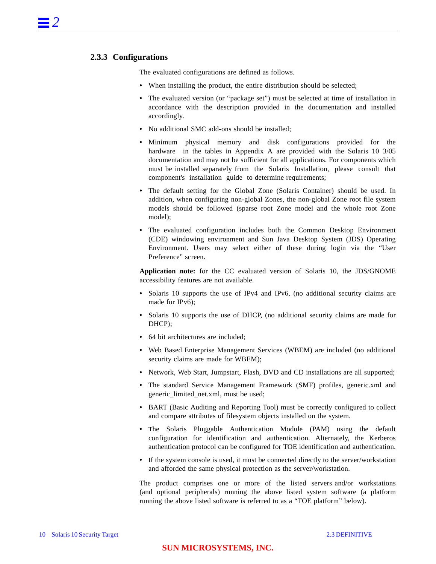#### <span id="page-17-0"></span>**2.3.3 Configurations**

The evaluated configurations are defined as follows.

- **•** When installing the product, the entire distribution should be selected;
- **•** The evaluated version (or "package set") must be selected at time of installation in accordance with the description provided in the documentation and installed accordingly.
- **•** No additional SMC add-ons should be installed;
- **•** Minimum physical memory and disk configurations provided for the hardware in the tables in Appendix A are provided with the Solaris 10 3/05 documentation and may not be sufficient for all applications. For components which must be installed separately from the Solaris Installation, please consult that component's installation guide to determine requirements;
- **•** The default setting for the Global Zone (Solaris Container) should be used. In addition, when configuring non-global Zones, the non-global Zone root file system models should be followed (sparse root Zone model and the whole root Zone model);
- **•** The evaluated configuration includes both the Common Desktop Environment (CDE) windowing environment and Sun Java Desktop System (JDS) Operating Environment. Users may select either of these during login via the "User Preference" screen.

**Application note:** for the CC evaluated version of Solaris 10, the JDS/GNOME accessibility features are not available.

- **•** Solaris 10 supports the use of IPv4 and IPv6, (no additional security claims are made for IPv6);
- **•** Solaris 10 supports the use of DHCP, (no additional security claims are made for DHCP);
- **•** 64 bit architectures are included;
- **•** Web Based Enterprise Management Services (WBEM) are included (no additional security claims are made for WBEM);
- **•** Network, Web Start, Jumpstart, Flash, DVD and CD installations are all supported;
- **•** The standard Service Management Framework (SMF) profiles, generic.xml and generic\_limited\_net.xml, must be used;
- **•** BART (Basic Auditing and Reporting Tool) must be correctly configured to collect and compare attributes of filesystem objects installed on the system.
- **•** The Solaris Pluggable Authentication Module (PAM) using the default configuration for identification and authentication. Alternately, the Kerberos authentication protocol can be configured for TOE identification and authentication.
- **•** If the system console is used, it must be connected directly to the server/workstation and afforded the same physical protection as the server/workstation.

The product comprises one or more of the listed servers and/or workstations (and optional peripherals) running the above listed system software (a platform running the above listed software is referred to as a "TOE platform" below).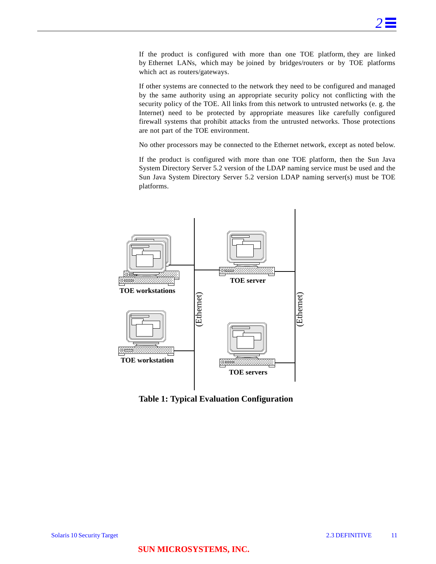If the product is configured with more than one TOE platform, they are linked by Ethernet LANs, which may be joined by bridges/routers or by TOE platforms which act as routers/gateways.

If other systems are connected to the network they need to be configured and managed by the same authority using an appropriate security policy not conflicting with the security policy of the TOE. All links from this network to untrusted networks (e. g. the Internet) need to be protected by appropriate measures like carefully configured firewall systems that prohibit attacks from the untrusted networks. Those protections are not part of the TOE environment.

No other processors may be connected to the Ethernet network, except as noted below.

If the product is configured with more than one TOE platform, then the Sun Java System Directory Server 5.2 version of the LDAP naming service must be used and the Sun Java System Directory Server 5.2 version LDAP naming server(s) must be TOE platforms.



**Table 1: Typical Evaluation Configuration**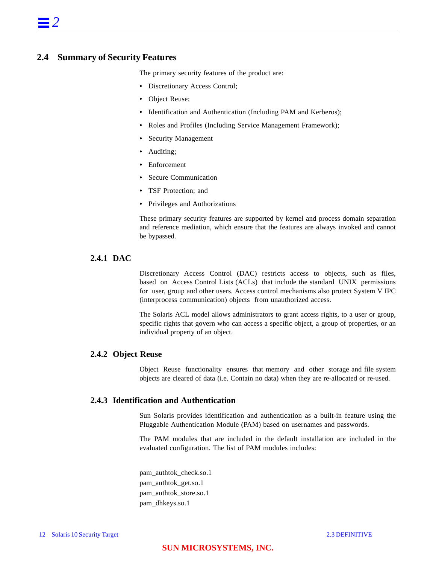# <span id="page-19-0"></span>**2.4 Summary of Security Features**

The primary security features of the product are:

- **•** Discretionary Access Control;
- **•** Object Reuse;
- **•** Identification and Authentication (Including PAM and Kerberos);
- **•** Roles and Profiles (Including Service Management Framework);
- **•** Security Management
- **•** Auditing;
- **•** Enforcement
- **•** Secure Communication
- **•** TSF Protection; and
- **•** Privileges and Authorizations

These primary security features are supported by kernel and process domain separation and reference mediation, which ensure that the features are always invoked and cannot be bypassed.

# <span id="page-19-1"></span>**2.4.1 DAC**

Discretionary Access Control (DAC) restricts access to objects, such as files, based on Access Control Lists (ACLs) that include the standard UNIX permissions for user, group and other users. Access control mechanisms also protect System V IPC (interprocess communication) objects from unauthorized access.

The Solaris ACL model allows administrators to grant access rights, to a user or group, specific rights that govern who can access a specific object, a group of properties, or an individual property of an object.

#### <span id="page-19-2"></span>**2.4.2 Object Reuse**

Object Reuse functionality ensures that memory and other storage and file system objects are cleared of data (i.e. Contain no data) when they are re-allocated or re-used.

#### <span id="page-19-3"></span>**2.4.3 Identification and Authentication**

Sun Solaris provides identification and authentication as a built-in feature using the Pluggable Authentication Module (PAM) based on usernames and passwords.

The PAM modules that are included in the default installation are included in the evaluated configuration. The list of PAM modules includes:

pam\_authtok\_check.so.1 pam\_authtok\_get.so.1 pam\_authtok\_store.so.1 pam\_dhkeys.so.1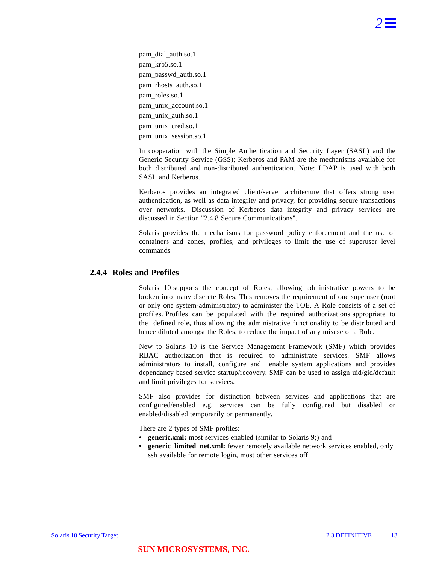pam\_dial\_auth.so.1 pam\_krb5.so.1 pam\_passwd\_auth.so.1 pam\_rhosts\_auth.so.1 pam\_roles.so.1 pam\_unix\_account.so.1 pam\_unix\_auth.so.1 pam\_unix\_cred.so.1 pam\_unix\_session.so.1

In cooperation with the Simple Authentication and Security Layer (SASL) and the Generic Security Service (GSS); Kerberos and PAM are the mechanisms available for both distributed and non-distributed authentication. Note: LDAP is used with both SASL and Kerberos.

Kerberos provides an integrated client/server architecture that offers strong user authentication, as well as data integrity and privacy, for providing secure transactions over networks. Discussion of Kerberos data integrity and privacy services are discussed in Section "2.4.8 Secure Communications".

Solaris provides the mechanisms for password policy enforcement and the use of containers and zones, profiles, and privileges to limit the use of superuser level commands

#### <span id="page-20-0"></span>**2.4.4 Roles and Profiles**

Solaris 10 supports the concept of Roles, allowing administrative powers to be broken into many discrete Roles. This removes the requirement of one superuser (root or only one system-administrator) to administer the TOE. A Role consists of a set of profiles. Profiles can be populated with the required authorizations appropriate to the defined role, thus allowing the administrative functionality to be distributed and hence diluted amongst the Roles, to reduce the impact of any misuse of a Role.

New to Solaris 10 is the Service Management Framework (SMF) which provides RBAC authorization that is required to administrate services. SMF allows administrators to install, configure and enable system applications and provides dependancy based service startup/recovery. SMF can be used to assign uid/gid/default and limit privileges for services.

SMF also provides for distinction between services and applications that are configured/enabled e.g. services can be fully configured but disabled or enabled/disabled temporarily or permanently.

There are 2 types of SMF profiles:

- **generic.xml:** most services enabled (similar to Solaris 9;) and
- **• generic\_limited\_net.xml:** fewer remotely available network services enabled, only ssh available for remote login, most other services off

*2*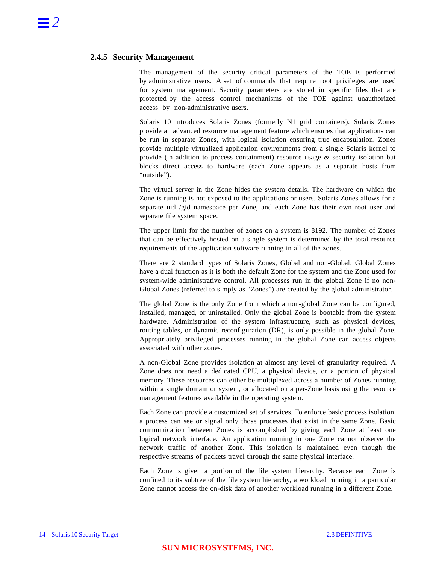#### <span id="page-21-0"></span>**2.4.5 Security Management**

The management of the security critical parameters of the TOE is performed by administrative users. A set of commands that require root privileges are used for system management. Security parameters are stored in specific files that are protected by the access control mechanisms of the TOE against unauthorized access by non-administrative users.

Solaris 10 introduces Solaris Zones (formerly N1 grid containers). Solaris Zones provide an advanced resource management feature which ensures that applications can be run in separate Zones, with logical isolation ensuring true encapsulation. Zones provide multiple virtualized application environments from a single Solaris kernel to provide (in addition to process containment) resource usage  $\&$  security isolation but blocks direct access to hardware (each Zone appears as a separate hosts from "outside").

The virtual server in the Zone hides the system details. The hardware on which the Zone is running is not exposed to the applications or users. Solaris Zones allows for a separate uid /gid namespace per Zone, and each Zone has their own root user and separate file system space.

The upper limit for the number of zones on a system is 8192. The number of Zones that can be effectively hosted on a single system is determined by the total resource requirements of the application software running in all of the zones.

There are 2 standard types of Solaris Zones, Global and non-Global. Global Zones have a dual function as it is both the default Zone for the system and the Zone used for system-wide administrative control. All processes run in the global Zone if no non-Global Zones (referred to simply as "Zones") are created by the global administrator.

The global Zone is the only Zone from which a non-global Zone can be configured, installed, managed, or uninstalled. Only the global Zone is bootable from the system hardware. Administration of the system infrastructure, such as physical devices, routing tables, or dynamic reconfiguration (DR), is only possible in the global Zone. Appropriately privileged processes running in the global Zone can access objects associated with other zones.

A non-Global Zone provides isolation at almost any level of granularity required. A Zone does not need a dedicated CPU, a physical device, or a portion of physical memory. These resources can either be multiplexed across a number of Zones running within a single domain or system, or allocated on a per-Zone basis using the resource management features available in the operating system.

Each Zone can provide a customized set of services. To enforce basic process isolation, a process can see or signal only those processes that exist in the same Zone. Basic communication between Zones is accomplished by giving each Zone at least one logical network interface. An application running in one Zone cannot observe the network traffic of another Zone. This isolation is maintained even though the respective streams of packets travel through the same physical interface.

Each Zone is given a portion of the file system hierarchy. Because each Zone is confined to its subtree of the file system hierarchy, a workload running in a particular Zone cannot access the on-disk data of another workload running in a different Zone.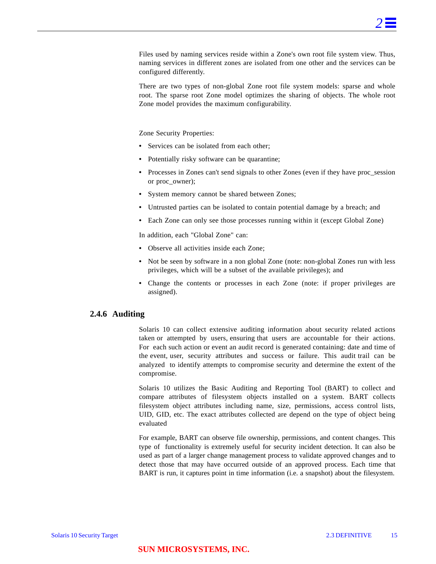Files used by naming services reside within a Zone's own root file system view. Thus, naming services in different zones are isolated from one other and the services can be configured differently.

There are two types of non-global Zone root file system models: sparse and whole root. The sparse root Zone model optimizes the sharing of objects. The whole root Zone model provides the maximum configurability.

Zone Security Properties:

- **•** Services can be isolated from each other;
- **•** Potentially risky software can be quarantine;
- Processes in Zones can't send signals to other Zones (even if they have proc\_session or proc\_owner);
- **•** System memory cannot be shared between Zones;
- **•** Untrusted parties can be isolated to contain potential damage by a breach; and
- Each Zone can only see those processes running within it (except Global Zone)

In addition, each "Global Zone" can:

- **•** Observe all activities inside each Zone;
- **•** Not be seen by software in a non global Zone (note: non-global Zones run with less privileges, which will be a subset of the available privileges); and
- Change the contents or processes in each Zone (note: if proper privileges are assigned).

#### <span id="page-22-0"></span>**2.4.6 Auditing**

Solaris 10 can collect extensive auditing information about security related actions taken or attempted by users, ensuring that users are accountable for their actions. For each such action or event an audit record is generated containing: date and time of the event, user, security attributes and success or failure. This audit trail can be analyzed to identify attempts to compromise security and determine the extent of the compromise.

Solaris 10 utilizes the Basic Auditing and Reporting Tool (BART) to collect and compare attributes of filesystem objects installed on a system. BART collects filesystem object attributes including name, size, permissions, access control lists, UID, GID, etc. The exact attributes collected are depend on the type of object being evaluated

For example, BART can observe file ownership, permissions, and content changes. This type of functionality is extremely useful for security incident detection. It can also be used as part of a larger change management process to validate approved changes and to detect those that may have occurred outside of an approved process. Each time that BART is run, it captures point in time information (i.e. a snapshot) about the filesystem.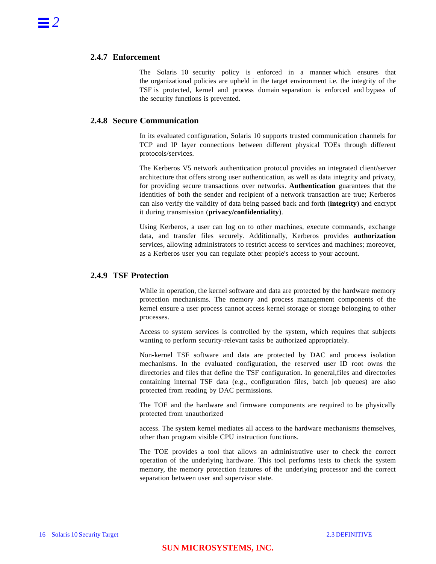#### <span id="page-23-0"></span>**2.4.7 Enforcement**

The Solaris 10 security policy is enforced in a manner which ensures that the organizational policies are upheld in the target environment i.e. the integrity of the TSF is protected, kernel and process domain separation is enforced and bypass of the security functions is prevented.

#### <span id="page-23-1"></span>**2.4.8 Secure Communication**

In its evaluated configuration, Solaris 10 supports trusted communication channels for TCP and IP layer connections between different physical TOEs through different protocols/services.

The Kerberos V5 network authentication protocol provides an integrated client/server architecture that offers strong user authentication, as well as data integrity and privacy, for providing secure transactions over networks. **Authentication** guarantees that the identities of both the sender and recipient of a network transaction are true; Kerberos can also verify the validity of data being passed back and forth (**integrity**) and encrypt it during transmission (**privacy/confidentiality**).

Using Kerberos, a user can log on to other machines, execute commands, exchange data, and transfer files securely. Additionally, Kerberos provides **authorization** services, allowing administrators to restrict access to services and machines; moreover, as a Kerberos user you can regulate other people's access to your account.

## <span id="page-23-2"></span>**2.4.9 TSF Protection**

While in operation, the kernel software and data are protected by the hardware memory protection mechanisms. The memory and process management components of the kernel ensure a user process cannot access kernel storage or storage belonging to other processes.

Access to system services is controlled by the system, which requires that subjects wanting to perform security-relevant tasks be authorized appropriately.

Non-kernel TSF software and data are protected by DAC and process isolation mechanisms. In the evaluated configuration, the reserved user ID root owns the directories and files that define the TSF configuration. In general,files and directories containing internal TSF data (e.g., configuration files, batch job queues) are also protected from reading by DAC permissions.

The TOE and the hardware and firmware components are required to be physically protected from unauthorized

access. The system kernel mediates all access to the hardware mechanisms themselves, other than program visible CPU instruction functions.

The TOE provides a tool that allows an administrative user to check the correct operation of the underlying hardware. This tool performs tests to check the system memory, the memory protection features of the underlying processor and the correct separation between user and supervisor state.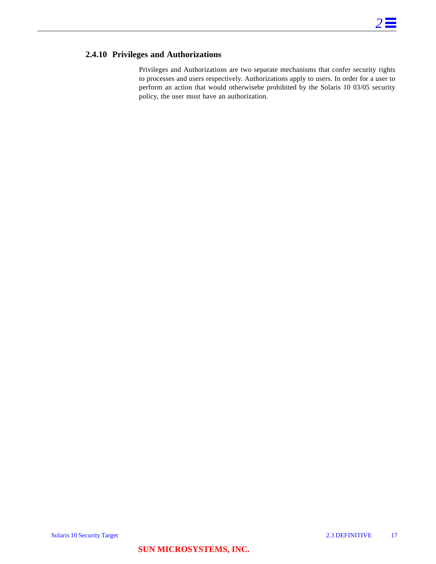

# <span id="page-24-0"></span>**2.4.10 Privileges and Authorizations**

Privileges and Authorizations are two separate mechanisms that confer security rights to processes and users respectively. Authorizations apply to users. In order for a user to perform an action that would otherwisebe prohibited by the Solaris 10 03/05 security policy, the user must have an authorization.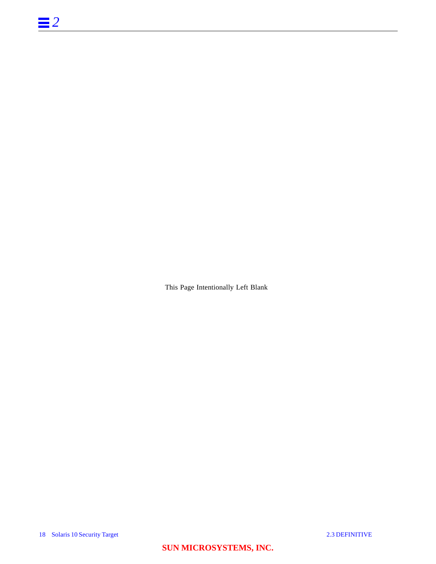This Page Intentionally Left Blank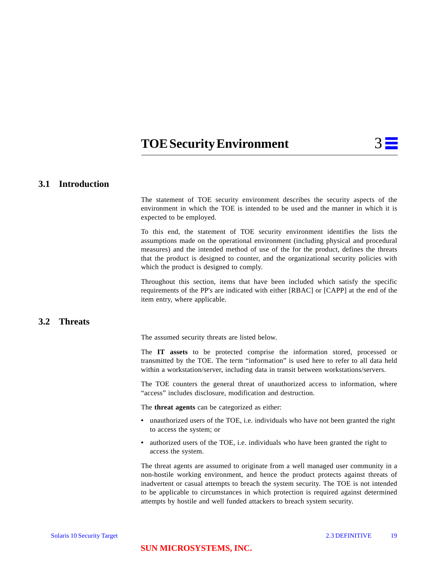# **TOE Security Environment** 3

# <span id="page-26-1"></span><span id="page-26-0"></span>**3.1 Introduction**

The statement of TOE security environment describes the security aspects of the environment in which the TOE is intended to be used and the manner in which it is expected to be employed.

To this end, the statement of TOE security environment identifies the lists the assumptions made on the operational environment (including physical and procedural measures) and the intended method of use of the for the product, defines the threats that the product is designed to counter, and the organizational security policies with which the product is designed to comply.

Throughout this section, items that have been included which satisfy the specific requirements of the PP's are indicated with either [RBAC] or [CAPP] at the end of the item entry, where applicable.

# <span id="page-26-2"></span>**3.2 Threats**

The assumed security threats are listed below.

The **IT assets** to be protected comprise the information stored, processed or transmitted by the TOE. The term "information" is used here to refer to all data held within a workstation/server, including data in transit between workstations/servers.

The TOE counters the general threat of unauthorized access to information, where "access" includes disclosure, modification and destruction.

The **threat agents** can be categorized as either:

- **•** unauthorized users of the TOE, i.e. individuals who have not been granted the right to access the system; or
- **•** authorized users of the TOE, i.e. individuals who have been granted the right to access the system.

The threat agents are assumed to originate from a well managed user community in a non-hostile working environment, and hence the product protects against threats of inadvertent or casual attempts to breach the system security. The TOE is not intended to be applicable to circumstances in which protection is required against determined attempts by hostile and well funded attackers to breach system security.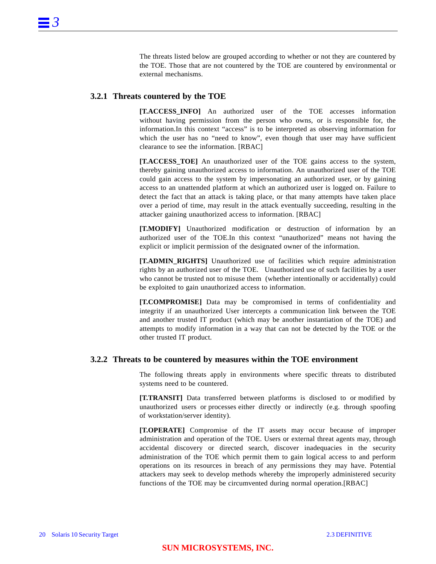The threats listed below are grouped according to whether or not they are countered by the TOE. Those that are not countered by the TOE are countered by environmental or external mechanisms.

#### <span id="page-27-0"></span>**3.2.1 Threats countered by the TOE**

**[T.ACCESS\_INFO]** An authorized user of the TOE accesses information without having permission from the person who owns, or is responsible for, the information.In this context "access" is to be interpreted as observing information for which the user has no "need to know", even though that user may have sufficient clearance to see the information. [RBAC]

**[T.ACCESS\_TOE]** An unauthorized user of the TOE gains access to the system, thereby gaining unauthorized access to information. An unauthorized user of the TOE could gain access to the system by impersonating an authorized user, or by gaining access to an unattended platform at which an authorized user is logged on. Failure to detect the fact that an attack is taking place, or that many attempts have taken place over a period of time, may result in the attack eventually succeeding, resulting in the attacker gaining unauthorized access to information. [RBAC]

**[T.MODIFY]** Unauthorized modification or destruction of information by an authorized user of the TOE.In this context "unauthorized" means not having the explicit or implicit permission of the designated owner of the information.

**[T.ADMIN\_RIGHTS]** Unauthorized use of facilities which require administration rights by an authorized user of the TOE. Unauthorized use of such facilities by a user who cannot be trusted not to misuse them (whether intentionally or accidentally) could be exploited to gain unauthorized access to information.

**[T.COMPROMISE]** Data may be compromised in terms of confidentiality and integrity if an unauthorized User intercepts a communication link between the TOE and another trusted IT product (which may be another instantiation of the TOE) and attempts to modify information in a way that can not be detected by the TOE or the other trusted IT product.

#### <span id="page-27-1"></span>**3.2.2 Threats to be countered by measures within the TOE environment**

The following threats apply in environments where specific threats to distributed systems need to be countered.

**[T.TRANSIT]** Data transferred between platforms is disclosed to or modified by unauthorized users or processes either directly or indirectly (e.g. through spoofing of workstation/server identity).

**[T.OPERATE]** Compromise of the IT assets may occur because of improper administration and operation of the TOE. Users or external threat agents may, through accidental discovery or directed search, discover inadequacies in the security administration of the TOE which permit them to gain logical access to and perform operations on its resources in breach of any permissions they may have. Potential attackers may seek to develop methods whereby the improperly administered security functions of the TOE may be circumvented during normal operation.[RBAC]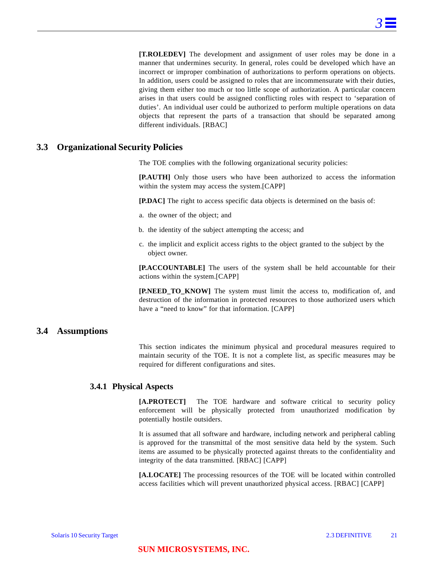**[T.ROLEDEV]** The development and assignment of user roles may be done in a manner that undermines security. In general, roles could be developed which have an incorrect or improper combination of authorizations to perform operations on objects. In addition, users could be assigned to roles that are incommensurate with their duties, giving them either too much or too little scope of authorization. A particular concern arises in that users could be assigned conflicting roles with respect to 'separation of duties'. An individual user could be authorized to perform multiple operations on data objects that represent the parts of a transaction that should be separated among different individuals. [RBAC]

# <span id="page-28-0"></span>**3.3 Organizational Security Policies**

The TOE complies with the following organizational security policies:

**[P.AUTH]** Only those users who have been authorized to access the information within the system may access the system.[CAPP]

**[P.DAC]** The right to access specific data objects is determined on the basis of:

- a. the owner of the object; and
- b. the identity of the subject attempting the access; and
- c. the implicit and explicit access rights to the object granted to the subject by the object owner.

**[P.ACCOUNTABLE]** The users of the system shall be held accountable for their actions within the system.[CAPP]

**[P.NEED\_TO\_KNOW]** The system must limit the access to, modification of, and destruction of the information in protected resources to those authorized users which have a "need to know" for that information. [CAPP]

## <span id="page-28-2"></span><span id="page-28-1"></span>**3.4 Assumptions**

This section indicates the minimum physical and procedural measures required to maintain security of the TOE. It is not a complete list, as specific measures may be required for different configurations and sites.

#### **3.4.1 Physical Aspects**

**[A.PROTECT]** The TOE hardware and software critical to security policy enforcement will be physically protected from unauthorized modification by potentially hostile outsiders.

It is assumed that all software and hardware, including network and peripheral cabling is approved for the transmittal of the most sensitive data held by the system. Such items are assumed to be physically protected against threats to the confidentiality and integrity of the data transmitted. [RBAC] [CAPP]

**[A.LOCATE]** The processing resources of the TOE will be located within controlled access facilities which will prevent unauthorized physical access. [RBAC] [CAPP]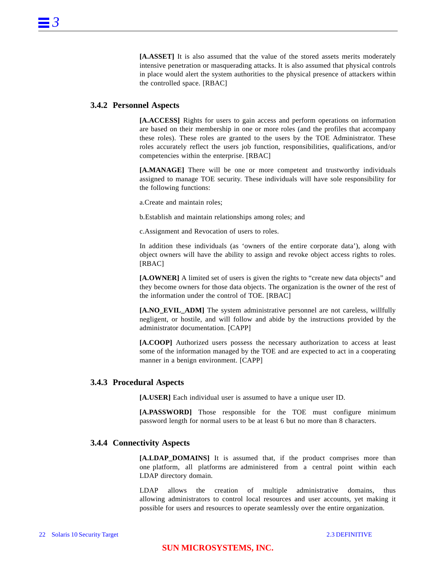**[A.ASSET]** It is also assumed that the value of the stored assets merits moderately intensive penetration or masquerading attacks. It is also assumed that physical controls in place would alert the system authorities to the physical presence of attackers within the controlled space. [RBAC]

### <span id="page-29-0"></span>**3.4.2 Personnel Aspects**

**[A.ACCESS]** Rights for users to gain access and perform operations on information are based on their membership in one or more roles (and the profiles that accompany these roles). These roles are granted to the users by the TOE Administrator. These roles accurately reflect the users job function, responsibilities, qualifications, and/or competencies within the enterprise. [RBAC]

**[A.MANAGE]** There will be one or more competent and trustworthy individuals assigned to manage TOE security. These individuals will have sole responsibility for the following functions:

a.Create and maintain roles;

b.Establish and maintain relationships among roles; and

c.Assignment and Revocation of users to roles.

In addition these individuals (as 'owners of the entire corporate data'), along with object owners will have the ability to assign and revoke object access rights to roles. [RBAC]

**[A.OWNER]** A limited set of users is given the rights to "create new data objects" and they become owners for those data objects. The organization is the owner of the rest of the information under the control of TOE. [RBAC]

**[A.NO\_EVIL\_ADM]** The system administrative personnel are not careless, willfully negligent, or hostile, and will follow and abide by the instructions provided by the administrator documentation. [CAPP]

**[A.COOP]** Authorized users possess the necessary authorization to access at least some of the information managed by the TOE and are expected to act in a cooperating manner in a benign environment. [CAPP]

#### <span id="page-29-1"></span>**3.4.3 Procedural Aspects**

**[A.USER]** Each individual user is assumed to have a unique user ID.

**[A.PASSWORD]** Those responsible for the TOE must configure minimum password length for normal users to be at least 6 but no more than 8 characters.

#### <span id="page-29-2"></span>**3.4.4 Connectivity Aspects**

**[A.LDAP\_DOMAINS]** It is assumed that, if the product comprises more than one platform, all platforms are administered from a central point within each LDAP directory domain.

LDAP allows the creation of multiple administrative domains, thus allowing administrators to control local resources and user accounts, yet making it possible for users and resources to operate seamlessly over the entire organization.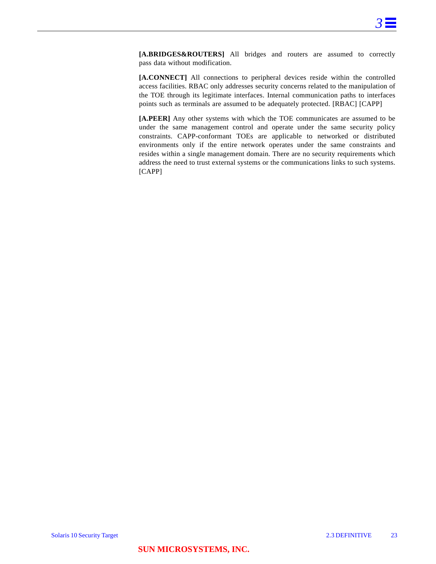**[A.BRIDGES&ROUTERS]** All bridges and routers are assumed to correctly pass data without modification.

**[A.CONNECT]** All connections to peripheral devices reside within the controlled access facilities. RBAC only addresses security concerns related to the manipulation of the TOE through its legitimate interfaces. Internal communication paths to interfaces points such as terminals are assumed to be adequately protected. [RBAC] [CAPP]

**[A.PEER]** Any other systems with which the TOE communicates are assumed to be under the same management control and operate under the same security policy constraints. CAPP-conformant TOEs are applicable to networked or distributed environments only if the entire network operates under the same constraints and resides within a single management domain. There are no security requirements which address the need to trust external systems or the communications links to such systems. [CAPP]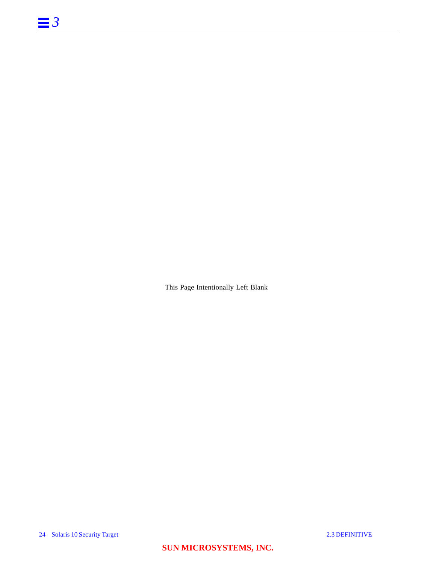This Page Intentionally Left Blank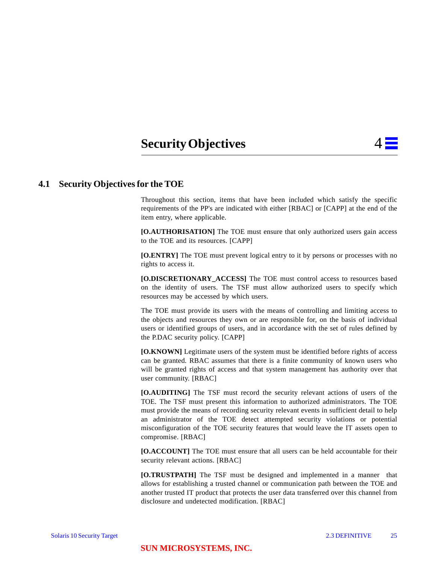# **Security Objectives** 4

#### <span id="page-32-1"></span><span id="page-32-0"></span>**4.1 Security Objectives for the TOE**

Throughout this section, items that have been included which satisfy the specific requirements of the PP's are indicated with either [RBAC] or [CAPP] at the end of the item entry, where applicable.

**[O.AUTHORISATION]** The TOE must ensure that only authorized users gain access to the TOE and its resources. [CAPP]

**[O.ENTRY]** The TOE must prevent logical entry to it by persons or processes with no rights to access it.

**[O.DISCRETIONARY\_ACCESS]** The TOE must control access to resources based on the identity of users. The TSF must allow authorized users to specify which resources may be accessed by which users.

The TOE must provide its users with the means of controlling and limiting access to the objects and resources they own or are responsible for, on the basis of individual users or identified groups of users, and in accordance with the set of rules defined by the P.DAC security policy. [CAPP]

**[O.KNOWN]** Legitimate users of the system must be identified before rights of access can be granted. RBAC assumes that there is a finite community of known users who will be granted rights of access and that system management has authority over that user community. [RBAC]

**[O.AUDITING]** The TSF must record the security relevant actions of users of the TOE. The TSF must present this information to authorized administrators. The TOE must provide the means of recording security relevant events in sufficient detail to help an administrator of the TOE detect attempted security violations or potential misconfiguration of the TOE security features that would leave the IT assets open to compromise. [RBAC]

**[O.ACCOUNT]** The TOE must ensure that all users can be held accountable for their security relevant actions. [RBAC]

**[O.TRUSTPATH]** The TSF must be designed and implemented in a manner that allows for establishing a trusted channel or communication path between the TOE and another trusted IT product that protects the user data transferred over this channel from disclosure and undetected modification. [RBAC]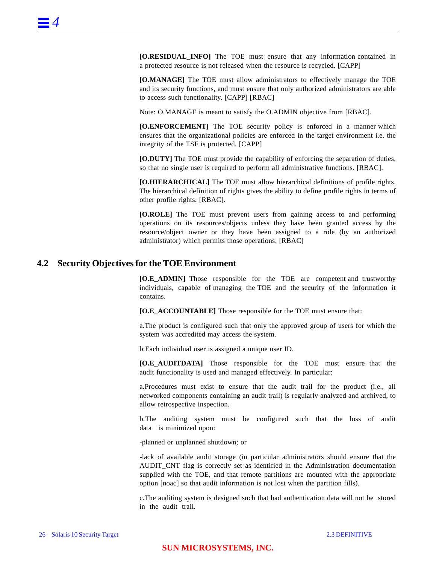**[O.RESIDUAL\_INFO]** The TOE must ensure that any information contained in a protected resource is not released when the resource is recycled. [CAPP]

**[O.MANAGE]** The TOE must allow administrators to effectively manage the TOE and its security functions, and must ensure that only authorized administrators are able to access such functionality. [CAPP] [RBAC]

Note: O.MANAGE is meant to satisfy the O.ADMIN objective from [RBAC].

**[O.ENFORCEMENT]** The TOE security policy is enforced in a manner which ensures that the organizational policies are enforced in the target environment i.e. the integrity of the TSF is protected. [CAPP]

**[O.DUTY]** The TOE must provide the capability of enforcing the separation of duties, so that no single user is required to perform all administrative functions. [RBAC].

**[O.HIERARCHICAL]** The TOE must allow hierarchical definitions of profile rights. The hierarchical definition of rights gives the ability to define profile rights in terms of other profile rights. [RBAC].

**[O.ROLE]** The TOE must prevent users from gaining access to and performing operations on its resources/objects unless they have been granted access by the resource/object owner or they have been assigned to a role (by an authorized administrator) which permits those operations. [RBAC]

# <span id="page-33-0"></span>**4.2 Security Objectives for the TOE Environment**

**[O.E\_ADMIN]** Those responsible for the TOE are competent and trustworthy individuals, capable of managing the TOE and the security of the information it contains.

**[O.E\_ACCOUNTABLE]** Those responsible for the TOE must ensure that:

a.The product is configured such that only the approved group of users for which the system was accredited may access the system.

b.Each individual user is assigned a unique user ID.

**[O.E\_AUDITDATA]** Those responsible for the TOE must ensure that the audit functionality is used and managed effectively. In particular:

a.Procedures must exist to ensure that the audit trail for the product (i.e., all networked components containing an audit trail) is regularly analyzed and archived, to allow retrospective inspection.

b.The auditing system must be configured such that the loss of audit data is minimized upon:

-planned or unplanned shutdown; or

-lack of available audit storage (in particular administrators should ensure that the AUDIT\_CNT flag is correctly set as identified in the Administration documentation supplied with the TOE, and that remote partitions are mounted with the appropriate option [noac] so that audit information is not lost when the partition fills).

c.The auditing system is designed such that bad authentication data will not be stored in the audit trail.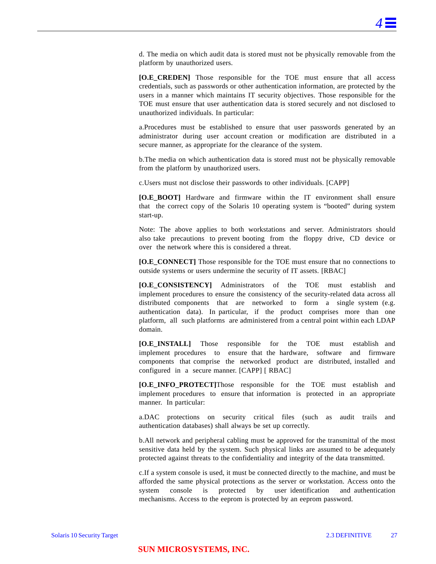d. The media on which audit data is stored must not be physically removable from the platform by unauthorized users.

**[O.E\_CREDEN]** Those responsible for the TOE must ensure that all access credentials, such as passwords or other authentication information, are protected by the users in a manner which maintains IT security objectives. Those responsible for the TOE must ensure that user authentication data is stored securely and not disclosed to unauthorized individuals. In particular:

a.Procedures must be established to ensure that user passwords generated by an administrator during user account creation or modification are distributed in a secure manner, as appropriate for the clearance of the system.

b.The media on which authentication data is stored must not be physically removable from the platform by unauthorized users.

c.Users must not disclose their passwords to other individuals. [CAPP]

**[O.E\_BOOT]** Hardware and firmware within the IT environment shall ensure that the correct copy of the Solaris 10 operating system is "booted" during system start-up.

Note: The above applies to both workstations and server. Administrators should also take precautions to prevent booting from the floppy drive, CD device or over the network where this is considered a threat.

**[O.E\_CONNECT]** Those responsible for the TOE must ensure that no connections to outside systems or users undermine the security of IT assets. [RBAC]

**[O.E\_CONSISTENCY]** Administrators of the TOE must establish and implement procedures to ensure the consistency of the security-related data across all distributed components that are networked to form a single system (e.g. authentication data). In particular, if the product comprises more than one platform, all such platforms are administered from a central point within each LDAP domain.

**[O.E\_INSTALL]** Those responsible for the TOE must establish and implement procedures to ensure that the hardware, software and firmware components that comprise the networked product are distributed, installed and configured in a secure manner. [CAPP] [ RBAC]

**[O.E\_INFO\_PROTECT]**Those responsible for the TOE must establish and implement procedures to ensure that information is protected in an appropriate manner. In particular:

a.DAC protections on security critical files (such as audit trails and authentication databases) shall always be set up correctly.

b.All network and peripheral cabling must be approved for the transmittal of the most sensitive data held by the system. Such physical links are assumed to be adequately protected against threats to the confidentiality and integrity of the data transmitted.

c.If a system console is used, it must be connected directly to the machine, and must be afforded the same physical protections as the server or workstation. Access onto the system console is protected by user identification and authentication mechanisms. Access to the eeprom is protected by an eeprom password.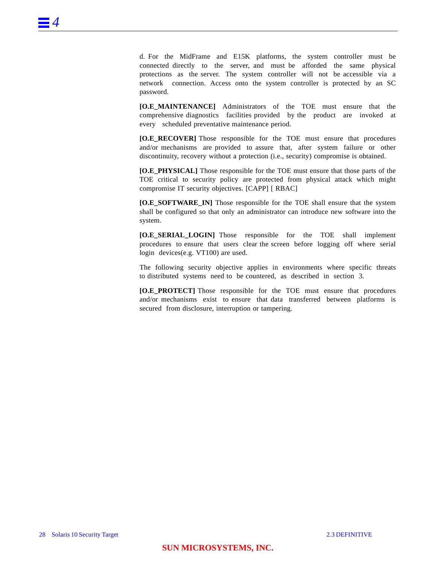d. For the MidFrame and E15K platforms, the system controller must be connected directly to the server, and must be afforded the same physical protections as the server. The system controller will not be accessible via a network connection. Access onto the system controller is protected by an SC password.

**[O.E\_MAINTENANCE]** Administrators of the TOE must ensure that the comprehensive diagnostics facilities provided by the product are invoked at every scheduled preventative maintenance period.

**[O.E\_RECOVER]** Those responsible for the TOE must ensure that procedures and/or mechanisms are provided to assure that, after system failure or other discontinuity, recovery without a protection (i.e., security) compromise is obtained.

**[O.E\_PHYSICAL]** Those responsible for the TOE must ensure that those parts of the TOE critical to security policy are protected from physical attack which might compromise IT security objectives. [CAPP] [ RBAC]

**[O.E\_SOFTWARE\_IN]** Those responsible for the TOE shall ensure that the system shall be configured so that only an administrator can introduce new software into the system.

**[O.E\_SERIAL\_LOGIN]** Those responsible for the TOE shall implement procedures to ensure that users clear the screen before logging off where serial login devices(e.g. VT100) are used.

The following security objective applies in environments where specific threats to distributed systems need to be countered, as described in section 3.

**[O.E\_PROTECT]** Those responsible for the TOE must ensure that procedures and/or mechanisms exist to ensure that data transferred between platforms is secured from disclosure, interruption or tampering.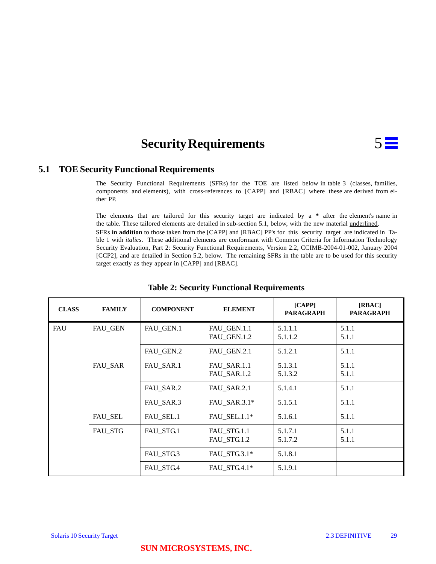# **Security Requirements** 5

# **5.1 TOE Security Functional Requirements**

The Security Functional Requirements (SFRs) for the TOE are listed below in table 3 (classes, families, components and elements), with cross-references to [CAPP] and [RBAC] where these are derived from either PP.

The elements that are tailored for this security target are indicated by a **\*** after the element's name in the table. These tailored elements are detailed in sub-section 5.1, below, with the new material underlined. SFRs **in addition** to those taken from the [CAPP] and [RBAC] PP's for this security target are indicated in Table 1 with *italics*. These additional elements are conformant with Common Criteria for Information Technology Security Evaluation, Part 2: Security Functional Requirements, Version 2.2, CCIMB-2004-01-002, January 2004 [CCP2], and are detailed in Section 5.2, below. The remaining SFRs in the table are to be used for this security target exactly as they appear in [CAPP] and [RBAC].

| <b>CLASS</b> | <b>FAMILY</b>  | <b>COMPONENT</b> | <b>ELEMENT</b>             | [CAPP]<br><b>PARAGRAPH</b> | $[{\bf RBAC}]$<br><b>PARAGRAPH</b> |
|--------------|----------------|------------------|----------------------------|----------------------------|------------------------------------|
| <b>FAU</b>   | <b>FAU GEN</b> | FAU GEN.1        | FAU GEN.1.1<br>FAU GEN.1.2 | 5.1.1.1<br>5.1.1.2         | 5.1.1<br>5.1.1                     |
|              |                | FAU GEN.2        | FAU_GEN.2.1                | 5.1.2.1                    | 5.1.1                              |
|              | FAU_SAR        | FAU_SAR.1        | FAU_SAR.1.1<br>FAU SAR.1.2 | 5.1.3.1<br>5.1.3.2         | 5.1.1<br>5.1.1                     |
|              |                | FAU SAR.2        | FAU SAR.2.1                | 5.1.4.1                    | 5.1.1                              |
|              |                | FAU SAR.3        | FAU SAR.3.1*               | 5.1.5.1                    | 5.1.1                              |
|              | <b>FAU_SEL</b> | FAU SEL.1        | FAU SEL.1.1*               | 5.1.6.1                    | 5.1.1                              |
|              | <b>FAU STG</b> | FAU STG.1        | FAU STG.1.1<br>FAU STG.1.2 | 5.1.7.1<br>5.1.7.2         | 5.1.1<br>5.1.1                     |
|              |                | FAU STG.3        | FAU STG.3.1*               | 5.1.8.1                    |                                    |
|              |                | FAU STG.4        | FAU STG.4.1*               | 5.1.9.1                    |                                    |

# **Table 2: Security Functional Requirements**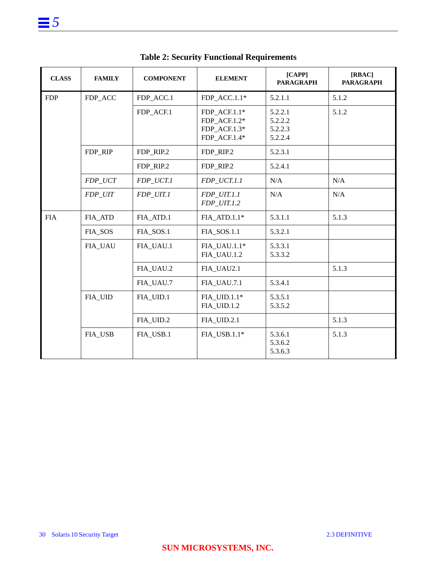| <b>CLASS</b> | <b>FAMILY</b>  | <b>COMPONENT</b> | <b>ELEMENT</b>                                               | [CAPP]<br><b>PARAGRAPH</b>               | [RBAC]<br><b>PARAGRAPH</b> |
|--------------|----------------|------------------|--------------------------------------------------------------|------------------------------------------|----------------------------|
| <b>FDP</b>   | FDP_ACC        | FDP_ACC.1        | FDP ACC.1.1*                                                 | 5.2.1.1                                  | 5.1.2                      |
|              |                | FDP ACF.1        | FDP ACF.1.1*<br>FDP ACF.1.2*<br>FDP ACF.1.3*<br>FDP_ACF.1.4* | 5.2.2.1<br>5.2.2.2<br>5.2.2.3<br>5.2.2.4 | 5.1.2                      |
|              | FDP_RIP        | FDP RIP.2        | FDP_RIP.2                                                    | 5.2.3.1                                  |                            |
|              |                | FDP RIP.2        | FDP RIP.2                                                    | 5.2.4.1                                  |                            |
|              | $FDP\_UCT$     | FDP_UCT.1        | FDP_UCT.1.1                                                  | N/A                                      | N/A                        |
|              | FDP UIT        | FDP UIT.1        | FDP UIT.1.1<br>$FDP_UIT.1.2$                                 | N/A                                      | N/A                        |
| <b>FIA</b>   | FIA_ATD        | FIA_ATD.1        | $FIA$ ATD.1.1*                                               | 5.3.1.1                                  | 5.1.3                      |
|              | FIA SOS        | FIA SOS.1        | <b>FIA SOS.1.1</b>                                           | 5.3.2.1                                  |                            |
|              | FIA UAU        | FIA UAU.1        | FIA UAU.1.1*<br>FIA_UAU.1.2                                  | 5.3.3.1<br>5.3.3.2                       |                            |
|              |                | FIA_UAU.2        | FIA_UAU2.1                                                   |                                          | 5.1.3                      |
|              |                | FIA_UAU.7        | FIA UAU.7.1                                                  | 5.3.4.1                                  |                            |
|              | FIA_UID        | FIA_UID.1        | $FIA$ UID.1.1*<br>FIA_UID.1.2                                | 5.3.5.1<br>5.3.5.2                       |                            |
|              |                | FIA_UID.2        | <b>FIA UID.2.1</b>                                           |                                          | 5.1.3                      |
|              | <b>FIA_USB</b> | FIA_USB.1        | $FIA$ _USB.1.1*                                              | 5.3.6.1<br>5.3.6.2<br>5.3.6.3            | 5.1.3                      |

| <b>Table 2: Security Functional Requirements</b> |  |
|--------------------------------------------------|--|
|--------------------------------------------------|--|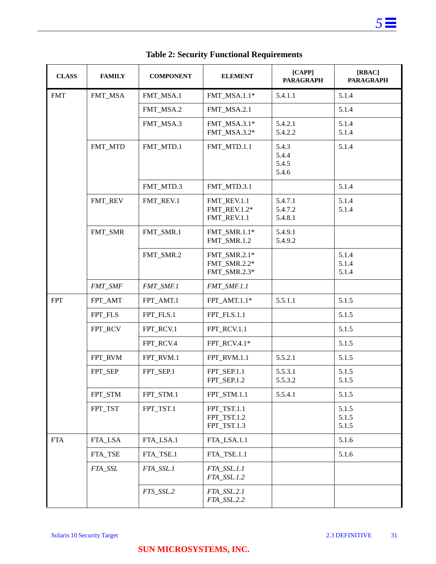| <b>CLASS</b> | <b>FAMILY</b>  | <b>COMPONENT</b> | <b>ELEMENT</b>                                    | [CAPP]<br><b>PARAGRAPH</b>       | [RBAC]<br><b>PARAGRAPH</b> |
|--------------|----------------|------------------|---------------------------------------------------|----------------------------------|----------------------------|
| <b>FMT</b>   | FMT_MSA        | FMT_MSA.1        | $FMT\_MSA.1.1*$                                   | 5.4.1.1                          | 5.1.4                      |
|              |                | FMT MSA.2        | FMT_MSA.2.1                                       |                                  | 5.1.4                      |
|              |                | FMT_MSA.3        | FMT_MSA.3.1*<br>FMT_MSA.3.2*                      | 5.4.2.1<br>5.4.2.2               | 5.1.4<br>5.1.4             |
|              | FMT_MTD        | FMT_MTD.1        | FMT_MTD.1.1                                       | 5.4.3<br>5.4.4<br>5.4.5<br>5.4.6 | 5.1.4                      |
|              |                | FMT_MTD.3        | FMT_MTD.3.1                                       |                                  | 5.1.4                      |
|              | <b>FMT_REV</b> | FMT_REV.1        | FMT_REV.1.1<br><b>FMT_REV.1.2*</b><br>FMT_REV.1.1 | 5.4.7.1<br>5.4.7.2<br>5.4.8.1    | 5.1.4<br>5.1.4             |
|              | FMT_SMR        | FMT SMR.1        | FMT_SMR.1.1*<br>FMT_SMR.1.2                       | 5.4.9.1<br>5.4.9.2               |                            |
|              |                | FMT_SMR.2        | FMT_SMR.2.1*<br>FMT_SMR.2.2*<br>FMT_SMR.2.3*      |                                  | 5.1.4<br>5.1.4<br>5.1.4    |
|              | <b>FMT_SMF</b> | <b>FMT_SMF.1</b> | FMT_SMF.1.1                                       |                                  |                            |
| <b>FPT</b>   | FPT_AMT        | FPT_AMT.1        | FPT_AMT.1.1*                                      | 5.5.1.1                          | 5.1.5                      |
|              | FPT_FLS        | FPT_FLS.1        | FPT_FLS.1.1                                       |                                  | 5.1.5                      |
|              | FPT_RCV        | FPT_RCV.1        | FPT_RCV.1.1                                       |                                  | 5.1.5                      |
|              |                | FPT_RCV.4        | <b>FPT_RCV.4.1*</b>                               |                                  | 5.1.5                      |
|              | FPT_RVM        | FPT RVM.1        | FPT_RVM.1.1                                       | 5.5.2.1                          | 5.1.5                      |
|              | FPT_SEP        | FPT_SEP.1        | FPT_SEP.1.1<br>FPT_SEP.1.2                        | 5.5.3.1<br>5.5.3.2               | 5.1.5<br>5.1.5             |
|              | FPT_STM        | FPT_STM.1        | FPT STM.1.1                                       | 5.5.4.1                          | 5.1.5                      |
|              | FPT_TST        | FPT_TST.1        | FPT_TST.1.1<br>FPT_TST.1.2<br>FPT_TST.1.3         |                                  | 5.1.5<br>5.1.5<br>5.1.5    |
| <b>FTA</b>   | FTA_LSA        | FTA_LSA.1        | FTA_LSA.1.1                                       |                                  | 5.1.6                      |
|              | FTA_TSE        | FTA_TSE.1        | FTA_TSE.1.1                                       |                                  | 5.1.6                      |
|              | FTA_SSL        | FTA_SSL.1        | FTA_SSL.1.1<br>FTA_SSL.1.2                        |                                  |                            |
|              |                | FTS_SSL.2        | FTA_SSL.2.1<br>FTA_SSL.2.2                        |                                  |                            |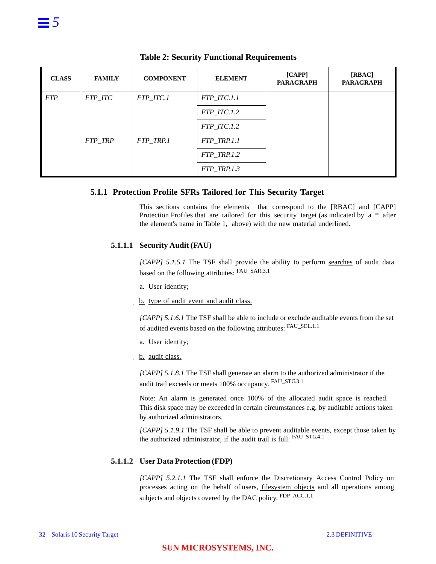| <b>CLASS</b> | <b>FAMILY</b>  | <b>COMPONENT</b> | <b>ELEMENT</b> | [CAPP]<br><b>PARAGRAPH</b> | [RBAC]<br><b>PARAGRAPH</b> |
|--------------|----------------|------------------|----------------|----------------------------|----------------------------|
| <b>FTP</b>   | <b>FTP_ITC</b> | FTP_ITC.1        | FTP_ITC.1.1    |                            |                            |
|              |                |                  | FTP_ITC.1.2    |                            |                            |
|              |                |                  | FTP_ITC.1.2    |                            |                            |
|              | FTP_TRP        | FTP_TRP.1        | FTP_TRP.1.1    |                            |                            |
|              |                |                  | FTP TRP.1.2    |                            |                            |
|              |                |                  | FTP_TRP.1.3    |                            |                            |

# **Table 2: Security Functional Requirements**

# **5.1.1 Protection Profile SFRs Tailored for This Security Target**

This sections contains the elements that correspond to the [RBAC] and [CAPP] Protection Profiles that are tailored for this security target (as indicated by a  $*$  after the element's name in Table 1, above) with the new material underlined.

# **5.1.1.1 Security Audit (FAU)**

[CAPP] 5.1.5.1 The TSF shall provide the ability to perform searches of audit data based on the following attributes: FAU\_SAR.3.1

- a. User identity;
- b. type of audit event and audit class.

*[CAPP] 5.1.6.1* The TSF shall be able to include or exclude auditable events from the set of audited events based on the following attributes: FAU\_SEL.1.1

- a. User identity;
- b. audit class.

*[CAPP] 5.1.8.1* The TSF shall generate an alarm to the authorized administrator if the audit trail exceeds or meets 100% occupancy. FAU\_STG.3.1

Note: An alarm is generated once 100% of the allocated audit space is reached. This disk space may be exceeded in certain circumstances e.g. by auditable actions taken by authorized administrators.

*[CAPP] 5.1.9.1* The TSF shall be able to prevent auditable events, except those taken by the authorized administrator, if the audit trail is full. FAU\_STG.4.1

### **5.1.1.2 User Data Protection (FDP)**

[CAPP] 5.2.1.1 The TSF shall enforce the Discretionary Access Control Policy on processes acting on the behalf of users, filesystem objects and all operations among subjects and objects covered by the DAC policy. FDP\_ACC.1.1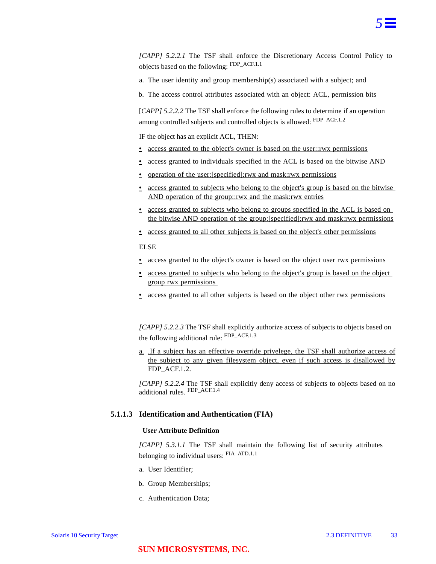*[CAPP] 5.2.2.1* The TSF shall enforce the Discretionary Access Control Policy to objects based on the following: FDP\_ACF.1.1

a. The user identity and group membership(s) associated with a subject; and

b. The access control attributes associated with an object: ACL, permission bits

[*CAPP] 5.2.2.2* The TSF shall enforce the following rules to determine if an operation among controlled subjects and controlled objects is allowed: FDP\_ACF.1.2

IF the object has an explicit ACL, THEN:

- **•** access granted to the object's owner is based on the user::rwx permissions
- **•** access granted to individuals specified in the ACL is based on the bitwise AND
- **•** operation of the user:[specified]:rwx and mask:rwx permissions
- access granted to subjects who belong to the object's group is based on the bitwise AND operation of the group::rwx and the mask:rwx entries
- **•** access granted to subjects who belong to groups specified in the ACL is based on the bitwise AND operation of the group:[specified]:rwx and mask:rwx permissions
- **•** access granted to all other subjects is based on the object's other permissions

ELSE

- access granted to the object's owner is based on the object user rwx permissions
- access granted to subjects who belong to the object's group is based on the object group rwx permissions
- access granted to all other subjects is based on the object other rwx permissions

*[CAPP] 5.2.2.3* The TSF shall explicitly authorize access of subjects to objects based on the following additional rule: FDP\_ACF.1.3

a. .If a subject has an effective override privelege, the TSF shall authorize access of the subject to any given filesystem object, even if such access is disallowed by FDP\_ACF.1.2.

*[CAPP] 5.2.2.4* The TSF shall explicitly deny access of subjects to objects based on no additional rules. FDP\_ACF.1.4

#### **5.1.1.3 Identification and Authentication (FIA)**

#### **User Attribute Definition**

*[CAPP] 5.3.1.1* The TSF shall maintain the following list of security attributes belonging to individual users: FIA\_ATD.1.1

- a. User Identifier;
- b. Group Memberships;
- c. Authentication Data;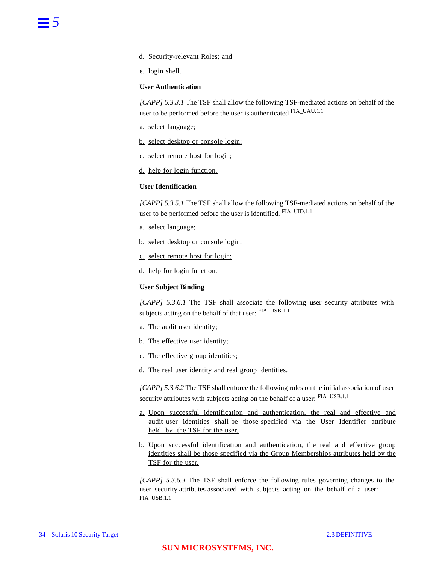- d. Security-relevant Roles; and
- e. login shell.

#### **User Authentication**

*[CAPP] 5.3.3.1* The TSF shall allow the following TSF-mediated actions on behalf of the user to be performed before the user is authenticated FIA\_UAU.1.1

- a. select language;
- b. select desktop or console login;
- c. select remote host for login;
- d. help for login function.

#### **User Identification**

*[CAPP] 5.3.5.1* The TSF shall allow the following TSF-mediated actions on behalf of the user to be performed before the user is identified. FIA\_UID.1.1

- a. select language;
- b. select desktop or console login;
- c. select remote host for login;
- d. help for login function.

#### **User Subject Binding**

*[CAPP] 5.3.6.1* The TSF shall associate the following user security attributes with subjects acting on the behalf of that user: FIA\_USB.1.1

- a. The audit user identity;
- b. The effective user identity;
- c. The effective group identities;
- d. The real user identity and real group identities.

*[CAPP] 5.3.6.2* The TSF shall enforce the following rules on the initial association of user security attributes with subjects acting on the behalf of a user: FIA\_USB.1.1

- a. Upon successful identification and authentication, the real and effective and audit user identities shall be those specified via the User Identifier attribute held by the TSF for the user.
- b. Upon successful identification and authentication, the real and effective group identities shall be those specified via the Group Memberships attributes held by the TSF for the user.

*[CAPP] 5.3.6.3* The TSF shall enforce the following rules governing changes to the user security attributes associated with subjects acting on the behalf of a user: FIA\_USB.1.1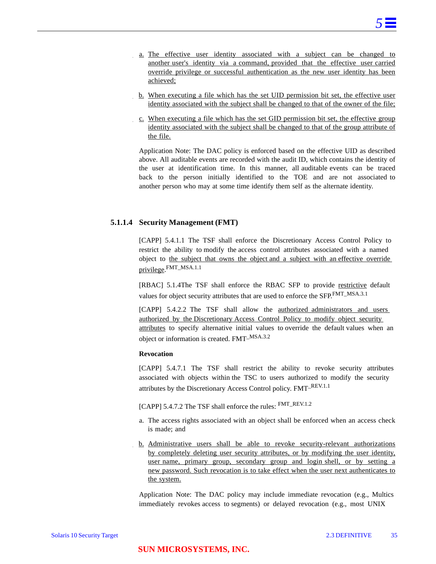- a. The effective user identity associated with a subject can be changed to another user's identity via a command, provided that the effective user carried override privilege or successful authentication as the new user identity has been achieved;
- b. When executing a file which has the set UID permission bit set, the effective user identity associated with the subject shall be changed to that of the owner of the file;
- c. When executing a file which has the set GID permission bit set, the effective group identity associated with the subject shall be changed to that of the group attribute of the file.

Application Note: The DAC policy is enforced based on the effective UID as described above. All auditable events are recorded with the audit ID, which contains the identity of the user at identification time. In this manner, all auditable events can be traced back to the person initially identified to the TOE and are not associated to another person who may at some time identify them self as the alternate identity.

### **5.1.1.4 Security Management (FMT)**

[CAPP] 5.4.1.1 The TSF shall enforce the Discretionary Access Control Policy to restrict the ability to modify the access control attributes associated with a named object to the subject that owns the object and a subject with an effective override privilege. FMT\_MSA.1.1

[RBAC] 5.1.4The TSF shall enforce the RBAC SFP to provide restrictive default values for object security attributes that are used to enforce the SFP. FMT\_MSA.3.1

[CAPP] 5.4.2.2 The TSF shall allow the authorized administrators and users authorized by the Discretionary Access Control Policy to modify object security attributes to specify alternative initial values to override the default values when an object or information is created. FMT\_MSA.3.2

#### **Revocation**

[CAPP] 5.4.7.1 The TSF shall restrict the ability to revoke security attributes associated with objects within the TSC to users authorized to modify the security attributes by the Discretionary Access Control policy. FMT\_REV.1.1

[CAPP] 5.4.7.2 The TSF shall enforce the rules: FMT\_REV.1.2

- a. The access rights associated with an object shall be enforced when an access check is made; and
- b. Administrative users shall be able to revoke security-relevant authorizations by completely deleting user security attributes, or by modifying the user identity, user name, primary group, secondary group and login shell, or by setting a new password. Such revocation is to take effect when the user next authenticates to the system.

Application Note: The DAC policy may include immediate revocation (e.g., Multics immediately revokes access to segments) or delayed revocation (e.g., most UNIX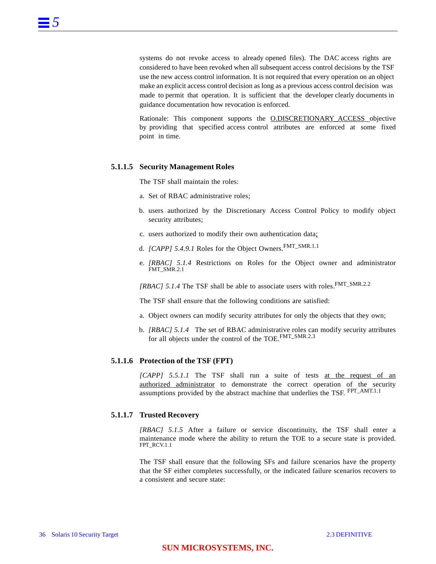systems do not revoke access to already opened files). The DAC access rights are considered to have been revoked when all subsequent access control decisions by the TSF use the new access control information. It is not required that every operation on an object make an explicit access control decision as long as a previous access control decision was made to permit that operation. It is sufficient that the developer clearly documents in guidance documentation how revocation is enforced.

Rationale: This component supports the O.DISCRETIONARY\_ACCESS objective by providing that specified access control attributes are enforced at some fixed point in time.

#### **5.1.1.5 Security Management Roles**

The TSF shall maintain the roles:

- a. Set of RBAC administrative roles;
- b. users authorized by the Discretionary Access Control Policy to modify object security attributes;
- c. users authorized to modify their own authentication data;
- d. *[CAPP] 5.4.9.1* Roles for the Object Owners.FMT\_SMR.1.1
- e. *[RBAC] 5.1.4* Restrictions on Roles for the Object owner and administrator FMT\_SMR.2.1

*[RBAC] 5.1.4* The TSF shall be able to associate users with roles.FMT\_SMR.2.2

The TSF shall ensure that the following conditions are satisfied:

- a. Object owners can modify security attributes for only the objects that they own;
- b. *[RBAC] 5.1.4* The set of RBAC administrative roles can modify security attributes for all objects under the control of the TOE.FMT\_SMR.2.3

## **5.1.1.6 Protection of the TSF (FPT)**

*[CAPP] 5.5.1.1* The TSF shall run a suite of tests at the request of an authorized administrator to demonstrate the correct operation of the security assumptions provided by the abstract machine that underlies the TSF. FPT\_AMT.1.1

# **5.1.1.7 Trusted Recovery**

*[RBAC] 5.1.5* After a failure or service discontinuity, the TSF shall enter a maintenance mode where the ability to return the TOE to a secure state is provided. FPT\_RCV.1.1

The TSF shall ensure that the following SFs and failure scenarios have the property that the SF either completes successfully, or the indicated failure scenarios recovers to a consistent and secure state: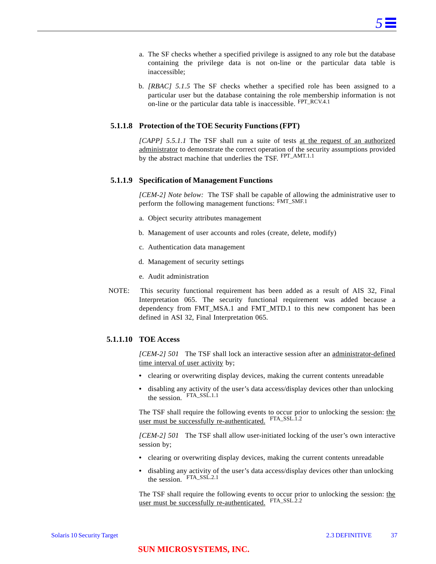- a. The SF checks whether a specified privilege is assigned to any role but the database containing the privilege data is not on-line or the particular data table is inaccessible;
- b. *[RBAC] 5.1.5* The SF checks whether a specified role has been assigned to a particular user but the database containing the role membership information is not on-line or the particular data table is inaccessible. FPT\_RCV.4.1

#### **5.1.1.8 Protection of the TOE Security Functions (FPT)**

*[CAPP] 5.5.1.1* The TSF shall run a suite of tests at the request of an authorized administrator to demonstrate the correct operation of the security assumptions provided by the abstract machine that underlies the TSF. FPT\_AMT.1.1

#### **5.1.1.9 Specification of Management Functions**

*[CEM-2] Note below:* The TSF shall be capable of allowing the administrative user to perform the following management functions: FMT\_SMF.1

- a. Object security attributes management
- b. Management of user accounts and roles (create, delete, modify)
- c. Authentication data management
- d. Management of security settings
- e. Audit administration
- NOTE: This security functional requirement has been added as a result of AIS 32, Final Interpretation 065. The security functional requirement was added because a dependency from FMT\_MSA.1 and FMT\_MTD.1 to this new component has been defined in ASI 32, Final Interpretation 065.

#### **5.1.1.10 TOE Access**

*[CEM-2] 501* The TSF shall lock an interactive session after an administrator-defined time interval of user activity by;

- **•** clearing or overwriting display devices, making the current contents unreadable
- **•** disabling any activity of the user's data access/display devices other than unlocking the session. FTA\_SSL.1.1

The TSF shall require the following events to occur prior to unlocking the session: the user must be successfully re-authenticated. FTA\_SSL.1.2

*[CEM-2] 501* The TSF shall allow user-initiated locking of the user's own interactive session by;

- **•** clearing or overwriting display devices, making the current contents unreadable
- **•** disabling any activity of the user's data access/display devices other than unlocking the session. FTA\_SSL.2.1

The TSF shall require the following events to occur prior to unlocking the session: the user must be successfully re-authenticated. FTA\_SSL.2.2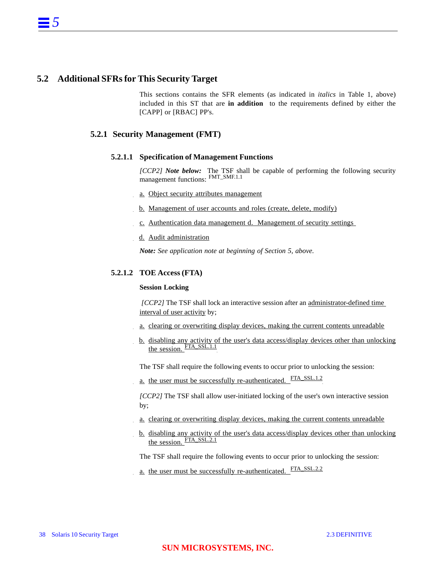# **5.2 Additional SFRs for This Security Target**

This sections contains the SFR elements (as indicated in *italics* in Table 1, above) included in this ST that are **in addition** to the requirements defined by either the [CAPP] or [RBAC] PP's.

# **5.2.1 Security Management (FMT)**

#### **5.2.1.1 Specification of Management Functions**

*[CCP2] Note below:* The TSF shall be capable of performing the following security management functions: FMT\_SMF.1.1

- a. Object security attributes management
- b. Management of user accounts and roles (create, delete, modify)
- c. Authentication data management d. Management of security settings
- d. Audit administration

*Note: See application note at beginning of Section 5, above.*

#### **5.2.1.2 TOE Access (FTA)**

#### **Session Locking**

*[CCP2]* The TSF shall lock an interactive session after an administrator-defined time interval of user activity by;

- a. clearing or overwriting display devices, making the current contents unreadable
- b. disabling any activity of the user's data access/display devices other than unlocking the session. FTA\_SSL.1.1

The TSF shall require the following events to occur prior to unlocking the session:

a. the user must be successfully re-authenticated. FTA\_SSL.1.2

*[CCP2]* The TSF shall allow user-initiated locking of the user's own interactive session by;

- a. clearing or overwriting display devices, making the current contents unreadable
- b. disabling any activity of the user's data access/display devices other than unlocking the session. FTA\_SSL.2.1

The TSF shall require the following events to occur prior to unlocking the session:

a. the user must be successfully re-authenticated. FTA\_SSL.2.2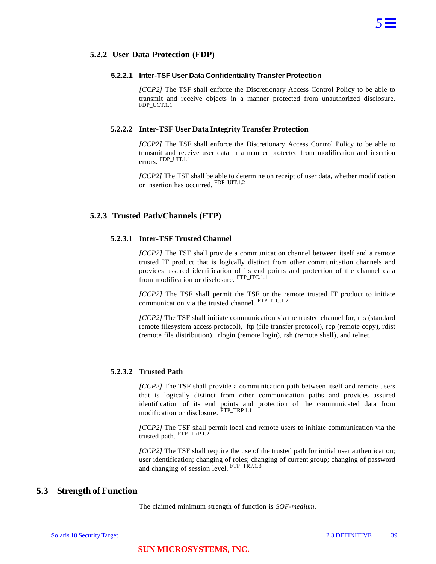# **5.2.2 User Data Protection (FDP)**

#### **5.2.2.1 Inter-TSF User Data Confidentiality Transfer Protection**

*[CCP2]* The TSF shall enforce the Discretionary Access Control Policy to be able to transmit and receive objects in a manner protected from unauthorized disclosure. FDP\_UCT.1.1

#### **5.2.2.2 Inter-TSF User Data Integrity Transfer Protection**

*[CCP2]* The TSF shall enforce the Discretionary Access Control Policy to be able to transmit and receive user data in a manner protected from modification and insertion errors. FDP\_UIT.1.1

*[CCP2]* The TSF shall be able to determine on receipt of user data, whether modification or insertion has occurred. FDP\_UIT.1.2

# **5.2.3 Trusted Path/Channels (FTP)**

#### **5.2.3.1 Inter-TSF Trusted Channel**

*[CCP2]* The TSF shall provide a communication channel between itself and a remote trusted IT product that is logically distinct from other communication channels and provides assured identification of its end points and protection of the channel data from modification or disclosure. FTP\_ITC.1.1

*[CCP2]* The TSF shall permit the TSF or the remote trusted IT product to initiate communication via the trusted channel. FTP\_ITC.1.2

*[CCP2]* The TSF shall initiate communication via the trusted channel for, nfs (standard remote filesystem access protocol), ftp (file transfer protocol), rcp (remote copy), rdist (remote file distribution), rlogin (remote login), rsh (remote shell), and telnet.

#### **5.2.3.2 Trusted Path**

*[CCP2]* The TSF shall provide a communication path between itself and remote users that is logically distinct from other communication paths and provides assured identification of its end points and protection of the communicated data from modification or disclosure. FTP\_TRP.1.1

*[CCP2]* The TSF shall permit local and remote users to initiate communication via the trusted path. FTP\_TRP.1.2

*[CCP2]* The TSF shall require the use of the trusted path for initial user authentication; user identification; changing of roles; changing of current group; changing of password and changing of session level. FTP\_TRP.1.3

# **5.3 Strength of Function**

The claimed minimum strength of function is *SOF-medium*.

*5*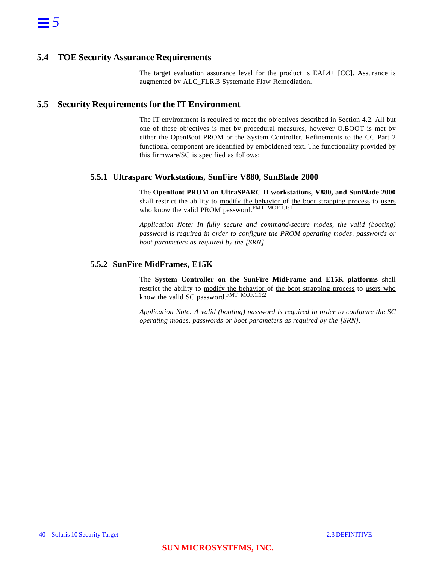# **5.4 TOE Security Assurance Requirements**

The target evaluation assurance level for the product is EAL4+ [CC]. Assurance is augmented by ALC\_FLR.3 Systematic Flaw Remediation.

# **5.5 Security Requirements for the IT Environment**

The IT environment is required to meet the objectives described in Section 4.2. All but one of these objectives is met by procedural measures, however O.BOOT is met by either the OpenBoot PROM or the System Controller. Refinements to the CC Part 2 functional component are identified by emboldened text. The functionality provided by this firmware/SC is specified as follows:

# **5.5.1 Ultrasparc Workstations, SunFire V880, SunBlade 2000**

The **OpenBoot PROM on UltraSPARC II workstations, V880, and SunBlade 2000** shall restrict the ability to modify the behavior of the boot strapping process to users who know the valid PROM password. FMT\_MOF.1.1:1

*Application Note: In fully secure and command-secure modes, the valid (booting) password is required in order to configure the PROM operating modes, passwords or boot parameters as required by the [SRN].*

# **5.5.2 SunFire MidFrames, E15K**

The **System Controller on the SunFire MidFrame and E15K platforms** shall restrict the ability to modify the behavior of the boot strapping process to users who know the valid SC password. FMT\_MOF.1.1:2

*Application Note: A valid (booting) password is required in order to configure the SC operating modes, passwords or boot parameters as required by the [SRN].*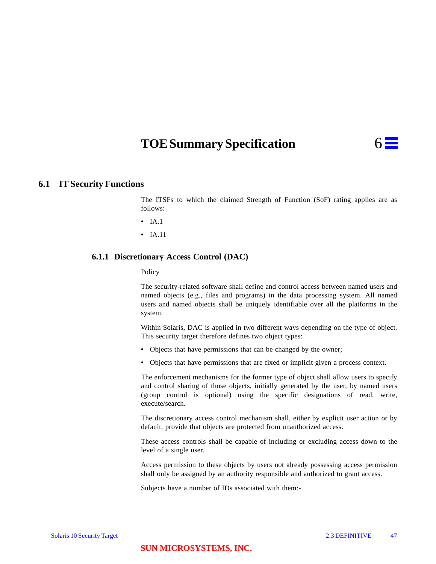# **TOE Summary Specification** 6

# **6.1 IT Security Functions**

The ITSFs to which the claimed Strength of Function (SoF) rating applies are as follows:

- **•** IA.1
- **•** IA.11

# **6.1.1 Discretionary Access Control (DAC)**

**Policy** 

The security-related software shall define and control access between named users and named objects (e.g., files and programs) in the data processing system. All named users and named objects shall be uniquely identifiable over all the platforms in the system.

Within Solaris, DAC is applied in two different ways depending on the type of object. This security target therefore defines two object types:

- **•** Objects that have permissions that can be changed by the owner;
- **•** Objects that have permissions that are fixed or implicit given a process context.

The enforcement mechanisms for the former type of object shall allow users to specify and control sharing of those objects, initially generated by the user, by named users (group control is optional) using the specific designations of read, write, execute/search.

The discretionary access control mechanism shall, either by explicit user action or by default, provide that objects are protected from unauthorized access.

These access controls shall be capable of including or excluding access down to the level of a single user.

Access permission to these objects by users not already possessing access permission shall only be assigned by an authority responsible and authorized to grant access.

Subjects have a number of IDs associated with them:-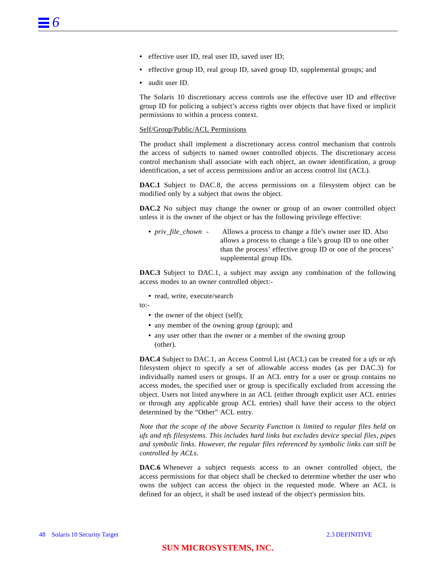- **•** effective user ID, real user ID, saved user ID;
- **•** effective group ID, real group ID, saved group ID, supplemental groups; and
- **•** audit user ID.

The Solaris 10 discretionary access controls use the effective user ID and effective group ID for policing a subject's access rights over objects that have fixed or implicit permissions to within a process context.

#### Self/Group/Public/ACL Permissions

The product shall implement a discretionary access control mechanism that controls the access of subjects to named owner controlled objects. The discretionary access control mechanism shall associate with each object, an owner identification, a group identification, a set of access permissions and/or an access control list (ACL).

**DAC.1** Subject to DAC.8, the access permissions on a filesystem object can be modified only by a subject that owns the object.

**DAC.2** No subject may change the owner or group of an owner controlled object unless it is the owner of the object or has the following privilege effective:

**•** *priv\_file\_chown* - Allows a process to change a file's owner user ID. Also allows a process to change a file's group ID to one other than the process' effective group ID or one of the process' supplemental group IDs.

**DAC.3** Subject to DAC.1, a subject may assign any combination of the following access modes to an owner controlled object:-

**•** read, write, execute/search

 $\text{to}$ :

- the owner of the object (self);
- **•** any member of the owning group (group); and
- **•** any user other than the owner or a member of the owning group (other).

**DAC.4** Subject to DAC.1, an Access Control List (ACL) can be created for a *ufs* or *nfs* filesystem object to specify a set of allowable access modes (as per DAC.3) for individually named users or groups. If an ACL entry for a user or group contains no access modes, the specified user or group is specifically excluded from accessing the object. Users not listed anywhere in an ACL (either through explicit user ACL entries or through any applicable group ACL entries) shall have their access to the object determined by the "Other" ACL entry.

*Note that the scope of the above Security Function is limited to regular files held on ufs and nfs filesystems. This includes hard links but excludes device special files, pipes and symbolic links. However, the regular files referenced by symbolic links can still be controlled by ACLs.*

**DAC.6** Whenever a subject requests access to an owner controlled object, the access permissions for that object shall be checked to determine whether the user who owns the subject can access the object in the requested mode. Where an ACL is defined for an object, it shall be used instead of the object's permission bits.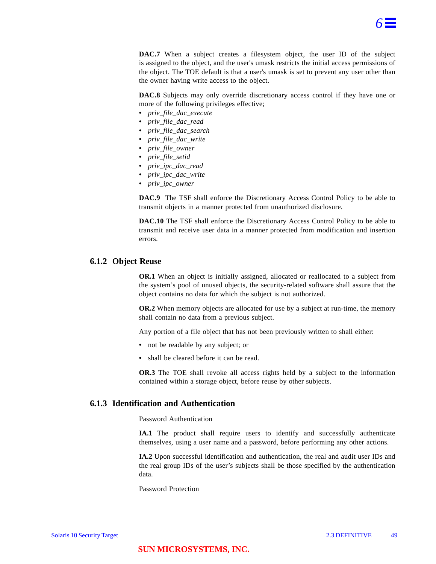**DAC.7** When a subject creates a filesystem object, the user ID of the subject is assigned to the object, and the user's umask restricts the initial access permissions of the object. The TOE default is that a user's umask is set to prevent any user other than the owner having write access to the object.

**DAC.8** Subjects may only override discretionary access control if they have one or more of the following privileges effective;

- **•** *priv\_file\_dac\_execute*
- **•** *priv\_file\_dac\_read*
- **•** *priv\_file\_dac\_search*
- **•** *priv\_file\_dac\_write*
- **•** *priv\_file\_owner*
- **•** *priv\_file\_setid*
- **•** *priv\_ipc\_dac\_read*
- **•** *priv\_ipc\_dac\_write*
- **•** *priv\_ipc\_owner*

**DAC.9** The TSF shall enforce the Discretionary Access Control Policy to be able to transmit objects in a manner protected from unauthorized disclosure.

**DAC.10** The TSF shall enforce the Discretionary Access Control Policy to be able to transmit and receive user data in a manner protected from modification and insertion errors.

#### **6.1.2 Object Reuse**

**OR.1** When an object is initially assigned, allocated or reallocated to a subject from the system's pool of unused objects, the security-related software shall assure that the object contains no data for which the subject is not authorized.

**OR.2** When memory objects are allocated for use by a subject at run-time, the memory shall contain no data from a previous subject.

Any portion of a file object that has not been previously written to shall either:

- **•** not be readable by any subject; or
- shall be cleared before it can be read.

**OR.3** The TOE shall revoke all access rights held by a subject to the information contained within a storage object, before reuse by other subjects.

# **6.1.3 Identification and Authentication**

#### Password Authentication

**IA.1** The product shall require users to identify and successfully authenticate themselves, using a user name and a password, before performing any other actions.

**IA.2** Upon successful identification and authentication, the real and audit user IDs and the real group IDs of the user's subjects shall be those specified by the authentication data.

Password Protection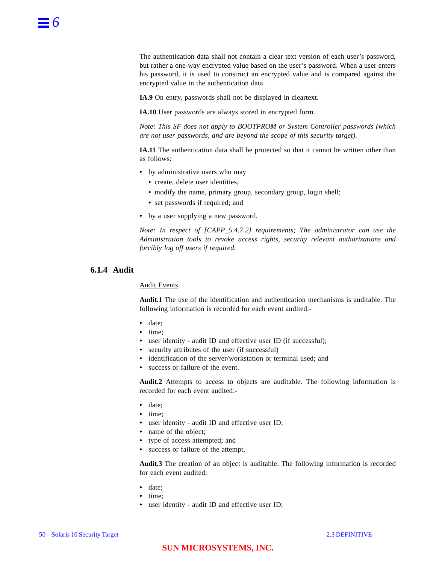The authentication data shall not contain a clear text version of each user's password, but rather a one-way encrypted value based on the user's password. When a user enters his password, it is used to construct an encrypted value and is compared against the encrypted value in the authentication data.

**IA.9** On entry, passwords shall not be displayed in cleartext.

**IA.10** User passwords are always stored in encrypted form.

*Note: This SF does not apply to BOOTPROM or System Controller passwords (which are not user passwords, and are beyond the scope of this security target).*

**IA.11** The authentication data shall be protected so that it cannot be written other than as follows:

- **•** by administrative users who may
	- **•** create, delete user identities,
	- modify the name, primary group, secondary group, login shell;
	- **•** set passwords if required; and
- **•** by a user supplying a new password.

*Note: In respect of [CAPP\_5.4.7.2] requirements; The administrator can use the Administration tools to revoke access rights, security relevant authorizations and forcibly log off users if required.*

# **6.1.4 Audit**

#### Audit Events

**Audit.1** The use of the identification and authentication mechanisms is auditable. The following information is recorded for each event audited:-

- **•** date;
- **•** time;
- **•** user identity audit ID and effective user ID (if successful);
- **•** security attributes of the user (if successful)
- **•** identification of the server/workstation or terminal used; and
- **•** success or failure of the event.

**Audit.2** Attempts to access to objects are auditable. The following information is recorded for each event audited:-

- **•** date;
- **•** time;
- **•** user identity audit ID and effective user ID;
- **•** name of the object;
- **•** type of access attempted; and
- **•** success or failure of the attempt.

**Audit.3** The creation of an object is auditable. The following information is recorded for each event audited:

- **•** date;
- **•** time;
- **•** user identity audit ID and effective user ID;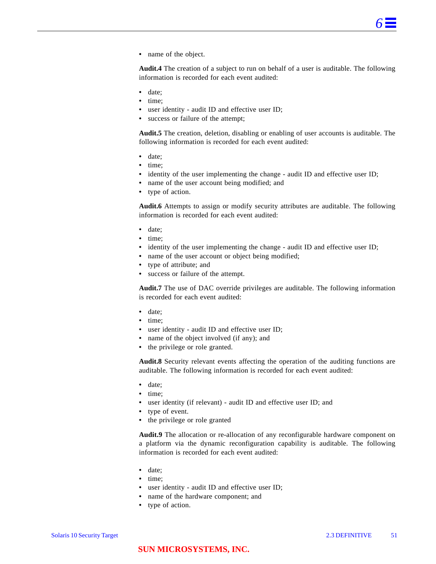- 
- **•** name of the object.

**Audit.4** The creation of a subject to run on behalf of a user is auditable. The following information is recorded for each event audited:

*6*

- **•** date;
- **•** time;
- user identity audit ID and effective user ID;
- **•** success or failure of the attempt;

**Audit.5** The creation, deletion, disabling or enabling of user accounts is auditable. The following information is recorded for each event audited:

- **•** date;
- **•** time;
- identity of the user implementing the change audit ID and effective user ID;
- **•** name of the user account being modified; and
- **•** type of action.

**Audit.6** Attempts to assign or modify security attributes are auditable. The following information is recorded for each event audited:

- **•** date;
- **•** time;
- identity of the user implementing the change audit ID and effective user ID;
- **•** name of the user account or object being modified;
- **•** type of attribute; and
- **•** success or failure of the attempt.

**Audit.7** The use of DAC override privileges are auditable. The following information is recorded for each event audited:

- **•** date;
- **•** time;
- **•** user identity audit ID and effective user ID;
- **•** name of the object involved (if any); and
- **•** the privilege or role granted.

**Audit.8** Security relevant events affecting the operation of the auditing functions are auditable. The following information is recorded for each event audited:

- **•** date;
- **•** time;
- **•** user identity (if relevant) audit ID and effective user ID; and
- **•** type of event.
- **•** the privilege or role granted

**Audit.9** The allocation or re-allocation of any reconfigurable hardware component on a platform via the dynamic reconfiguration capability is auditable. The following information is recorded for each event audited:

- **•** date;
- **•** time;
- **•** user identity audit ID and effective user ID;
- **•** name of the hardware component; and
- **•** type of action.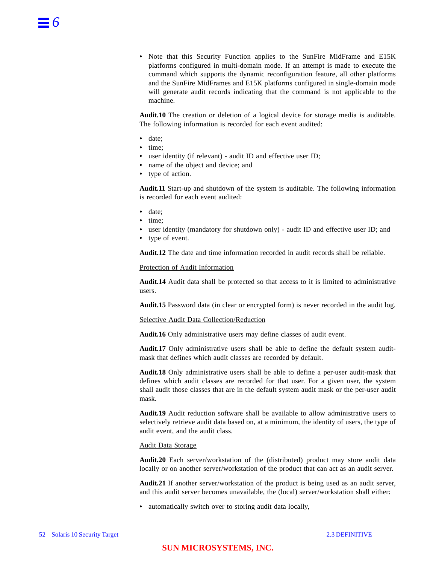**•** Note that this Security Function applies to the SunFire MidFrame and E15K platforms configured in multi-domain mode. If an attempt is made to execute the command which supports the dynamic reconfiguration feature, all other platforms and the SunFire MidFrames and E15K platforms configured in single-domain mode will generate audit records indicating that the command is not applicable to the machine.

**Audit.10** The creation or deletion of a logical device for storage media is auditable. The following information is recorded for each event audited:

- **•** date;
- **•** time;
- **•** user identity (if relevant) audit ID and effective user ID;
- **•** name of the object and device; and
- **•** type of action.

**Audit.11** Start-up and shutdown of the system is auditable. The following information is recorded for each event audited:

- **•** date;
- **•** time;
- **•** user identity (mandatory for shutdown only) audit ID and effective user ID; and
- **•** type of event.

**Audit.12** The date and time information recorded in audit records shall be reliable.

#### Protection of Audit Information

**Audit.14** Audit data shall be protected so that access to it is limited to administrative users.

**Audit.15** Password data (in clear or encrypted form) is never recorded in the audit log.

#### Selective Audit Data Collection/Reduction

**Audit.16** Only administrative users may define classes of audit event.

**Audit.17** Only administrative users shall be able to define the default system auditmask that defines which audit classes are recorded by default.

**Audit.18** Only administrative users shall be able to define a per-user audit-mask that defines which audit classes are recorded for that user. For a given user, the system shall audit those classes that are in the default system audit mask or the per-user audit mask.

**Audit.19** Audit reduction software shall be available to allow administrative users to selectively retrieve audit data based on, at a minimum, the identity of users, the type of audit event, and the audit class.

#### Audit Data Storage

**Audit.20** Each server/workstation of the (distributed) product may store audit data locally or on another server/workstation of the product that can act as an audit server.

**Audit.21** If another server/workstation of the product is being used as an audit server, and this audit server becomes unavailable, the (local) server/workstation shall either:

**•** automatically switch over to storing audit data locally,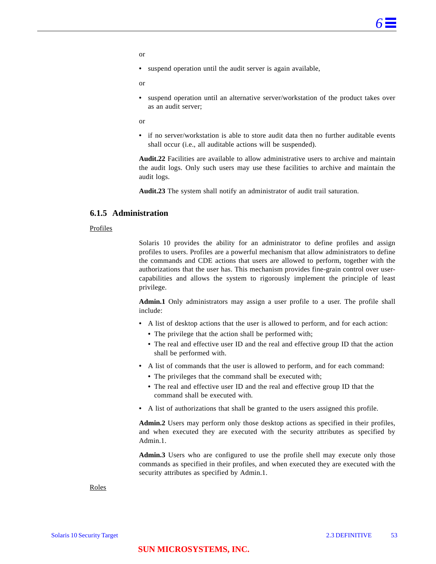or

**•** suspend operation until the audit server is again available,

or

**•** suspend operation until an alternative server/workstation of the product takes over as an audit server;

or

**•** if no server/workstation is able to store audit data then no further auditable events shall occur (i.e., all auditable actions will be suspended).

**Audit.22** Facilities are available to allow administrative users to archive and maintain the audit logs. Only such users may use these facilities to archive and maintain the audit logs.

**Audit.23** The system shall notify an administrator of audit trail saturation.

# **6.1.5 Administration**

Profiles

Solaris 10 provides the ability for an administrator to define profiles and assign profiles to users. Profiles are a powerful mechanism that allow administrators to define the commands and CDE actions that users are allowed to perform, together with the authorizations that the user has. This mechanism provides fine-grain control over usercapabilities and allows the system to rigorously implement the principle of least privilege.

**Admin.1** Only administrators may assign a user profile to a user. The profile shall include:

- **•** A list of desktop actions that the user is allowed to perform, and for each action:
	- **•** The privilege that the action shall be performed with;
	- **•** The real and effective user ID and the real and effective group ID that the action shall be performed with.
- **•** A list of commands that the user is allowed to perform, and for each command:
	- **•** The privileges that the command shall be executed with;
	- **•** The real and effective user ID and the real and effective group ID that the command shall be executed with.
- **•** A list of authorizations that shall be granted to the users assigned this profile.

**Admin.2** Users may perform only those desktop actions as specified in their profiles, and when executed they are executed with the security attributes as specified by Admin.1.

**Admin.3** Users who are configured to use the profile shell may execute only those commands as specified in their profiles, and when executed they are executed with the security attributes as specified by Admin.1.

Roles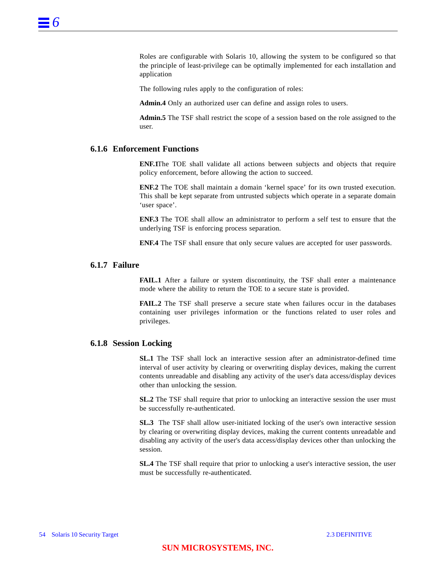Roles are configurable with Solaris 10, allowing the system to be configured so that the principle of least-privilege can be optimally implemented for each installation and application

The following rules apply to the configuration of roles:

**Admin.4** Only an authorized user can define and assign roles to users.

**Admin.5** The TSF shall restrict the scope of a session based on the role assigned to the user.

# **6.1.6 Enforcement Functions**

**ENF.1**The TOE shall validate all actions between subjects and objects that require policy enforcement, before allowing the action to succeed.

**ENF.2** The TOE shall maintain a domain 'kernel space' for its own trusted execution. This shall be kept separate from untrusted subjects which operate in a separate domain 'user space'.

**ENF.3** The TOE shall allow an administrator to perform a self test to ensure that the underlying TSF is enforcing process separation.

**ENF.4** The TSF shall ensure that only secure values are accepted for user passwords.

### **6.1.7 Failure**

**FAIL.1** After a failure or system discontinuity, the TSF shall enter a maintenance mode where the ability to return the TOE to a secure state is provided.

**FAIL.2** The TSF shall preserve a secure state when failures occur in the databases containing user privileges information or the functions related to user roles and privileges.

#### **6.1.8 Session Locking**

**SL.1** The TSF shall lock an interactive session after an administrator-defined time interval of user activity by clearing or overwriting display devices, making the current contents unreadable and disabling any activity of the user's data access/display devices other than unlocking the session.

**SL.2** The TSF shall require that prior to unlocking an interactive session the user must be successfully re-authenticated.

**SL.3** The TSF shall allow user-initiated locking of the user's own interactive session by clearing or overwriting display devices, making the current contents unreadable and disabling any activity of the user's data access/display devices other than unlocking the session.

**SL.4** The TSF shall require that prior to unlocking a user's interactive session, the user must be successfully re-authenticated.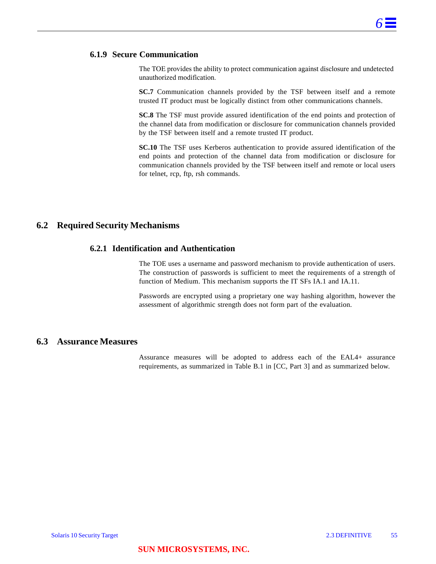# **6.1.9 Secure Communication**

The TOE provides the ability to protect communication against disclosure and undetected unauthorized modification.

**SC.7** Communication channels provided by the TSF between itself and a remote trusted IT product must be logically distinct from other communications channels.

**SC.8** The TSF must provide assured identification of the end points and protection of the channel data from modification or disclosure for communication channels provided by the TSF between itself and a remote trusted IT product.

**SC.10** The TSF uses Kerberos authentication to provide assured identification of the end points and protection of the channel data from modification or disclosure for communication channels provided by the TSF between itself and remote or local users for telnet, rcp, ftp, rsh commands.

# **6.2 Required Security Mechanisms**

# **6.2.1 Identification and Authentication**

The TOE uses a username and password mechanism to provide authentication of users. The construction of passwords is sufficient to meet the requirements of a strength of function of Medium. This mechanism supports the IT SFs IA.1 and IA.11.

Passwords are encrypted using a proprietary one way hashing algorithm, however the assessment of algorithmic strength does not form part of the evaluation.

# **6.3 Assurance Measures**

Assurance measures will be adopted to address each of the EAL4+ assurance requirements, as summarized in Table B.1 in [CC, Part 3] and as summarized below.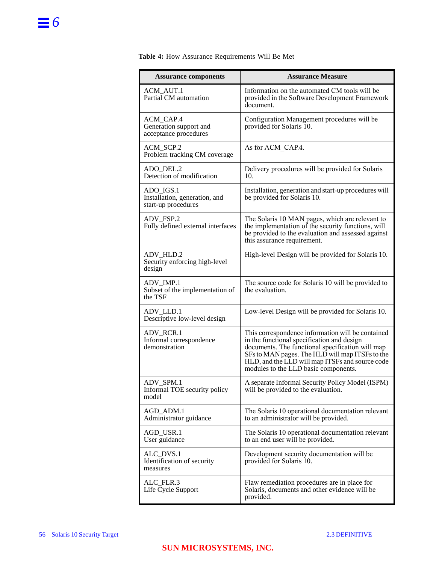#### **Assurance components Assurance Measure** ACM\_AUT.1 Partial CM automation Information on the automated CM tools will be provided in the Software Development Framework document. ACM\_CAP.4 Generation support and acceptance procedures Configuration Management procedures will be provided for Solaris 10. ACM\_SCP.2 Problem tracking CM coverage As for ACM\_CAP.4. ADO\_DEL.2 Detection of modification Delivery procedures will be provided for Solaris 10. ADO\_IGS.1 Installation, generation, and start-up procedures Installation, generation and start-up procedures will be provided for Solaris 10. ADV\_FSP.2 Fully defined external interfaces The Solaris 10 MAN pages, which are relevant to the implementation of the security functions, will be provided to the evaluation and assessed against this assurance requirement. ADV\_HLD.2 Security enforcing high-level design High-level Design will be provided for Solaris 10. ADV\_IMP.1 Subset of the implementation of the TSF The source code for Solaris 10 will be provided to the evaluation. ADV\_LLD.1 Descriptive low-level design Low-level Design will be provided for Solaris 10. ADV\_RCR.1 Informal correspondence demonstration This correspondence information will be contained in the functional specification and design documents. The functional specification will map SFs to MAN pages. The HLD will map ITSFs to the HLD, and the LLD will map ITSFs and source code modules to the LLD basic components. ADV\_SPM.1 Informal TOE security policy model A separate Informal Security Policy Model (ISPM) will be provided to the evaluation. AGD\_ADM.1 Administrator guidance The Solaris 10 operational documentation relevant to an administrator will be provided. AGD\_USR.1 User guidance The Solaris 10 operational documentation relevant to an end user will be provided. ALC\_DVS.1 Identification of security measures Development security documentation will be provided for Solaris 10. ALC\_FLR.3 Life Cycle Support Flaw remediation procedures are in place for Solaris, documents and other evidence will be provided.

#### **Table 4:** How Assurance Requirements Will Be Met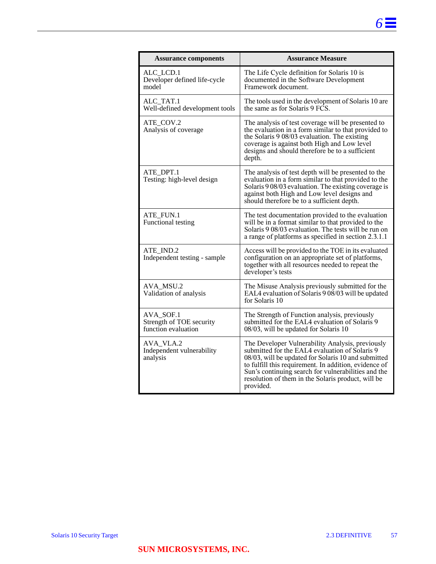| <b>Assurance components</b>                                  | <b>Assurance Measure</b>                                                                                                                                                                                                                                                                                                                     |
|--------------------------------------------------------------|----------------------------------------------------------------------------------------------------------------------------------------------------------------------------------------------------------------------------------------------------------------------------------------------------------------------------------------------|
| ALC LCD.1<br>Developer defined life-cycle<br>model           | The Life Cycle definition for Solaris 10 is<br>documented in the Software Development<br>Framework document.                                                                                                                                                                                                                                 |
| ALC_TAT.1<br>Well-defined development tools                  | The tools used in the development of Solaris 10 are<br>the same as for Solaris 9 FCS.                                                                                                                                                                                                                                                        |
| ATE COV.2<br>Analysis of coverage                            | The analysis of test coverage will be presented to<br>the evaluation in a form similar to that provided to<br>the Solaris 9 08/03 evaluation. The existing<br>coverage is against both High and Low level<br>designs and should therefore be to a sufficient<br>depth.                                                                       |
| ATE DPT.1<br>Testing: high-level design                      | The analysis of test depth will be presented to the<br>evaluation in a form similar to that provided to the<br>Solaris 9 08/03 evaluation. The existing coverage is<br>against both High and Low level designs and<br>should therefore be to a sufficient depth.                                                                             |
| ATE FUN.1<br>Functional testing                              | The test documentation provided to the evaluation<br>will be in a format similar to that provided to the<br>Solaris 9 08/03 evaluation. The tests will be run on<br>a range of platforms as specified in section 2.3.1.1                                                                                                                     |
| ATE_IND.2<br>Independent testing - sample                    | Access will be provided to the TOE in its evaluated<br>configuration on an appropriate set of platforms,<br>together with all resources needed to repeat the<br>developer's tests                                                                                                                                                            |
| AVA MSU.2<br>Validation of analysis                          | The Misuse Analysis previously submitted for the<br>EAL4 evaluation of Solaris 9 08/03 will be updated<br>for Solaris 10                                                                                                                                                                                                                     |
| AVA SOF.1<br>Strength of TOE security<br>function evaluation | The Strength of Function analysis, previously<br>submitted for the EAL4 evaluation of Solaris 9<br>08/03, will be updated for Solaris 10                                                                                                                                                                                                     |
| AVA_VLA.2<br>Independent vulnerability<br>analysis           | The Developer Vulnerability Analysis, previously<br>submitted for the EAL4 evaluation of Solaris 9<br>08/03, will be updated for Solaris 10 and submitted<br>to fulfill this requirement. In addition, evidence of<br>Sun's continuing search for vulnerabilities and the<br>resolution of them in the Solaris product, will be<br>provided. |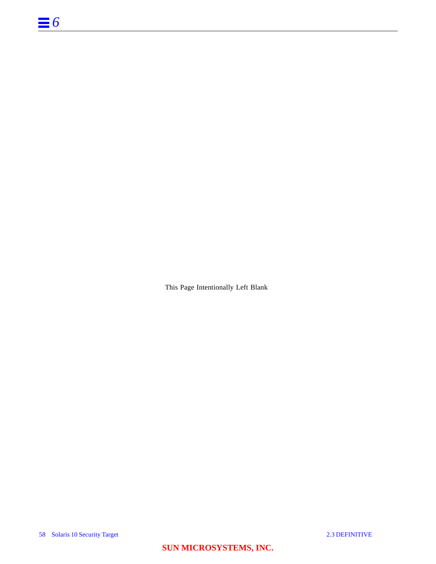This Page Intentionally Left Blank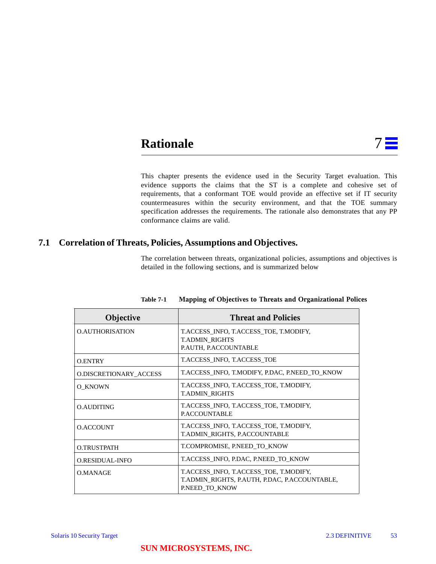# Rationale 7 and 7 and 7 and 7 and 7 and 7 and 7 and 7 and 7 and 7 and 7 and 7 and 7 and 7 and 7 and 7 and 7 and 7 and 7 and 7 and 7 and 7 and 7 and 7 and 7 and 7 and 7 and 7 and 7 and 7 and 7 and 7 and 7 and 7 and 7 and 7

This chapter presents the evidence used in the Security Target evaluation. This evidence supports the claims that the ST is a complete and cohesive set of requirements, that a conformant TOE would provide an effective set if IT security countermeasures within the security environment, and that the TOE summary specification addresses the requirements. The rationale also demonstrates that any PP conformance claims are valid.

# **7.1 Correlation of Threats, Policies, Assumptions and Objectives.**

The correlation between threats, organizational policies, assumptions and objectives is detailed in the following sections, and is summarized below

| Objective                     | <b>Threat and Policies</b>                                                                                |
|-------------------------------|-----------------------------------------------------------------------------------------------------------|
| <b>O.AUTHORISATION</b>        | T.ACCESS_INFO, T.ACCESS_TOE, T.MODIFY,<br><b>T.ADMIN RIGHTS</b><br>P.AUTH, P.ACCOUNTABLE                  |
| <b>O.ENTRY</b>                | T.ACCESS_INFO, T.ACCESS_TOE                                                                               |
| <b>O.DISCRETIONARY ACCESS</b> | T.ACCESS INFO, T.MODIFY, P.DAC, P.NEED TO KNOW                                                            |
| O KNOWN                       | T.ACCESS_INFO, T.ACCESS_TOE, T.MODIFY,<br><b>T.ADMIN RIGHTS</b>                                           |
| <b>O.AUDITING</b>             | T.ACCESS INFO, T.ACCESS TOE, T.MODIFY,<br><b>PACCOUNTABLE</b>                                             |
| <b>O.ACCOUNT</b>              | T.ACCESS_INFO, T.ACCESS_TOE, T.MODIFY,<br>T.ADMIN RIGHTS, P.ACCOUNTABLE                                   |
| O.TRUSTPATH                   | T.COMPROMISE, P.NEED TO KNOW                                                                              |
| O.RESIDUAL-INFO               | T.ACCESS INFO, P.DAC, P.NEED TO KNOW                                                                      |
| O.MANAGE                      | T.ACCESS INFO, T.ACCESS TOE, T.MODIFY,<br>T.ADMIN RIGHTS, P.AUTH, P.DAC, P.ACCOUNTABLE,<br>P.NEED TO KNOW |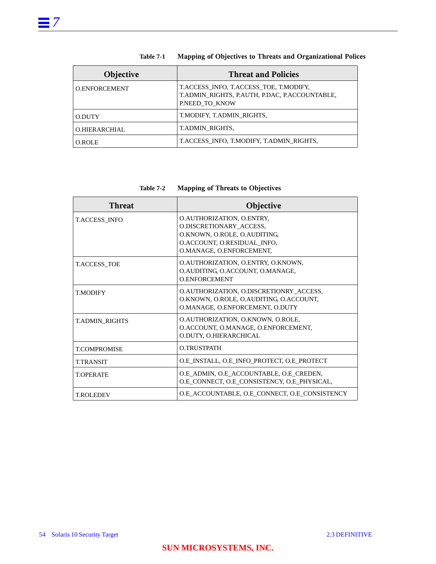| Objective            | <b>Threat and Policies</b>                                                                                |
|----------------------|-----------------------------------------------------------------------------------------------------------|
| O.ENFORCEMENT        | T.ACCESS_INFO, T.ACCESS_TOE, T.MODIFY,<br>T.ADMIN RIGHTS, P.AUTH, P.DAC, P.ACCOUNTABLE,<br>P.NEED TO KNOW |
| O.DUTY               | T.MODIFY, T.ADMIN RIGHTS,                                                                                 |
| <b>O.HIERARCHIAL</b> | T.ADMIN RIGHTS.                                                                                           |
| O.ROLE               | T.ACCESS INFO, T.MODIFY, T.ADMIN RIGHTS,                                                                  |

# **Table 7-1 Mapping of Objectives to Threats and Organizational Polices**

# **Table 7-2 Mapping of Threats to Objectives**

| Threat                | Objective                                                                                                                                         |
|-----------------------|---------------------------------------------------------------------------------------------------------------------------------------------------|
| <b>T.ACCESS INFO</b>  | O. AUTHORIZATION, O. ENTRY.<br>O.DISCRETIONARY_ACCESS,<br>O.KNOWN, O.ROLE, O.AUDITING,<br>O.ACCOUNT, O.RESIDUAL INFO,<br>O.MANAGE, O.ENFORCEMENT, |
| <b>T.ACCESS TOE</b>   | O.AUTHORIZATION, O.ENTRY, O.KNOWN,<br>O.AUDITING, O.ACCOUNT, O.MANAGE,<br><b>O.ENFORCEMENT</b>                                                    |
| <b>T.MODIFY</b>       | O. AUTHORIZATION, O.DISCRETIONRY ACCESS,<br>O.KNOWN, O.ROLE, O.AUDITING, O.ACCOUNT,<br>O.MANAGE, O.ENFORCEMENT, O.DUTY                            |
| <b>T.ADMIN RIGHTS</b> | O. AUTHORIZATION, O.KNOWN, O.ROLE,<br>O.ACCOUNT, O.MANAGE, O.ENFORCEMENT,<br>O.DUTY, O.HIERARCHICAL                                               |
| <b>T.COMPROMISE</b>   | O.TRUSTPATH                                                                                                                                       |
| <b>T.TRANSIT</b>      | O.E INSTALL, O.E INFO PROTECT, O.E PROTECT                                                                                                        |
| <b>T.OPERATE</b>      | O.E_ADMIN, O.E_ACCOUNTABLE, O.E_CREDEN,<br>O.E_CONNECT, O.E_CONSISTENCY, O.E_PHYSICAL,                                                            |
| <b>T.ROLEDEV</b>      | O.E ACCOUNTABLE, O.E CONNECT, O.E CONSISTENCY                                                                                                     |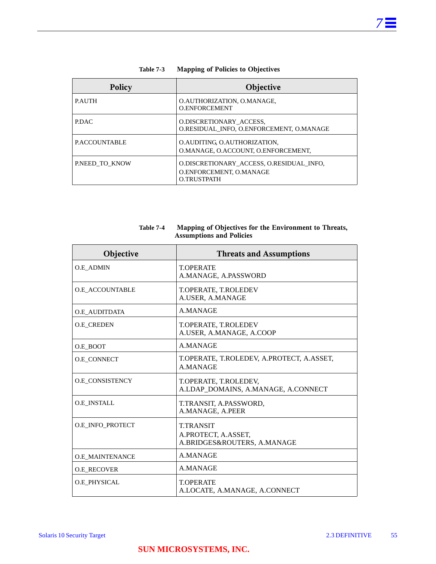| <b>Policy</b>       | Objective                                                                          |
|---------------------|------------------------------------------------------------------------------------|
| <b>PAUTH</b>        | O.AUTHORIZATION, O.MANAGE,<br><b>O.ENFORCEMENT</b>                                 |
| P.DAC.              | O.DISCRETIONARY ACCESS.<br>O.RESIDUAL INFO, O.ENFORCEMENT, O.MANAGE                |
| <b>PACCOUNTABLE</b> | O.AUDITING, O.AUTHORIZATION,<br>O.MANAGE, O.ACCOUNT, O.ENFORCEMENT,                |
| P.NEED TO KNOW      | O.DISCRETIONARY ACCESS, O.RESIDUAL INFO.<br>O.ENFORCEMENT, O.MANAGE<br>O.TRUSTPATH |

# **Table 7-3 Mapping of Policies to Objectives**

| <b>Table 7-4</b> | Mapping of Objectives for the Environment to Threats, |
|------------------|-------------------------------------------------------|
|                  | <b>Assumptions and Policies</b>                       |

| Objective               | <b>Threats and Assumptions</b>                                         |
|-------------------------|------------------------------------------------------------------------|
| <b>O.E ADMIN</b>        | <b>T.OPERATE</b><br>A.MANAGE, A.PASSWORD                               |
| <b>O.E ACCOUNTABLE</b>  | <b>T.OPERATE, T.ROLEDEV</b><br>A.USER, A.MANAGE                        |
| <b>O.E AUDITDATA</b>    | A.MANAGE                                                               |
| <b>O.E_CREDEN</b>       | T.OPERATE, T.ROLEDEV<br>A.USER, A.MANAGE, A.COOP                       |
| O.E BOOT                | A MANAGE                                                               |
| <b>O.E CONNECT</b>      | T.OPERATE, T.ROLEDEV, A.PROTECT, A.ASSET,<br>A.MANAGE                  |
| <b>O.E CONSISTENCY</b>  | T.OPERATE, T.ROLEDEV,<br>A.LDAP DOMAINS, A.MANAGE, A.CONNECT           |
| <b>O.E INSTALL</b>      | T.TRANSIT, A.PASSWORD,<br>A.MANAGE, A.PEER                             |
| <b>O.E_INFO_PROTECT</b> | <b>T.TRANSIT</b><br>A.PROTECT, A.ASSET,<br>A.BRIDGES&ROUTERS, A.MANAGE |
| <b>O.E MAINTENANCE</b>  | A.MANAGE                                                               |
| <b>O.E RECOVER</b>      | A.MANAGE                                                               |
| <b>O.E PHYSICAL</b>     | <b>T.OPERATE</b><br>A.LOCATE, A.MANAGE, A.CONNECT                      |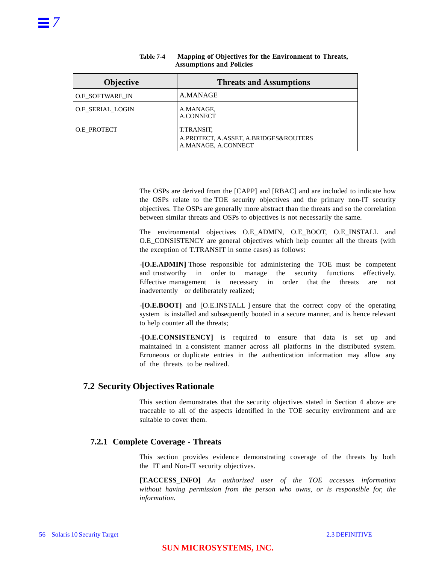| Objective               | <b>Threats and Assumptions</b>                                             |
|-------------------------|----------------------------------------------------------------------------|
| <b>O.E SOFTWARE IN</b>  | A.MANAGE                                                                   |
| <b>O.E SERIAL LOGIN</b> | A.MANAGE.<br>A.CONNECT                                                     |
| O.E PROTECT             | T.TRANSIT,<br>A.PROTECT, A.ASSET, A.BRIDGES&ROUTERS<br>A.MANAGE, A.CONNECT |

#### **Table 7-4 Mapping of Objectives for the Environment to Threats, Assumptions and Policies**

The OSPs are derived from the [CAPP] and [RBAC] and are included to indicate how the OSPs relate to the TOE security objectives and the primary non-IT security objectives. The OSPs are generally more abstract than the threats and so the correlation between similar threats and OSPs to objectives is not necessarily the same.

The environmental objectives O.E\_ADMIN, O.E\_BOOT, O.E\_INSTALL and O.E\_CONSISTENCY are general objectives which help counter all the threats (with the exception of T.TRANSIT in some cases) as follows:

-**[O.E.ADMIN]** Those responsible for administering the TOE must be competent and trustworthy in order to manage the security functions effectively. Effective management is necessary in order that the threats are not inadvertently or deliberately realized;

-**[O.E.BOOT]** and [O.E.INSTALL ] ensure that the correct copy of the operating system is installed and subsequently booted in a secure manner, and is hence relevant to help counter all the threats;

-**[O.E.CONSISTENCY]** is required to ensure that data is set up and maintained in a consistent manner across all platforms in the distributed system. Erroneous or duplicate entries in the authentication information may allow any of the threats to be realized.

# **7.2 Security Objectives Rationale**

This section demonstrates that the security objectives stated in Section 4 above are traceable to all of the aspects identified in the TOE security environment and are suitable to cover them.

# **7.2.1 Complete Coverage - Threats**

This section provides evidence demonstrating coverage of the threats by both the IT and Non-IT security objectives.

**[T.ACCESS\_INFO]** *An authorized user of the TOE accesses information without having permission from the person who owns, or is responsible for, the information.*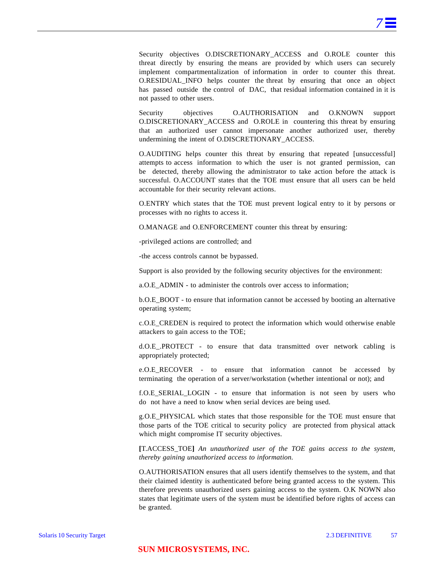Security objectives O.DISCRETIONARY\_ACCESS and O.ROLE counter this threat directly by ensuring the means are provided by which users can securely implement compartmentalization of information in order to counter this threat. O.RESIDUAL\_INFO helps counter the threat by ensuring that once an object has passed outside the control of DAC, that residual information contained in it is not passed to other users.

Security objectives O.AUTHORISATION and O.KNOWN support O.DISCRETIONARY\_ACCESS and O.ROLE in countering this threat by ensuring that an authorized user cannot impersonate another authorized user, thereby undermining the intent of O.DISCRETIONARY\_ACCESS.

O.AUDITING helps counter this threat by ensuring that repeated [unsuccessful] attempts to access information to which the user is not granted permission, can be detected, thereby allowing the administrator to take action before the attack is successful. O.ACCOUNT states that the TOE must ensure that all users can be held accountable for their security relevant actions.

O.ENTRY which states that the TOE must prevent logical entry to it by persons or processes with no rights to access it.

O.MANAGE and O.ENFORCEMENT counter this threat by ensuring:

-privileged actions are controlled; and

-the access controls cannot be bypassed.

Support is also provided by the following security objectives for the environment:

a.O.E\_ADMIN - to administer the controls over access to information;

b.O.E\_BOOT - to ensure that information cannot be accessed by booting an alternative operating system;

c.O.E\_CREDEN is required to protect the information which would otherwise enable attackers to gain access to the TOE;

d.O.E\_.PROTECT - to ensure that data transmitted over network cabling is appropriately protected;

e.O.E\_RECOVER - to ensure that information cannot be accessed by terminating the operation of a server/workstation (whether intentional or not); and

f.O.E\_SERIAL\_LOGIN - to ensure that information is not seen by users who do not have a need to know when serial devices are being used.

g.O.E\_PHYSICAL which states that those responsible for the TOE must ensure that those parts of the TOE critical to security policy are protected from physical attack which might compromise IT security objectives.

**[**T.ACCESS\_TOE**]** *An unauthorized user of the TOE gains access to the system, thereby gaining unauthorized access to information.*

O.AUTHORISATION ensures that all users identify themselves to the system, and that their claimed identity is authenticated before being granted access to the system. This therefore prevents unauthorized users gaining access to the system. O.K NOWN also states that legitimate users of the system must be identified before rights of access can be granted.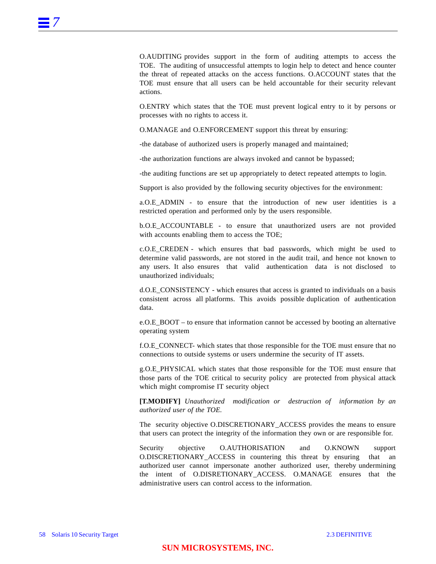O.AUDITING provides support in the form of auditing attempts to access the TOE. The auditing of unsuccessful attempts to login help to detect and hence counter the threat of repeated attacks on the access functions. O.ACCOUNT states that the TOE must ensure that all users can be held accountable for their security relevant actions.

O.ENTRY which states that the TOE must prevent logical entry to it by persons or processes with no rights to access it.

O.MANAGE and O.ENFORCEMENT support this threat by ensuring:

-the database of authorized users is properly managed and maintained;

-the authorization functions are always invoked and cannot be bypassed;

-the auditing functions are set up appropriately to detect repeated attempts to login.

Support is also provided by the following security objectives for the environment:

a.O.E\_ADMIN - to ensure that the introduction of new user identities is a restricted operation and performed only by the users responsible.

b.O.E\_ACCOUNTABLE - to ensure that unauthorized users are not provided with accounts enabling them to access the TOE;

c.O.E\_CREDEN - which ensures that bad passwords, which might be used to determine valid passwords, are not stored in the audit trail, and hence not known to any users. It also ensures that valid authentication data is not disclosed to unauthorized individuals;

d.O.E\_CONSISTENCY - which ensures that access is granted to individuals on a basis consistent across all platforms. This avoids possible duplication of authentication data.

e.O.E\_BOOT – to ensure that information cannot be accessed by booting an alternative operating system

f.O.E\_CONNECT- which states that those responsible for the TOE must ensure that no connections to outside systems or users undermine the security of IT assets.

g.O.E\_PHYSICAL which states that those responsible for the TOE must ensure that those parts of the TOE critical to security policy are protected from physical attack which might compromise IT security object

**[T.MODIFY]** *Unauthorized modification or destruction of information by an authorized user of the TOE.*

The security objective O.DISCRETIONARY\_ACCESS provides the means to ensure that users can protect the integrity of the information they own or are responsible for.

Security objective O.AUTHORISATION and O.KNOWN support O.DISCRETIONARY\_ACCESS in countering this threat by ensuring that an authorized user cannot impersonate another authorized user, thereby undermining the intent of O.DISRETIONARY\_ACCESS. O.MANAGE ensures that the administrative users can control access to the information.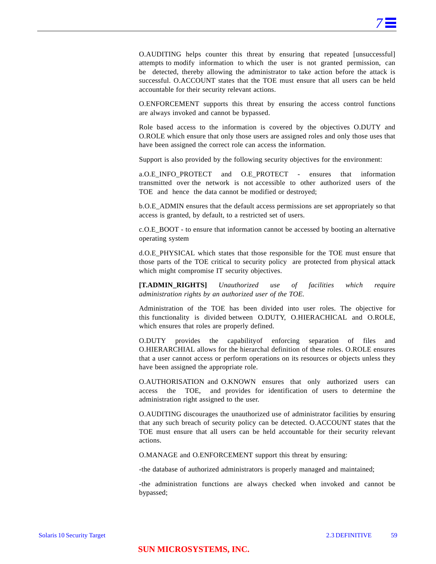O.AUDITING helps counter this threat by ensuring that repeated [unsuccessful] attempts to modify information to which the user is not granted permission, can be detected, thereby allowing the administrator to take action before the attack is successful. O.ACCOUNT states that the TOE must ensure that all users can be held accountable for their security relevant actions.

O.ENFORCEMENT supports this threat by ensuring the access control functions are always invoked and cannot be bypassed.

Role based access to the information is covered by the objectives O.DUTY and O.ROLE which ensure that only those users are assigned roles and only those uses that have been assigned the correct role can access the information.

Support is also provided by the following security objectives for the environment:

a.O.E\_INFO\_PROTECT and O.E\_PROTECT - ensures that information transmitted over the network is not accessible to other authorized users of the TOE and hence the data cannot be modified or destroyed;

b.O.E\_ADMIN ensures that the default access permissions are set appropriately so that access is granted, by default, to a restricted set of users.

c.O.E\_BOOT - to ensure that information cannot be accessed by booting an alternative operating system

d.O.E\_PHYSICAL which states that those responsible for the TOE must ensure that those parts of the TOE critical to security policy are protected from physical attack which might compromise IT security objectives.

**[T.ADMIN\_RIGHTS]** *Unauthorized use of facilities which require administration rights by an authorized user of the TOE.*

Administration of the TOE has been divided into user roles. The objective for this functionality is divided between O.DUTY, O.HIERACHICAL and O.ROLE, which ensures that roles are properly defined.

O.DUTY provides the capabilityof enforcing separation of files and O.HIERARCHIAL allows for the hierarchal definition of these roles. O.ROLE ensures that a user cannot access or perform operations on its resources or objects unless they have been assigned the appropriate role.

O.AUTHORISATION and O.KNOWN ensures that only authorized users can access the TOE, and provides for identification of users to determine the administration right assigned to the user.

O.AUDITING discourages the unauthorized use of administrator facilities by ensuring that any such breach of security policy can be detected. O.ACCOUNT states that the TOE must ensure that all users can be held accountable for their security relevant actions.

O.MANAGE and O.ENFORCEMENT support this threat by ensuring:

-the database of authorized administrators is properly managed and maintained;

-the administration functions are always checked when invoked and cannot be bypassed;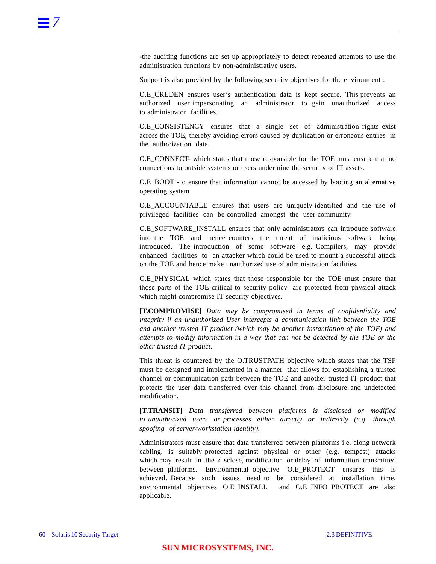-the auditing functions are set up appropriately to detect repeated attempts to use the administration functions by non-administrative users.

Support is also provided by the following security objectives for the environment :

O.E\_CREDEN ensures user's authentication data is kept secure. This prevents an authorized user impersonating an administrator to gain unauthorized access to administrator facilities.

O.E\_CONSISTENCY ensures that a single set of administration rights exist across the TOE, thereby avoiding errors caused by duplication or erroneous entries in the authorization data.

O.E\_CONNECT- which states that those responsible for the TOE must ensure that no connections to outside systems or users undermine the security of IT assets.

O.E\_BOOT - o ensure that information cannot be accessed by booting an alternative operating system

O.E\_ACCOUNTABLE ensures that users are uniquely identified and the use of privileged facilities can be controlled amongst the user community.

O.E\_SOFTWARE\_INSTALL ensures that only administrators can introduce software into the TOE and hence counters the threat of malicious software being introduced. The introduction of some software e.g. Compilers, may provide enhanced facilities to an attacker which could be used to mount a successful attack on the TOE and hence make unauthorized use of administration facilities.

O.E\_PHYSICAL which states that those responsible for the TOE must ensure that those parts of the TOE critical to security policy are protected from physical attack which might compromise IT security objectives.

**[T.COMPROMISE]** *Data may be compromised in terms of confidentiality and integrity if an unauthorized User intercepts a communication link between the TOE and another trusted IT product (which may be another instantiation of the TOE) and attempts to modify information in a way that can not be detected by the TOE or the other trusted IT product.* 

This threat is countered by the O.TRUSTPATH objective which states that the TSF must be designed and implemented in a manner that allows for establishing a trusted channel or communication path between the TOE and another trusted IT product that protects the user data transferred over this channel from disclosure and undetected modification.

**[T.TRANSIT]** *Data transferred between platforms is disclosed or modified to unauthorized users or processes either directly or indirectly (e.g. through spoofing of server/workstation identity).*

Administrators must ensure that data transferred between platforms i.e. along network cabling, is suitably protected against physical or other (e.g. tempest) attacks which may result in the disclose, modification or delay of information transmitted between platforms. Environmental objective O.E\_PROTECT ensures this is achieved. Because such issues need to be considered at installation time, environmental objectives O.E\_INSTALL and O.E\_INFO\_PROTECT are also applicable.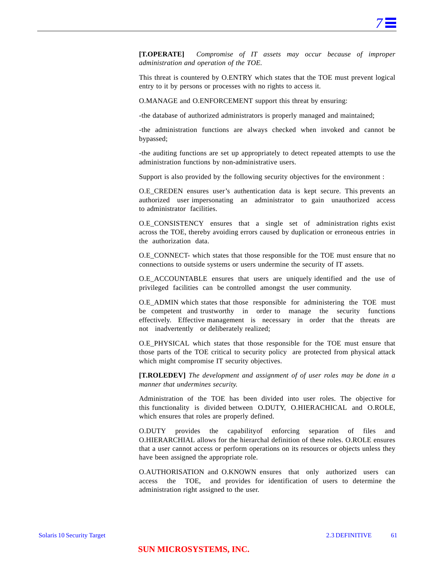**[T.OPERATE]** *Compromise of IT assets may occur because of improper administration and operation of the TOE.*

This threat is countered by O.ENTRY which states that the TOE must prevent logical entry to it by persons or processes with no rights to access it.

O.MANAGE and O.ENFORCEMENT support this threat by ensuring:

-the database of authorized administrators is properly managed and maintained;

-the administration functions are always checked when invoked and cannot be bypassed;

-the auditing functions are set up appropriately to detect repeated attempts to use the administration functions by non-administrative users.

Support is also provided by the following security objectives for the environment :

O.E\_CREDEN ensures user's authentication data is kept secure. This prevents an authorized user impersonating an administrator to gain unauthorized access to administrator facilities.

O.E\_CONSISTENCY ensures that a single set of administration rights exist across the TOE, thereby avoiding errors caused by duplication or erroneous entries in the authorization data.

O.E\_CONNECT- which states that those responsible for the TOE must ensure that no connections to outside systems or users undermine the security of IT assets.

O.E\_ACCOUNTABLE ensures that users are uniquely identified and the use of privileged facilities can be controlled amongst the user community.

O.E\_ADMIN which states that those responsible for administering the TOE must be competent and trustworthy in order to manage the security functions effectively. Effective management is necessary in order that the threats are not inadvertently or deliberately realized;

O.E\_PHYSICAL which states that those responsible for the TOE must ensure that those parts of the TOE critical to security policy are protected from physical attack which might compromise IT security objectives.

**[T.ROLEDEV]** *The development and assignment of of user roles may be done in a manner that undermines security.* 

Administration of the TOE has been divided into user roles. The objective for this functionality is divided between O.DUTY, O.HIERACHICAL and O.ROLE, which ensures that roles are properly defined.

O.DUTY provides the capabilityof enforcing separation of files and O.HIERARCHIAL allows for the hierarchal definition of these roles. O.ROLE ensures that a user cannot access or perform operations on its resources or objects unless they have been assigned the appropriate role.

O.AUTHORISATION and O.KNOWN ensures that only authorized users can access the TOE, and provides for identification of users to determine the administration right assigned to the user.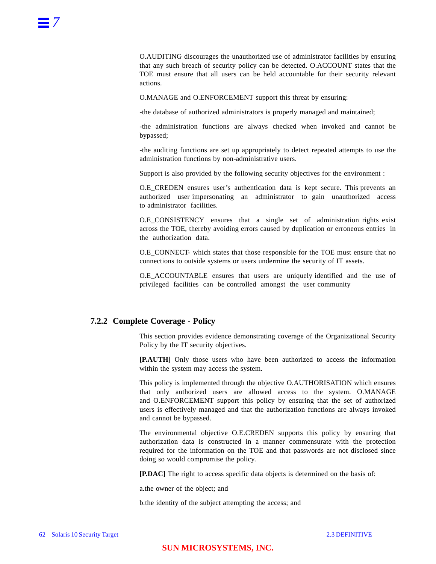O.AUDITING discourages the unauthorized use of administrator facilities by ensuring that any such breach of security policy can be detected. O.ACCOUNT states that the TOE must ensure that all users can be held accountable for their security relevant actions.

O.MANAGE and O.ENFORCEMENT support this threat by ensuring:

-the database of authorized administrators is properly managed and maintained;

-the administration functions are always checked when invoked and cannot be bypassed;

-the auditing functions are set up appropriately to detect repeated attempts to use the administration functions by non-administrative users.

Support is also provided by the following security objectives for the environment :

O.E\_CREDEN ensures user's authentication data is kept secure. This prevents an authorized user impersonating an administrator to gain unauthorized access to administrator facilities.

O.E\_CONSISTENCY ensures that a single set of administration rights exist across the TOE, thereby avoiding errors caused by duplication or erroneous entries in the authorization data.

O.E\_CONNECT- which states that those responsible for the TOE must ensure that no connections to outside systems or users undermine the security of IT assets.

O.E\_ACCOUNTABLE ensures that users are uniquely identified and the use of privileged facilities can be controlled amongst the user community

# **7.2.2 Complete Coverage - Policy**

This section provides evidence demonstrating coverage of the Organizational Security Policy by the IT security objectives.

**[P.AUTH]** Only those users who have been authorized to access the information within the system may access the system.

This policy is implemented through the objective O.AUTHORISATION which ensures that only authorized users are allowed access to the system. O.MANAGE and O.ENFORCEMENT support this policy by ensuring that the set of authorized users is effectively managed and that the authorization functions are always invoked and cannot be bypassed.

The environmental objective O.E.CREDEN supports this policy by ensuring that authorization data is constructed in a manner commensurate with the protection required for the information on the TOE and that passwords are not disclosed since doing so would compromise the policy.

**[P.DAC]** The right to access specific data objects is determined on the basis of:

a.the owner of the object; and

b.the identity of the subject attempting the access; and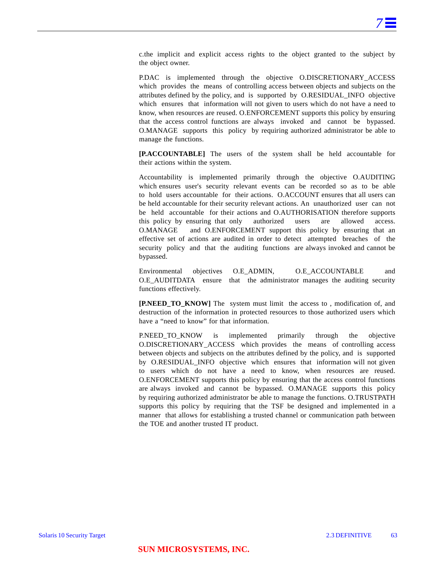c.the implicit and explicit access rights to the object granted to the subject by the object owner.

P.DAC is implemented through the objective O.DISCRETIONARY\_ACCESS which provides the means of controlling access between objects and subjects on the attributes defined by the policy, and is supported by O.RESIDUAL\_INFO objective which ensures that information will not given to users which do not have a need to know, when resources are reused. O.ENFORCEMENT supports this policy by ensuring that the access control functions are always invoked and cannot be bypassed. O.MANAGE supports this policy by requiring authorized administrator be able to manage the functions.

**[P.ACCOUNTABLE]** The users of the system shall be held accountable for their actions within the system.

Accountability is implemented primarily through the objective O.AUDITING which ensures user's security relevant events can be recorded so as to be able to hold users accountable for their actions. O.ACCOUNT ensures that all users can be held accountable for their security relevant actions. An unauthorized user can not be held accountable for their actions and O.AUTHORISATION therefore supports this policy by ensuring that only authorized users are allowed access. O.MANAGE and O.ENFORCEMENT support this policy by ensuring that an effective set of actions are audited in order to detect attempted breaches of the security policy and that the auditing functions are always invoked and cannot be bypassed.

Environmental objectives O.E. ADMIN, O.E. ACCOUNTABLE and O.E\_AUDITDATA ensure that the administrator manages the auditing security functions effectively.

**[P.NEED\_TO\_KNOW]** The system must limit the access to , modification of, and destruction of the information in protected resources to those authorized users which have a "need to know" for that information.

P.NEED\_TO\_KNOW is implemented primarily through the objective O.DISCRETIONARY\_ACCESS which provides the means of controlling access between objects and subjects on the attributes defined by the policy, and is supported by O.RESIDUAL\_INFO objective which ensures that information will not given to users which do not have a need to know, when resources are reused. O.ENFORCEMENT supports this policy by ensuring that the access control functions are always invoked and cannot be bypassed. O.MANAGE supports this policy by requiring authorized administrator be able to manage the functions. O.TRUSTPATH supports this policy by requiring that the TSF be designed and implemented in a manner that allows for establishing a trusted channel or communication path between the TOE and another trusted IT product.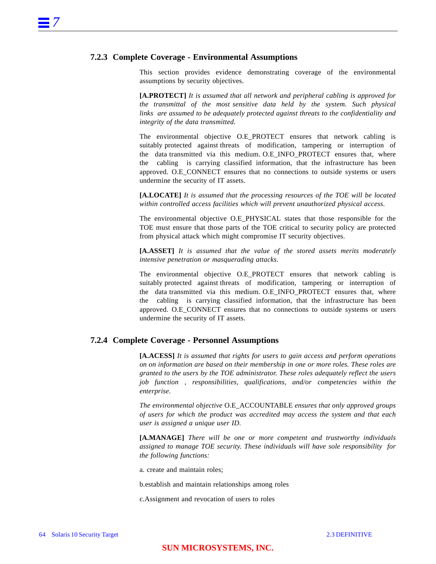#### **7.2.3 Complete Coverage - Environmental Assumptions**

This section provides evidence demonstrating coverage of the environmental assumptions by security objectives.

**[A.PROTECT]** *It is assumed that all network and peripheral cabling is approved for the transmittal of the most sensitive data held by the system. Such physical links are assumed to be adequately protected against threats to the confidentiality and integrity of the data transmitted.*

The environmental objective O.E\_PROTECT ensures that network cabling is suitably protected against threats of modification, tampering or interruption of the data transmitted via this medium. O.E\_INFO\_PROTECT ensures that, where the cabling is carrying classified information, that the infrastructure has been approved. O.E\_CONNECT ensures that no connections to outside systems or users undermine the security of IT assets.

**[A.LOCATE]** *It is assumed that the processing resources of the TOE will be located within controlled access facilities which will prevent unauthorized physical access.*

The environmental objective O.E\_PHYSICAL states that those responsible for the TOE must ensure that those parts of the TOE critical to security policy are protected from physical attack which might compromise IT security objectives.

**[A.ASSET]** *It is assumed that the value of the stored assets merits moderately intensive penetration or masquerading attacks.* 

The environmental objective O.E\_PROTECT ensures that network cabling is suitably protected against threats of modification, tampering or interruption of the data transmitted via this medium. O.E\_INFO\_PROTECT ensures that, where the cabling is carrying classified information, that the infrastructure has been approved. O.E\_CONNECT ensures that no connections to outside systems or users undermine the security of IT assets.

#### **7.2.4 Complete Coverage - Personnel Assumptions**

**[A.ACESS]** *It is assumed that rights for users to gain access and perform operations on on information are based on their membership in one or more roles. These roles are granted to the users by the TOE administrator. These roles adequately reflect the users job function , responsibilities, qualifications, and/or competencies within the enterprise.*

*The environmental objective* O.E\_ACCOUNTABLE *ensures that only approved groups of users for which the product was accredited may access the system and that each user is assigned a unique user ID.*

**[A.MANAGE]** *There will be one or more competent and trustworthy individuals assigned to manage TOE security. These individuals will have sole responsibility for the following functions:*

a. create and maintain roles;

b.establish and maintain relationships among roles

c.Assignment and revocation of users to roles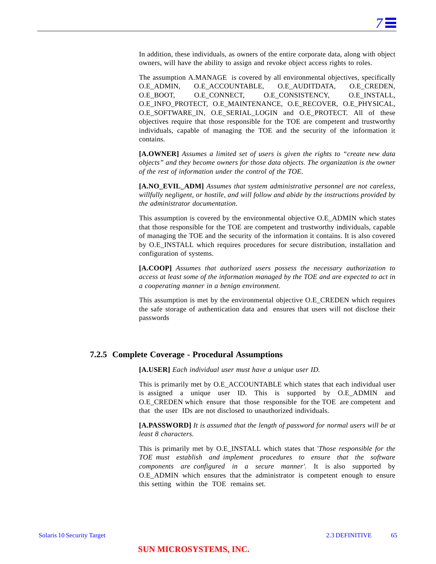In addition, these individuals, as owners of the entire corporate data, along with object owners, will have the ability to assign and revoke object access rights to roles.

The assumption A.MANAGE is covered by all environmental objectives, specifically O.E\_ADMIN, O.E\_ACCOUNTABLE, O.E\_AUDITDATA, O.E\_CREDEN, O.E\_BOOT, O.E\_CONNECT, O.E\_CONSISTENCY, O.E\_INSTALL, O.E\_INFO\_PROTECT, O.E\_MAINTENANCE, O.E\_RECOVER, O.E\_PHYSICAL, O.E\_SOFTWARE\_IN, O.E\_SERIAL\_LOGIN and O.E\_PROTECT. All of these objectives require that those responsible for the TOE are competent and trustworthy individuals, capable of managing the TOE and the security of the information it contains.

**[A.OWNER]** *Assumes a limited set of users is given the rights to "create new data objects" and they become owners for those data objects. The organization is the owner of the rest of information under the control of the TOE.* 

**[A.NO\_EVIL\_ADM]** *Assumes that system administrative personnel are not careless, willfully negligent, or hostile, and will follow and abide by the instructions provided by the administrator documentation.*

This assumption is covered by the environmental objective O.E\_ADMIN which states that those responsible for the TOE are competent and trustworthy individuals, capable of managing the TOE and the security of the information it contains. It is also covered by O.E\_INSTALL which requires procedures for secure distribution, installation and configuration of systems.

**[A.COOP]** *Assumes that authorized users possess the necessary authorization to access at least some of the information managed by the TOE and are expected to act in a cooperating manner in a benign environment.* 

This assumption is met by the environmental objective O.E\_CREDEN which requires the safe storage of authentication data and ensures that users will not disclose their passwords

## **7.2.5 Complete Coverage - Procedural Assumptions**

**[A.USER]** *Each individual user must have a unique user ID.*

This is primarily met by O.E\_ACCOUNTABLE which states that each individual user is assigned a unique user ID. This is supported by O.E\_ADMIN and O.E\_CREDEN which ensure that those responsible for the TOE are competent and that the user IDs are not disclosed to unauthorized individuals.

**[A.PASSWORD]** *It is assumed that the length of password for normal users will be at least 8 characters.*

This is primarily met by O.E\_INSTALL which states that '*Those responsible for the TOE must establish and implement procedures to ensure that the software components are configured in a secure manner'.* It is also supported by O.E\_ADMIN which ensures that the administrator is competent enough to ensure this setting within the TOE remains set.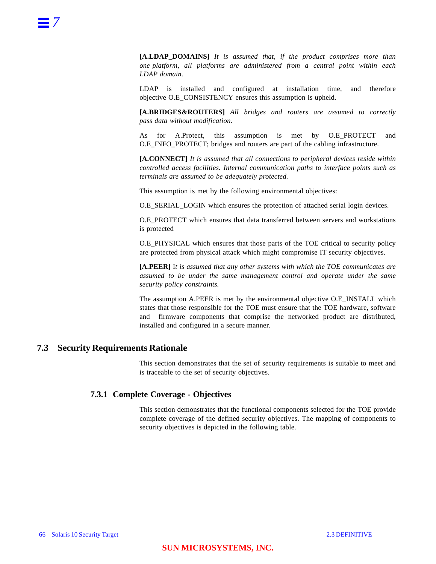**[A.LDAP\_DOMAINS]** *It is assumed that, if the product comprises more than one platform, all platforms are administered from a central point within each LDAP domain.*

LDAP is installed and configured at installation time, and therefore objective O.E\_CONSISTENCY ensures this assumption is upheld.

**[A.BRIDGES&ROUTERS]** *All bridges and routers are assumed to correctly pass data without modification.*

As for A.Protect, this assumption is met by O.E\_PROTECT and O.E\_INFO\_PROTECT; bridges and routers are part of the cabling infrastructure.

**[A.CONNECT]** *It is assumed that all connections to peripheral devices reside within controlled access facilities. Internal communication paths to interface points such as terminals are assumed to be adequately protected.* 

This assumption is met by the following environmental objectives:

O.E\_SERIAL\_LOGIN which ensures the protection of attached serial login devices.

O.E\_PROTECT which ensures that data transferred between servers and workstations is protected

O.E\_PHYSICAL which ensures that those parts of the TOE critical to security policy are protected from physical attack which might compromise IT security objectives.

**[A.PEER]** I*t is assumed that any other systems with which the TOE communicates are assumed to be under the same management control and operate under the same security policy constraints.* 

The assumption A.PEER is met by the environmental objective O.E\_INSTALL which states that those responsible for the TOE must ensure that the TOE hardware, software and firmware components that comprise the networked product are distributed, installed and configured in a secure manner.

## **7.3 Security Requirements Rationale**

This section demonstrates that the set of security requirements is suitable to meet and is traceable to the set of security objectives.

## **7.3.1 Complete Coverage - Objectives**

This section demonstrates that the functional components selected for the TOE provide complete coverage of the defined security objectives. The mapping of components to security objectives is depicted in the following table.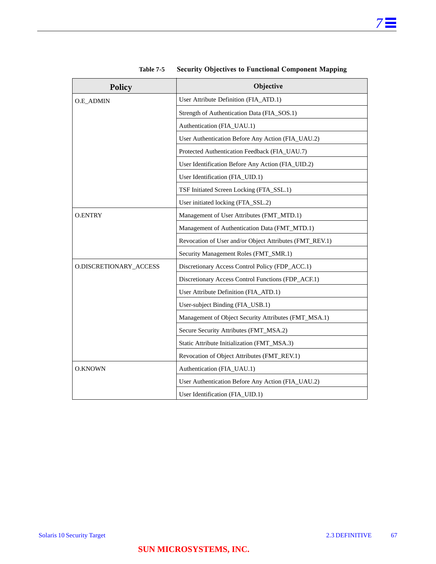| <b>Policy</b>          | Objective                                               |  |  |  |  |  |
|------------------------|---------------------------------------------------------|--|--|--|--|--|
| <b>O.E_ADMIN</b>       | User Attribute Definition (FIA_ATD.1)                   |  |  |  |  |  |
|                        | Strength of Authentication Data (FIA_SOS.1)             |  |  |  |  |  |
|                        | Authentication (FIA_UAU.1)                              |  |  |  |  |  |
|                        | User Authentication Before Any Action (FIA_UAU.2)       |  |  |  |  |  |
|                        | Protected Authentication Feedback (FIA_UAU.7)           |  |  |  |  |  |
|                        | User Identification Before Any Action (FIA_UID.2)       |  |  |  |  |  |
|                        | User Identification (FIA_UID.1)                         |  |  |  |  |  |
|                        | TSF Initiated Screen Locking (FTA_SSL.1)                |  |  |  |  |  |
|                        | User initiated locking (FTA_SSL.2)                      |  |  |  |  |  |
| <b>O.ENTRY</b>         | Management of User Attributes (FMT_MTD.1)               |  |  |  |  |  |
|                        | Management of Authentication Data (FMT_MTD.1)           |  |  |  |  |  |
|                        | Revocation of User and/or Object Attributes (FMT_REV.1) |  |  |  |  |  |
|                        | Security Management Roles (FMT_SMR.1)                   |  |  |  |  |  |
| O.DISCRETIONARY_ACCESS | Discretionary Access Control Policy (FDP_ACC.1)         |  |  |  |  |  |
|                        | Discretionary Access Control Functions (FDP_ACF.1)      |  |  |  |  |  |
|                        | User Attribute Definition (FIA_ATD.1)                   |  |  |  |  |  |
|                        | User-subject Binding (FIA_USB.1)                        |  |  |  |  |  |
|                        | Management of Object Security Attributes (FMT_MSA.1)    |  |  |  |  |  |
|                        | Secure Security Attributes (FMT_MSA.2)                  |  |  |  |  |  |
|                        | Static Attribute Initialization (FMT_MSA.3)             |  |  |  |  |  |
|                        | Revocation of Object Attributes (FMT_REV.1)             |  |  |  |  |  |
| <b>O.KNOWN</b>         | Authentication (FIA_UAU.1)                              |  |  |  |  |  |
|                        | User Authentication Before Any Action (FIA_UAU.2)       |  |  |  |  |  |
|                        | User Identification (FIA_UID.1)                         |  |  |  |  |  |

| Table 7-5 | <b>Security Objectives to Functional Component Mapping</b> |  |
|-----------|------------------------------------------------------------|--|
|           |                                                            |  |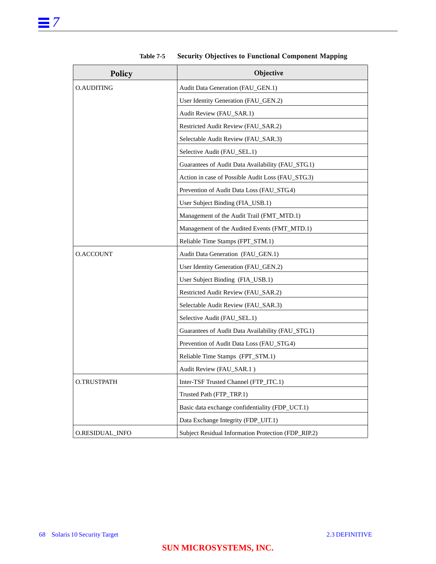| <b>Policy</b>          | Objective                                           |  |  |  |  |  |
|------------------------|-----------------------------------------------------|--|--|--|--|--|
| <b>O.AUDITING</b>      | Audit Data Generation (FAU_GEN.1)                   |  |  |  |  |  |
|                        | User Identity Generation (FAU_GEN.2)                |  |  |  |  |  |
|                        | Audit Review (FAU_SAR.1)                            |  |  |  |  |  |
|                        | Restricted Audit Review (FAU_SAR.2)                 |  |  |  |  |  |
|                        | Selectable Audit Review (FAU_SAR.3)                 |  |  |  |  |  |
|                        | Selective Audit (FAU_SEL.1)                         |  |  |  |  |  |
|                        | Guarantees of Audit Data Availability (FAU_STG1)    |  |  |  |  |  |
|                        | Action in case of Possible Audit Loss (FAU_STG3)    |  |  |  |  |  |
|                        | Prevention of Audit Data Loss (FAU_STG4)            |  |  |  |  |  |
|                        | User Subject Binding (FIA_USB.1)                    |  |  |  |  |  |
|                        | Management of the Audit Trail (FMT_MTD.1)           |  |  |  |  |  |
|                        | Management of the Audited Events (FMT_MTD.1)        |  |  |  |  |  |
|                        | Reliable Time Stamps (FPT_STM.1)                    |  |  |  |  |  |
| <b>O.ACCOUNT</b>       | Audit Data Generation (FAU_GEN.1)                   |  |  |  |  |  |
|                        | User Identity Generation (FAU_GEN.2)                |  |  |  |  |  |
|                        | User Subject Binding (FIA USB.1)                    |  |  |  |  |  |
|                        | Restricted Audit Review (FAU_SAR.2)                 |  |  |  |  |  |
|                        | Selectable Audit Review (FAU_SAR.3)                 |  |  |  |  |  |
|                        | Selective Audit (FAU_SEL.1)                         |  |  |  |  |  |
|                        | Guarantees of Audit Data Availability (FAU_STG1)    |  |  |  |  |  |
|                        | Prevention of Audit Data Loss (FAU_STG4)            |  |  |  |  |  |
|                        | Reliable Time Stamps (FPT_STM.1)                    |  |  |  |  |  |
|                        | Audit Review (FAU_SAR.1)                            |  |  |  |  |  |
| O.TRUSTPATH            | Inter-TSF Trusted Channel (FTP_ITC.1)               |  |  |  |  |  |
|                        | Trusted Path (FTP_TRP.1)                            |  |  |  |  |  |
|                        | Basic data exchange confidentiality (FDP_UCT.1)     |  |  |  |  |  |
|                        | Data Exchange Integrity (FDP_UIT.1)                 |  |  |  |  |  |
| <b>O.RESIDUAL INFO</b> | Subject Residual Information Protection (FDP_RIP.2) |  |  |  |  |  |

## **Table 7-5 Security Objectives to Functional Component Mapping**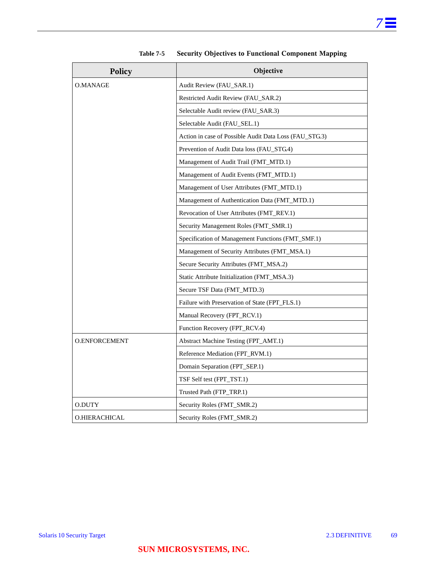| <b>Policy</b> | Objective                                             |  |  |  |  |  |
|---------------|-------------------------------------------------------|--|--|--|--|--|
| O.MANAGE      | Audit Review (FAU_SAR.1)                              |  |  |  |  |  |
|               | Restricted Audit Review (FAU_SAR.2)                   |  |  |  |  |  |
|               | Selectable Audit review (FAU_SAR.3)                   |  |  |  |  |  |
|               | Selectable Audit (FAU_SEL.1)                          |  |  |  |  |  |
|               | Action in case of Possible Audit Data Loss (FAU_STG3) |  |  |  |  |  |
|               | Prevention of Audit Data loss (FAU_STG4)              |  |  |  |  |  |
|               | Management of Audit Trail (FMT_MTD.1)                 |  |  |  |  |  |
|               | Management of Audit Events (FMT_MTD.1)                |  |  |  |  |  |
|               | Management of User Attributes (FMT_MTD.1)             |  |  |  |  |  |
|               | Management of Authentication Data (FMT_MTD.1)         |  |  |  |  |  |
|               | Revocation of User Attributes (FMT_REV.1)             |  |  |  |  |  |
|               | Security Management Roles (FMT_SMR.1)                 |  |  |  |  |  |
|               | Specification of Management Functions (FMT_SMF.1)     |  |  |  |  |  |
|               | Management of Security Attributes (FMT_MSA.1)         |  |  |  |  |  |
|               | Secure Security Attributes (FMT_MSA.2)                |  |  |  |  |  |
|               | Static Attribute Initialization (FMT_MSA.3)           |  |  |  |  |  |
|               | Secure TSF Data (FMT_MTD.3)                           |  |  |  |  |  |
|               | Failure with Preservation of State (FPT_FLS.1)        |  |  |  |  |  |
|               | Manual Recovery (FPT_RCV.1)                           |  |  |  |  |  |
|               | Function Recovery (FPT_RCV.4)                         |  |  |  |  |  |
| O.ENFORCEMENT | Abstract Machine Testing (FPT_AMT.1)                  |  |  |  |  |  |
|               | Reference Mediation (FPT_RVM.1)                       |  |  |  |  |  |
|               | Domain Separation (FPT_SEP.1)                         |  |  |  |  |  |
|               | TSF Self test (FPT_TST.1)                             |  |  |  |  |  |
|               | Trusted Path (FTP_TRP.1)                              |  |  |  |  |  |
| O.DUTY        | Security Roles (FMT_SMR.2)                            |  |  |  |  |  |
| O.HIERACHICAL | Security Roles (FMT_SMR.2)                            |  |  |  |  |  |

**Table 7-5 Security Objectives to Functional Component Mapping**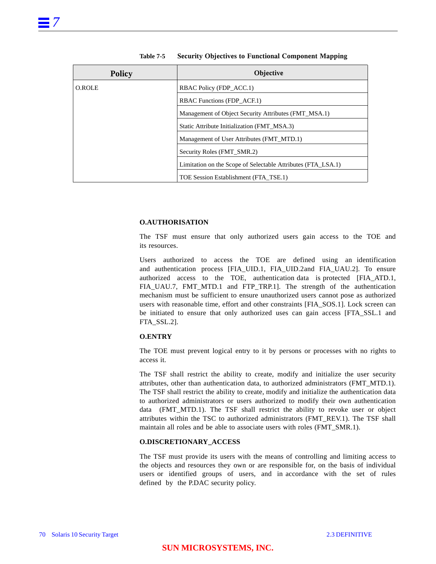| <b>Policy</b> | Objective                                                    |
|---------------|--------------------------------------------------------------|
| <b>O.ROLE</b> | RBAC Policy (FDP_ACC.1)                                      |
|               | RBAC Functions (FDP ACF.1)                                   |
|               | Management of Object Security Attributes (FMT_MSA.1)         |
|               | Static Attribute Initialization (FMT MSA.3)                  |
|               | Management of User Attributes (FMT MTD.1)                    |
|               | Security Roles (FMT SMR.2)                                   |
|               | Limitation on the Scope of Selectable Attributes (FTA LSA.1) |
|               | TOE Session Establishment (FTA TSE.1)                        |

| Table 7-5 | <b>Security Objectives to Functional Component Mapping</b> |  |  |  |  |
|-----------|------------------------------------------------------------|--|--|--|--|
|           |                                                            |  |  |  |  |

#### **O.AUTHORISATION**

The TSF must ensure that only authorized users gain access to the TOE and its resources.

Users authorized to access the TOE are defined using an identification and authentication process [FIA\_UID.1, FIA\_UID.2and FIA\_UAU.2]. To ensure authorized access to the TOE, authentication data is protected [FIA\_ATD.1, FIA UAU.7, FMT MTD.1 and FTP TRP.1]. The strength of the authentication mechanism must be sufficient to ensure unauthorized users cannot pose as authorized users with reasonable time, effort and other constraints [FIA\_SOS.1]. Lock screen can be initiated to ensure that only authorized uses can gain access [FTA\_SSL.1 and FTA\_SSL.2].

#### **O.ENTRY**

The TOE must prevent logical entry to it by persons or processes with no rights to access it.

The TSF shall restrict the ability to create, modify and initialize the user security attributes, other than authentication data, to authorized administrators (FMT\_MTD.1). The TSF shall restrict the ability to create, modify and initialize the authentication data to authorized administrators or users authorized to modify their own authentication data (FMT\_MTD.1). The TSF shall restrict the ability to revoke user or object attributes within the TSC to authorized administrators (FMT\_REV.1). The TSF shall maintain all roles and be able to associate users with roles (FMT\_SMR.1).

## **O.DISCRETIONARY\_ACCESS**

The TSF must provide its users with the means of controlling and limiting access to the objects and resources they own or are responsible for, on the basis of individual users or identified groups of users, and in accordance with the set of rules defined by the P.DAC security policy.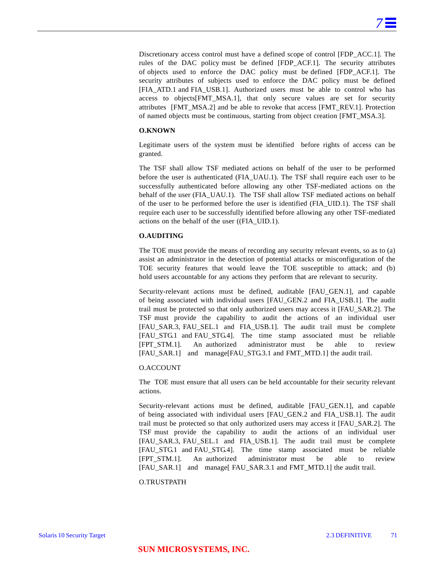Discretionary access control must have a defined scope of control [FDP\_ACC.1]. The rules of the DAC policy must be defined [FDP\_ACF.1]. The security attributes of objects used to enforce the DAC policy must be defined [FDP\_ACF.1]. The security attributes of subjects used to enforce the DAC policy must be defined [FIA\_ATD.1 and FIA\_USB.1]. Authorized users must be able to control who has access to objects[FMT\_MSA.1], that only secure values are set for security attributes [FMT\_MSA.2] and be able to revoke that access [FMT\_REV.1]. Protection of named objects must be continuous, starting from object creation [FMT\_MSA.3].

## **O.KNOWN**

Legitimate users of the system must be identified before rights of access can be granted.

The TSF shall allow TSF mediated actions on behalf of the user to be performed before the user is authenticated (FIA\_UAU.1). The TSF shall require each user to be successfully authenticated before allowing any other TSF-mediated actions on the behalf of the user (FIA\_UAU.1). The TSF shall allow TSF mediated actions on behalf of the user to be performed before the user is identified (FIA\_UID.1). The TSF shall require each user to be successfully identified before allowing any other TSF-mediated actions on the behalf of the user ((FIA\_UID.1).

## **O.AUDITING**

The TOE must provide the means of recording any security relevant events, so as to (a) assist an administrator in the detection of potential attacks or misconfiguration of the TOE security features that would leave the TOE susceptible to attack; and (b) hold users accountable for any actions they perform that are relevant to security.

Security-relevant actions must be defined, auditable [FAU\_GEN.1], and capable of being associated with individual users [FAU\_GEN.2 and FIA\_USB.1]. The audit trail must be protected so that only authorized users may access it [FAU\_SAR.2]. The TSF must provide the capability to audit the actions of an individual user [FAU\_SAR.3, FAU\_SEL.1 and FIA\_USB.1]. The audit trail must be complete [FAU\_STG.1 and FAU\_STG.4]. The time stamp associated must be reliable [FPT\_STM.1]. An authorized administrator must be able to review [FAU\_SAR.1] and manage[FAU\_STG.3.1 and FMT\_MTD.1] the audit trail.

## O.ACCOUNT

The TOE must ensure that all users can be held accountable for their security relevant actions.

Security-relevant actions must be defined, auditable [FAU\_GEN.1], and capable of being associated with individual users [FAU\_GEN.2 and FIA\_USB.1]. The audit trail must be protected so that only authorized users may access it [FAU\_SAR.2]. The TSF must provide the capability to audit the actions of an individual user [FAU\_SAR.3, FAU\_SEL.1 and FIA\_USB.1]. The audit trail must be complete [FAU\_STG.1 and FAU\_STG.4]. The time stamp associated must be reliable [FPT\_STM.1]. An authorized administrator must be able to review [FAU\_SAR.1] and manage[ FAU\_SAR.3.1 and FMT\_MTD.1] the audit trail.

O.TRUSTPATH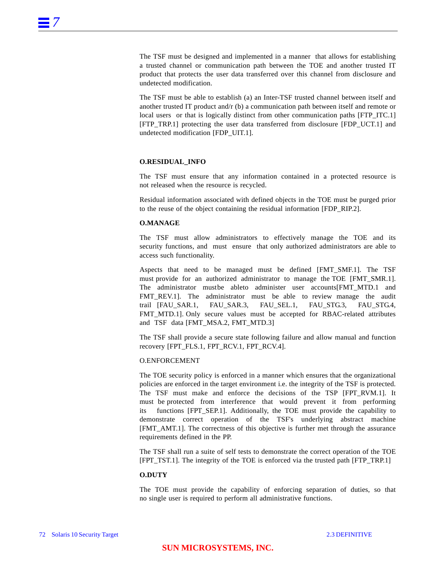The TSF must be designed and implemented in a manner that allows for establishing a trusted channel or communication path between the TOE and another trusted IT product that protects the user data transferred over this channel from disclosure and undetected modification.

The TSF must be able to establish (a) an Inter-TSF trusted channel between itself and another trusted IT product and/r (b) a communication path between itself and remote or local users or that is logically distinct from other communication paths [FTP\_ITC.1] [FTP\_TRP.1] protecting the user data transferred from disclosure [FDP\_UCT.1] and undetected modification [FDP\_UIT.1].

#### **O.RESIDUAL\_INFO**

The TSF must ensure that any information contained in a protected resource is not released when the resource is recycled.

Residual information associated with defined objects in the TOE must be purged prior to the reuse of the object containing the residual information [FDP\_RIP.2].

### **O.MANAGE**

The TSF must allow administrators to effectively manage the TOE and its security functions, and must ensure that only authorized administrators are able to access such functionality.

Aspects that need to be managed must be defined [FMT\_SMF.1]. The TSF must provide for an authorized administrator to manage the TOE [FMT\_SMR.1]. The administrator mustbe ableto administer user accounts[FMT\_MTD.1 and FMT\_REV.1]. The administrator must be able to review manage the audit trail [FAU\_SAR.1, FAU\_SAR.3, FAU\_SEL.1, FAU\_STG.3, FAU\_STG.4, FMT\_MTD.1]. Only secure values must be accepted for RBAC-related attributes and TSF data [FMT\_MSA.2, FMT\_MTD.3]

The TSF shall provide a secure state following failure and allow manual and function recovery [FPT\_FLS.1, FPT\_RCV.1, FPT\_RCV.4].

#### O.ENFORCEMENT

The TOE security policy is enforced in a manner which ensures that the organizational policies are enforced in the target environment i.e. the integrity of the TSF is protected. The TSF must make and enforce the decisions of the TSP [FPT\_RVM.1]. It must be protected from interference that would prevent it from performing its functions [FPT\_SEP.1]. Additionally, the TOE must provide the capability to demonstrate correct operation of the TSF's underlying abstract machine [FMT\_AMT.1]. The correctness of this objective is further met through the assurance requirements defined in the PP.

The TSF shall run a suite of self tests to demonstrate the correct operation of the TOE [FPT\_TST.1]. The integrity of the TOE is enforced via the trusted path [FTP\_TRP.1]

## **O.DUTY**

The TOE must provide the capability of enforcing separation of duties, so that no single user is required to perform all administrative functions.

## **SUN MICROSYSTEMS, INC.**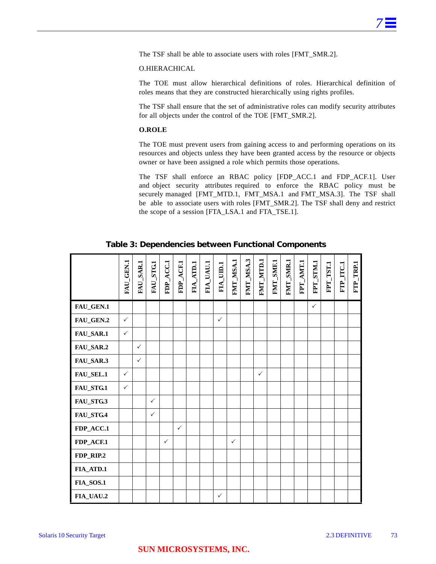The TSF shall be able to associate users with roles [FMT\_SMR.2].

O.HIERACHICAL

The TOE must allow hierarchical definitions of roles. Hierarchical definition of roles means that they are constructed hierarchically using rights profiles.

The TSF shall ensure that the set of administrative roles can modify security attributes for all objects under the control of the TOE [FMT\_SMR.2].

### **O.ROLE**

The TOE must prevent users from gaining access to and performing operations on its resources and objects unless they have been granted access by the resource or objects owner or have been assigned a role which permits those operations.

The TSF shall enforce an RBAC policy [FDP\_ACC.1 and FDP\_ACF.1]. User and object security attributes required to enforce the RBAC policy must be securely managed [FMT\_MTD.1, FMT\_MSA.1 and FMT\_MSA.3]. The TSF shall be able to associate users with roles [FMT\_SMR.2]. The TSF shall deny and restrict the scope of a session [FTA\_LSA.1 and FTA\_TSE.1].

|           | FAU_GEN.1    | FAU_SAR.1    | FAU_STG1     | FDP_ACC.1    | FDP_ACE1     | FIA_ATD.1 | FIA_UAU.1 | FIA_UID.1    | FMT_MSA.1    | FMT_MSA.3 | FMT_MTD.1    | FMT_SMF.1 | FMT_SMR.1 | FPT_AMT.1 | FPT_STM.1    | FPT_TST.1 | FTP_ITC.1 | FTP_TRP.1 |
|-----------|--------------|--------------|--------------|--------------|--------------|-----------|-----------|--------------|--------------|-----------|--------------|-----------|-----------|-----------|--------------|-----------|-----------|-----------|
| FAU_GEN.1 |              |              |              |              |              |           |           |              |              |           |              |           |           |           | $\checkmark$ |           |           |           |
| FAU_GEN.2 | $\checkmark$ |              |              |              |              |           |           | $\checkmark$ |              |           |              |           |           |           |              |           |           |           |
| FAU_SAR.1 | $\checkmark$ |              |              |              |              |           |           |              |              |           |              |           |           |           |              |           |           |           |
| FAU_SAR.2 |              | $\checkmark$ |              |              |              |           |           |              |              |           |              |           |           |           |              |           |           |           |
| FAU_SAR.3 |              | $\checkmark$ |              |              |              |           |           |              |              |           |              |           |           |           |              |           |           |           |
| FAU_SEL.1 | $\checkmark$ |              |              |              |              |           |           |              |              |           | $\checkmark$ |           |           |           |              |           |           |           |
| FAU_STG.1 | $\checkmark$ |              |              |              |              |           |           |              |              |           |              |           |           |           |              |           |           |           |
| FAU_STG.3 |              |              | $\checkmark$ |              |              |           |           |              |              |           |              |           |           |           |              |           |           |           |
| FAU_STG.4 |              |              | $\checkmark$ |              |              |           |           |              |              |           |              |           |           |           |              |           |           |           |
| FDP_ACC.1 |              |              |              |              | $\checkmark$ |           |           |              |              |           |              |           |           |           |              |           |           |           |
| FDP_ACF.1 |              |              |              | $\checkmark$ |              |           |           |              | $\checkmark$ |           |              |           |           |           |              |           |           |           |
| FDP_RIP.2 |              |              |              |              |              |           |           |              |              |           |              |           |           |           |              |           |           |           |
| FIA_ATD.1 |              |              |              |              |              |           |           |              |              |           |              |           |           |           |              |           |           |           |
| FIA_SOS.1 |              |              |              |              |              |           |           |              |              |           |              |           |           |           |              |           |           |           |
| FIA_UAU.2 |              |              |              |              |              |           |           | $\checkmark$ |              |           |              |           |           |           |              |           |           |           |

**Table 3: Dependencies between Functional Components**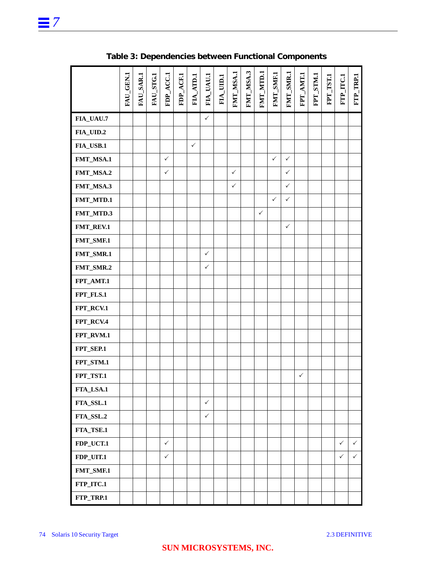|           | FAU_GEN.1 | FAU_SAR.1 | FAU_STG1 | FDP_ACC.1    | FDP_ACF.1 | FIA_ATD.1    | FIA_UAU.1    | FIA_UID.1 | FMT_MSA.1    | FMT_MSA.3 | $EMT_M11$    | FMT_SMF.1    | FMT_SMR.1    | FPT_AMT.1    | FPT_STM.1 | FPT_TST.1 | FTP_ITC.1    | FTP_TRP.1    |
|-----------|-----------|-----------|----------|--------------|-----------|--------------|--------------|-----------|--------------|-----------|--------------|--------------|--------------|--------------|-----------|-----------|--------------|--------------|
|           |           |           |          |              |           |              |              |           |              |           |              |              |              |              |           |           |              |              |
| FIA_UAU.7 |           |           |          |              |           |              | $\checkmark$ |           |              |           |              |              |              |              |           |           |              |              |
| FIA_UID.2 |           |           |          |              |           |              |              |           |              |           |              |              |              |              |           |           |              |              |
| FIA_USB.1 |           |           |          |              |           | $\checkmark$ |              |           |              |           |              |              |              |              |           |           |              |              |
| FMT_MSA.1 |           |           |          | $\checkmark$ |           |              |              |           |              |           |              | $\checkmark$ | $\checkmark$ |              |           |           |              |              |
| FMT_MSA.2 |           |           |          | $\checkmark$ |           |              |              |           | $\checkmark$ |           |              |              | $\checkmark$ |              |           |           |              |              |
| FMT_MSA.3 |           |           |          |              |           |              |              |           | $\checkmark$ |           |              |              | $\checkmark$ |              |           |           |              |              |
| FMT_MTD.1 |           |           |          |              |           |              |              |           |              |           |              | $\checkmark$ | $\checkmark$ |              |           |           |              |              |
| FMT_MTD.3 |           |           |          |              |           |              |              |           |              |           | $\checkmark$ |              |              |              |           |           |              |              |
| FMT_REV.1 |           |           |          |              |           |              |              |           |              |           |              |              | $\checkmark$ |              |           |           |              |              |
| FMT_SMF.1 |           |           |          |              |           |              |              |           |              |           |              |              |              |              |           |           |              |              |
| FMT_SMR.1 |           |           |          |              |           |              | $\checkmark$ |           |              |           |              |              |              |              |           |           |              |              |
| FMT_SMR.2 |           |           |          |              |           |              | ✓            |           |              |           |              |              |              |              |           |           |              |              |
| FPT_AMT.1 |           |           |          |              |           |              |              |           |              |           |              |              |              |              |           |           |              |              |
| FPT_FLS.1 |           |           |          |              |           |              |              |           |              |           |              |              |              |              |           |           |              |              |
| FPT_RCV.1 |           |           |          |              |           |              |              |           |              |           |              |              |              |              |           |           |              |              |
| FPT_RCV.4 |           |           |          |              |           |              |              |           |              |           |              |              |              |              |           |           |              |              |
| FPT_RVM.1 |           |           |          |              |           |              |              |           |              |           |              |              |              |              |           |           |              |              |
| FPT_SEP.1 |           |           |          |              |           |              |              |           |              |           |              |              |              |              |           |           |              |              |
| FPT_STM.1 |           |           |          |              |           |              |              |           |              |           |              |              |              |              |           |           |              |              |
| FPT_TST.1 |           |           |          |              |           |              |              |           |              |           |              |              |              | $\checkmark$ |           |           |              |              |
| FTA_LSA.1 |           |           |          |              |           |              |              |           |              |           |              |              |              |              |           |           |              |              |
| FTA_SSL.1 |           |           |          |              |           |              | $\checkmark$ |           |              |           |              |              |              |              |           |           |              |              |
| FTA_SSL.2 |           |           |          |              |           |              | $\checkmark$ |           |              |           |              |              |              |              |           |           |              |              |
| FTA_TSE.1 |           |           |          |              |           |              |              |           |              |           |              |              |              |              |           |           |              |              |
| FDP_UCT.1 |           |           |          | $\checkmark$ |           |              |              |           |              |           |              |              |              |              |           |           | $\checkmark$ | $\checkmark$ |
| FDP_UIT.1 |           |           |          | $\checkmark$ |           |              |              |           |              |           |              |              |              |              |           |           | $\checkmark$ | $\checkmark$ |
| FMT_SMF.1 |           |           |          |              |           |              |              |           |              |           |              |              |              |              |           |           |              |              |
| FTP_ITC.1 |           |           |          |              |           |              |              |           |              |           |              |              |              |              |           |           |              |              |
| FTP_TRP.1 |           |           |          |              |           |              |              |           |              |           |              |              |              |              |           |           |              |              |

**Table 3: Dependencies between Functional Components**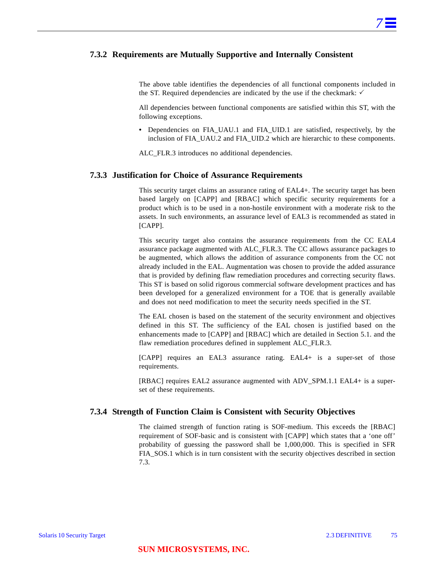## **7.3.2 Requirements are Mutually Supportive and Internally Consistent**

The above table identifies the dependencies of all functional components included in the ST. Required dependencies are indicated by the use if the checkmark:  $\checkmark$ 

All dependencies between functional components are satisfied within this ST, with the following exceptions.

**•** Dependencies on FIA\_UAU.1 and FIA\_UID.1 are satisfied, respectively, by the inclusion of FIA\_UAU.2 and FIA\_UID.2 which are hierarchic to these components.

ALC\_FLR.3 introduces no additional dependencies.

## **7.3.3 Justification for Choice of Assurance Requirements**

This security target claims an assurance rating of EAL4+. The security target has been based largely on [CAPP] and [RBAC] which specific security requirements for a product which is to be used in a non-hostile environment with a moderate risk to the assets. In such environments, an assurance level of EAL3 is recommended as stated in [CAPP].

This security target also contains the assurance requirements from the CC EAL4 assurance package augmented with ALC\_FLR.3. The CC allows assurance packages to be augmented, which allows the addition of assurance components from the CC not already included in the EAL. Augmentation was chosen to provide the added assurance that is provided by defining flaw remediation procedures and correcting security flaws. This ST is based on solid rigorous commercial software development practices and has been developed for a generalized environment for a TOE that is generally available and does not need modification to meet the security needs specified in the ST.

The EAL chosen is based on the statement of the security environment and objectives defined in this ST. The sufficiency of the EAL chosen is justified based on the enhancements made to [CAPP] and [RBAC] which are detailed in Section 5.1. and the flaw remediation procedures defined in supplement ALC\_FLR.3.

[CAPP] requires an EAL3 assurance rating. EAL4+ is a super-set of those requirements.

[RBAC] requires EAL2 assurance augmented with ADV\_SPM.1.1 EAL4+ is a superset of these requirements.

## **7.3.4 Strength of Function Claim is Consistent with Security Objectives**

The claimed strength of function rating is SOF-medium. This exceeds the [RBAC] requirement of SOF-basic and is consistent with [CAPP] which states that a 'one off' probability of guessing the password shall be 1,000,000. This is specified in SFR FIA\_SOS.1 which is in turn consistent with the security objectives described in section 7.3.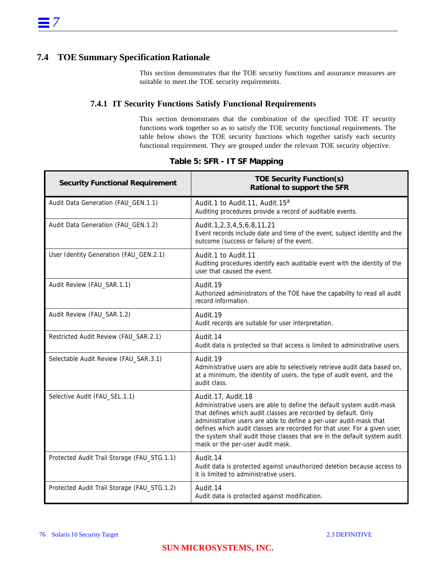## **7.4 TOE Summary Specification Rationale**

This section demonstrates that the TOE security functions and assurance measures are suitable to meet the TOE security requirements.

## **7.4.1 IT Security Functions Satisfy Functional Requirements**

This section demonstrates that the combination of the specified TOE IT security functions work together so as to satisfy the TOE security functional requirements. The table below shows the TOE security functions which together satisfy each security functional requirement. They are grouped under the relevant TOE security objective.

| <b>Security Functional Requirement</b>      | <b>TOE Security Function(s)</b><br>Rational to support the SFR                                                                                                                                                                                                                                                                                                                                                                    |
|---------------------------------------------|-----------------------------------------------------------------------------------------------------------------------------------------------------------------------------------------------------------------------------------------------------------------------------------------------------------------------------------------------------------------------------------------------------------------------------------|
| Audit Data Generation (FAU_GEN.1.1)         | Audit.1 to Audit.11, Audit.15 <sup>a</sup><br>Auditing procedures provide a record of auditable events.                                                                                                                                                                                                                                                                                                                           |
| Audit Data Generation (FAU_GEN.1.2)         | Audit.1,2,3,4,5,6,8,11,21<br>Event records include date and time of the event, subject identity and the<br>outcome (success or failure) of the event.                                                                                                                                                                                                                                                                             |
| User Identity Generation (FAU_GEN.2.1)      | Audit.1 to Audit.11<br>Auditing procedures identify each auditable event with the identity of the<br>user that caused the event.                                                                                                                                                                                                                                                                                                  |
| Audit Review (FAU_SAR.1.1)                  | Audit.19<br>Authorized administrators of the TOE have the capability to read all audit<br>record information.                                                                                                                                                                                                                                                                                                                     |
| Audit Review (FAU_SAR.1.2)                  | Audit.19<br>Audit records are suitable for user interpretation.                                                                                                                                                                                                                                                                                                                                                                   |
| Restricted Audit Review (FAU_SAR.2.1)       | Audit.14<br>Audit data is protected so that access is limited to administrative users.                                                                                                                                                                                                                                                                                                                                            |
| Selectable Audit Review (FAU_SAR.3.1)       | Audit.19<br>Administrative users are able to selectively retrieve audit data based on,<br>at a minimum, the identity of users, the type of audit event, and the<br>audit class.                                                                                                                                                                                                                                                   |
| Selective Audit (FAU_SEL.1.1)               | Audit.17, Audit.18<br>Administrative users are able to define the default system audit-mask<br>that defines which audit classes are recorded by default. Only<br>administrative users are able to define a per-user audit-mask that<br>defines which audit classes are recorded for that user. For a given user,<br>the system shall audit those classes that are in the default system audit<br>mask or the per-user audit mask. |
| Protected Audit Trail Storage (FAU_STG.1.1) | Audit.14<br>Audit data is protected against unauthorized deletion because access to<br>it is limited to administrative users.                                                                                                                                                                                                                                                                                                     |
| Protected Audit Trail Storage (FAU_STG.1.2) | Audit.14<br>Audit data is protected against modification.                                                                                                                                                                                                                                                                                                                                                                         |

**Table 5: SFR - IT SF Mapping**

## **SUN MICROSYSTEMS, INC.**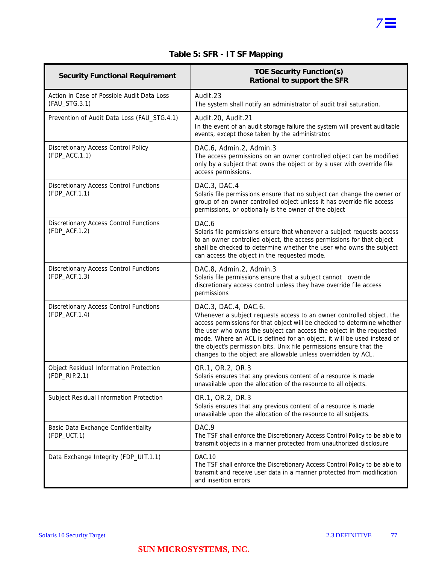## **Table 5: SFR - IT SF Mapping**

| <b>Security Functional Requirement</b>                         | <b>TOE Security Function(s)</b><br>Rational to support the SFR                                                                                                                                                                                                                                                                                                                                                                                                      |
|----------------------------------------------------------------|---------------------------------------------------------------------------------------------------------------------------------------------------------------------------------------------------------------------------------------------------------------------------------------------------------------------------------------------------------------------------------------------------------------------------------------------------------------------|
| Action in Case of Possible Audit Data Loss<br>(FAU_STG.3.1)    | Audit.23<br>The system shall notify an administrator of audit trail saturation.                                                                                                                                                                                                                                                                                                                                                                                     |
| Prevention of Audit Data Loss (FAU_STG.4.1)                    | Audit.20, Audit.21<br>In the event of an audit storage failure the system will prevent auditable<br>events, except those taken by the administrator.                                                                                                                                                                                                                                                                                                                |
| Discretionary Access Control Policy<br>(FDP_ACC.1.1)           | DAC.6, Admin.2, Admin.3<br>The access permissions on an owner controlled object can be modified<br>only by a subject that owns the object or by a user with override file<br>access permissions.                                                                                                                                                                                                                                                                    |
| <b>Discretionary Access Control Functions</b><br>(FDP_ACF.1.1) | DAC.3, DAC.4<br>Solaris file permissions ensure that no subject can change the owner or<br>group of an owner controlled object unless it has override file access<br>permissions, or optionally is the owner of the object                                                                                                                                                                                                                                          |
| <b>Discretionary Access Control Functions</b><br>(FDP_ACF.1.2) | DAC.6<br>Solaris file permissions ensure that whenever a subject requests access<br>to an owner controlled object, the access permissions for that object<br>shall be checked to determine whether the user who owns the subject<br>can access the object in the requested mode.                                                                                                                                                                                    |
| <b>Discretionary Access Control Functions</b><br>(FDP_ACF.1.3) | DAC.8, Admin.2, Admin.3<br>Solaris file permissions ensure that a subject cannot override<br>discretionary access control unless they have override file access<br>permissions                                                                                                                                                                                                                                                                                      |
| <b>Discretionary Access Control Functions</b><br>(FDP_ACF.1.4) | DAC.3, DAC.4, DAC.6.<br>Whenever a subject requests access to an owner controlled object, the<br>access permissions for that object will be checked to determine whether<br>the user who owns the subject can access the object in the requested<br>mode. Where an ACL is defined for an object, it will be used instead of<br>the object's permission bits. Unix file permissions ensure that the<br>changes to the object are allowable unless overridden by ACL. |
| Object Residual Information Protection<br>(FDP_RIP.2.1)        | OR.1, OR.2, OR.3<br>Solaris ensures that any previous content of a resource is made<br>unavailable upon the allocation of the resource to all objects.                                                                                                                                                                                                                                                                                                              |
| Subject Residual Information Protection                        | OR.1, OR.2, OR.3<br>Solaris ensures that any previous content of a resource is made<br>unavailable upon the allocation of the resource to all subjects.                                                                                                                                                                                                                                                                                                             |
| Basic Data Exchange Confidentiality<br>(FDP_UCT.1)             | DAC.9<br>The TSF shall enforce the Discretionary Access Control Policy to be able to<br>transmit objects in a manner protected from unauthorized disclosure                                                                                                                                                                                                                                                                                                         |
| Data Exchange Integrity (FDP_UIT.1.1)                          | <b>DAC.10</b><br>The TSF shall enforce the Discretionary Access Control Policy to be able to<br>transmit and receive user data in a manner protected from modification<br>and insertion errors                                                                                                                                                                                                                                                                      |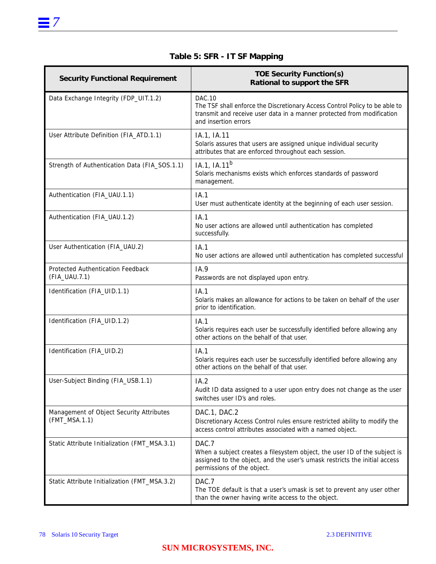| Table 5: SFR - IT SF Mapping |  |  |  |  |  |  |  |  |
|------------------------------|--|--|--|--|--|--|--|--|
|------------------------------|--|--|--|--|--|--|--|--|

| <b>Security Functional Requirement</b>                    | <b>TOE Security Function(s)</b><br>Rational to support the SFR                                                                                                                                |
|-----------------------------------------------------------|-----------------------------------------------------------------------------------------------------------------------------------------------------------------------------------------------|
| Data Exchange Integrity (FDP_UIT.1.2)                     | DAC.10<br>The TSF shall enforce the Discretionary Access Control Policy to be able to<br>transmit and receive user data in a manner protected from modification<br>and insertion errors       |
| User Attribute Definition (FIA_ATD.1.1)                   | IA.1, IA.11<br>Solaris assures that users are assigned unique individual security<br>attributes that are enforced throughout each session.                                                    |
| Strength of Authentication Data (FIA_SOS.1.1)             | IA.1, IA.11 <sup>b</sup><br>Solaris mechanisms exists which enforces standards of password<br>management.                                                                                     |
| Authentication (FIA_UAU.1.1)                              | IA.1<br>User must authenticate identity at the beginning of each user session.                                                                                                                |
| Authentication (FIA_UAU.1.2)                              | IA.1<br>No user actions are allowed until authentication has completed<br>successfully.                                                                                                       |
| User Authentication (FIA_UAU.2)                           | IA.1<br>No user actions are allowed until authentication has completed successful                                                                                                             |
| Protected Authentication Feedback<br>(FIA_UAU.7.1)        | IA.9<br>Passwords are not displayed upon entry.                                                                                                                                               |
| Identification (FIA_UID.1.1)                              | IA.1<br>Solaris makes an allowance for actions to be taken on behalf of the user<br>prior to identification.                                                                                  |
| Identification (FIA_UID.1.2)                              | IA.1<br>Solaris requires each user be successfully identified before allowing any<br>other actions on the behalf of that user.                                                                |
| Identification (FIA_UID.2)                                | IA.1<br>Solaris requires each user be successfully identified before allowing any<br>other actions on the behalf of that user.                                                                |
| User-Subject Binding (FIA_USB.1.1)                        | IA.2<br>Audit ID data assigned to a user upon entry does not change as the user<br>switches user ID's and roles.                                                                              |
| Management of Object Security Attributes<br>(FMT_MSA.1.1) | DAC.1, DAC.2<br>Discretionary Access Control rules ensure restricted ability to modify the<br>access control attributes associated with a named object.                                       |
| Static Attribute Initialization (FMT_MSA.3.1)             | DAC.7<br>When a subject creates a filesystem object, the user ID of the subject is<br>assigned to the object, and the user's umask restricts the initial access<br>permissions of the object. |
| Static Attribute Initialization (FMT_MSA.3.2)             | DAC.7<br>The TOE default is that a user's umask is set to prevent any user other<br>than the owner having write access to the object.                                                         |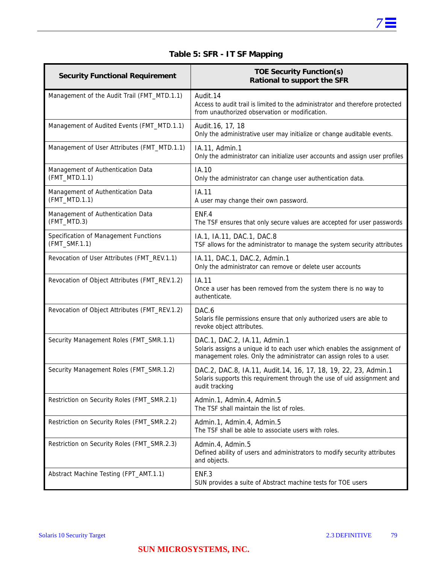## **Table 5: SFR - IT SF Mapping**

| <b>Security Functional Requirement</b>                 | <b>TOE Security Function(s)</b><br>Rational to support the SFR                                                                                                                   |
|--------------------------------------------------------|----------------------------------------------------------------------------------------------------------------------------------------------------------------------------------|
| Management of the Audit Trail (FMT_MTD.1.1)            | Audit.14<br>Access to audit trail is limited to the administrator and therefore protected<br>from unauthorized observation or modification.                                      |
| Management of Audited Events (FMT_MTD.1.1)             | Audit. 16, 17, 18<br>Only the administrative user may initialize or change auditable events.                                                                                     |
| Management of User Attributes (FMT_MTD.1.1)            | IA.11, Admin.1<br>Only the administrator can initialize user accounts and assign user profiles                                                                                   |
| Management of Authentication Data<br>(FMT_MTD.1.1)     | IA.10<br>Only the administrator can change user authentication data.                                                                                                             |
| Management of Authentication Data<br>$(FMT_MTD.1.1)$   | IA.11<br>A user may change their own password.                                                                                                                                   |
| Management of Authentication Data<br>(FMT_MTD.3)       | ENF.4<br>The TSF ensures that only secure values are accepted for user passwords                                                                                                 |
| Specification of Management Functions<br>(FMT_SMF.1.1) | IA.1, IA.11, DAC.1, DAC.8<br>TSF allows for the administrator to manage the system security attributes                                                                           |
| Revocation of User Attributes (FMT_REV.1.1)            | IA.11, DAC.1, DAC.2, Admin.1<br>Only the administrator can remove or delete user accounts                                                                                        |
| Revocation of Object Attributes (FMT_REV.1.2)          | IA.11<br>Once a user has been removed from the system there is no way to<br>authenticate.                                                                                        |
| Revocation of Object Attributes (FMT_REV.1.2)          | DAC.6<br>Solaris file permissions ensure that only authorized users are able to<br>revoke object attributes.                                                                     |
| Security Management Roles (FMT_SMR.1.1)                | DAC.1, DAC.2, IA.11, Admin.1<br>Solaris assigns a unique id to each user which enables the assignment of<br>management roles. Only the administrator can assign roles to a user. |
| Security Management Roles (FMT_SMR.1.2)                | DAC.2, DAC.8, IA.11, Audit.14, 16, 17, 18, 19, 22, 23, Admin.1<br>Solaris supports this requirement through the use of uid assignment and<br>audit tracking                      |
| Restriction on Security Roles (FMT_SMR.2.1)            | Admin.1, Admin.4, Admin.5<br>The TSF shall maintain the list of roles.                                                                                                           |
| Restriction on Security Roles (FMT_SMR.2.2)            | Admin.1, Admin.4, Admin.5<br>The TSF shall be able to associate users with roles.                                                                                                |
| Restriction on Security Roles (FMT_SMR.2.3)            | Admin.4, Admin.5<br>Defined ability of users and administrators to modify security attributes<br>and objects.                                                                    |
| Abstract Machine Testing (FPT_AMT.1.1)                 | ENF.3<br>SUN provides a suite of Abstract machine tests for TOE users                                                                                                            |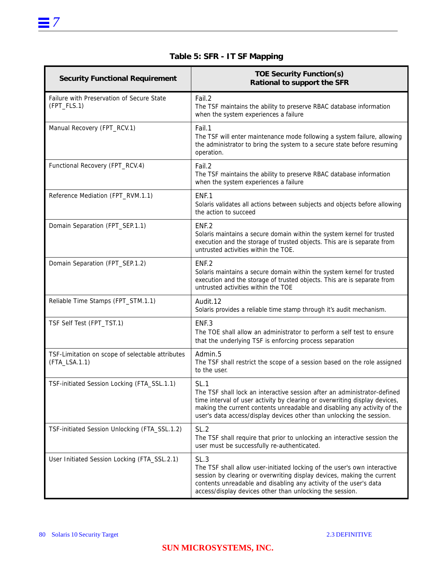| Table 5: SFR - IT SF Mapping |  |  |  |  |  |  |  |  |
|------------------------------|--|--|--|--|--|--|--|--|
|------------------------------|--|--|--|--|--|--|--|--|

| <b>Security Functional Requirement</b>                            | <b>TOE Security Function(s)</b><br>Rational to support the SFR                                                                                                                                                                                                                                                     |
|-------------------------------------------------------------------|--------------------------------------------------------------------------------------------------------------------------------------------------------------------------------------------------------------------------------------------------------------------------------------------------------------------|
| Failure with Preservation of Secure State<br>(FPT_FLS.1)          | Fail.2<br>The TSF maintains the ability to preserve RBAC database information<br>when the system experiences a failure                                                                                                                                                                                             |
| Manual Recovery (FPT_RCV.1)                                       | Fail.1<br>The TSF will enter maintenance mode following a system failure, allowing<br>the administrator to bring the system to a secure state before resuming<br>operation.                                                                                                                                        |
| Functional Recovery (FPT_RCV.4)                                   | Fail.2<br>The TSF maintains the ability to preserve RBAC database information<br>when the system experiences a failure                                                                                                                                                                                             |
| Reference Mediation (FPT_RVM.1.1)                                 | ENF.1<br>Solaris validates all actions between subjects and objects before allowing<br>the action to succeed                                                                                                                                                                                                       |
| Domain Separation (FPT_SEP.1.1)                                   | ENF.2<br>Solaris maintains a secure domain within the system kernel for trusted<br>execution and the storage of trusted objects. This are is separate from<br>untrusted activities within the TOE.                                                                                                                 |
| Domain Separation (FPT_SEP.1.2)                                   | ENF <sub>.2</sub><br>Solaris maintains a secure domain within the system kernel for trusted<br>execution and the storage of trusted objects. This are is separate from<br>untrusted activities within the TOE                                                                                                      |
| Reliable Time Stamps (FPT_STM.1.1)                                | Audit.12<br>Solaris provides a reliable time stamp through it's audit mechanism.                                                                                                                                                                                                                                   |
| TSF Self Test (FPT_TST.1)                                         | ENF.3<br>The TOE shall allow an administrator to perform a self test to ensure<br>that the underlying TSF is enforcing process separation                                                                                                                                                                          |
| TSF-Limitation on scope of selectable attributes<br>(FTA_LSA.1.1) | Admin.5<br>The TSF shall restrict the scope of a session based on the role assigned<br>to the user.                                                                                                                                                                                                                |
| TSF-initiated Session Locking (FTA_SSL.1.1)                       | SL.1<br>The TSF shall lock an interactive session after an administrator-defined<br>time interval of user activity by clearing or overwriting display devices,<br>making the current contents unreadable and disabling any activity of the<br>user's data access/display devices other than unlocking the session. |
| TSF-initiated Session Unlocking (FTA_SSL.1.2)                     | SL.2<br>The TSF shall require that prior to unlocking an interactive session the<br>user must be successfully re-authenticated.                                                                                                                                                                                    |
| User Initiated Session Locking (FTA_SSL.2.1)                      | SL.3<br>The TSF shall allow user-initiated locking of the user's own interactive<br>session by clearing or overwriting display devices, making the current<br>contents unreadable and disabling any activity of the user's data<br>access/display devices other than unlocking the session.                        |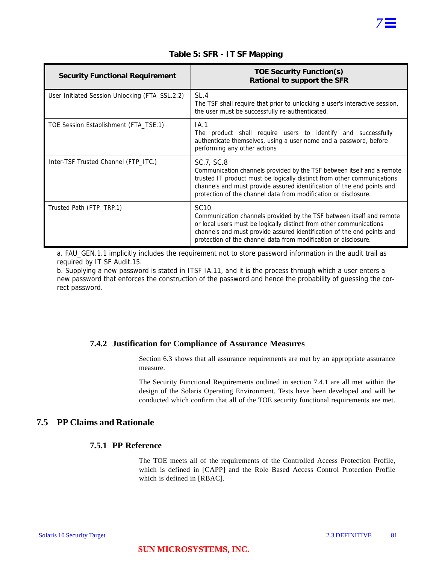## **Table 5: SFR - IT SF Mapping**

| <b>Security Functional Requirement</b>         | <b>TOE Security Function(s)</b><br>Rational to support the SFR                                                                                                                                                                                                                                               |
|------------------------------------------------|--------------------------------------------------------------------------------------------------------------------------------------------------------------------------------------------------------------------------------------------------------------------------------------------------------------|
| User Initiated Session Unlocking (FTA_SSL.2.2) | SL.4<br>The TSF shall require that prior to unlocking a user's interactive session,<br>the user must be successfully re-authenticated.                                                                                                                                                                       |
| TOE Session Establishment (FTA_TSE.1)          | IA.1<br>The product shall require users to identify and successfully<br>authenticate themselves, using a user name and a password, before<br>performing any other actions                                                                                                                                    |
| Inter-TSF Trusted Channel (FTP_ITC.)           | SC.7, SC.8<br>Communication channels provided by the TSF between itself and a remote<br>trusted IT product must be logically distinct from other communications<br>channels and must provide assured identification of the end points and<br>protection of the channel data from modification or disclosure. |
| Trusted Path (FTP_TRP.1)                       | <b>SC10</b><br>Communication channels provided by the TSF between itself and remote<br>or local users must be logically distinct from other communications<br>channels and must provide assured identification of the end points and<br>protection of the channel data from modification or disclosure.      |

a. FAU\_GEN.1.1 implicitly includes the requirement not to store password information in the audit trail as required by IT SF Audit.15.

b. Supplying a new password is stated in ITSF IA.11, and it is the process through which a user enters a new password that enforces the construction of the password and hence the probability of guessing the correct password.

## **7.4.2 Justification for Compliance of Assurance Measures**

Section [6.3](#page-56-0) shows that all assurance requirements are met by an appropriate assurance measure.

The Security Functional Requirements outlined in section 7.4.1 are all met within the design of the Solaris Operating Environment. Tests have been developed and will be conducted which confirm that all of the TOE security functional requirements are met.

## **7.5 PP Claims and Rationale**

## **7.5.1 PP Reference**

The TOE meets all of the requirements of the Controlled Access Protection Profile, which is defined in [CAPP] and the Role Based Access Control Protection Profile which is defined in [RBAC].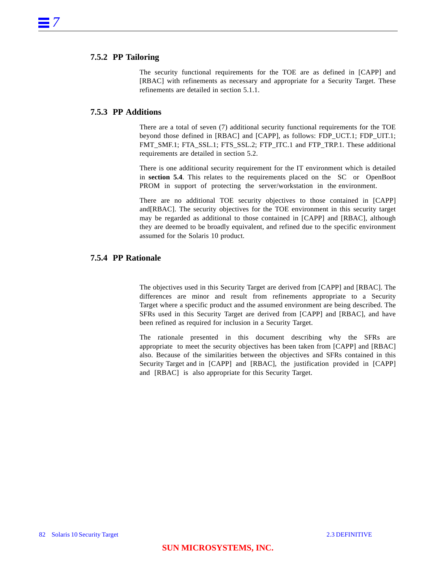## **7.5.2 PP Tailoring**

The security functional requirements for the TOE are as defined in [CAPP] and [RBAC] with refinements as necessary and appropriate for a Security Target. These refinements are detailed in section [5.1.1](#page-39-0).

## **7.5.3 PP Additions**

There are a total of seven (7) additional security functional requirements for the TOE beyond those defined in [RBAC] and [CAPP], as follows: FDP\_UCT.1; FDP\_UIT.1; FMT\_SMF.1; FTA\_SSL.1; FTS\_SSL.2; FTP\_ITC.1 and FTP\_TRP.1. These additional requirements are detailed in section 5.2.

There is one additional security requirement for the IT environment which is detailed in **section 5.4**. This relates to the requirements placed on the SC or OpenBoot PROM in support of protecting the server/workstation in the environment.

There are no additional TOE security objectives to those contained in [CAPP] and[RBAC]. The security objectives for the TOE environment in this security target may be regarded as additional to those contained in [CAPP] and [RBAC], although they are deemed to be broadly equivalent, and refined due to the specific environment assumed for the Solaris 10 product.

## **7.5.4 PP Rationale**

The objectives used in this Security Target are derived from [CAPP] and [RBAC]. The differences are minor and result from refinements appropriate to a Security Target where a specific product and the assumed environment are being described. The SFRs used in this Security Target are derived from [CAPP] and [RBAC], and have been refined as required for inclusion in a Security Target.

The rationale presented in this document describing why the SFRs are appropriate to meet the security objectives has been taken from [CAPP] and [RBAC] also. Because of the similarities between the objectives and SFRs contained in this Security Target and in [CAPP] and [RBAC], the justification provided in [CAPP] and [RBAC] is also appropriate for this Security Target.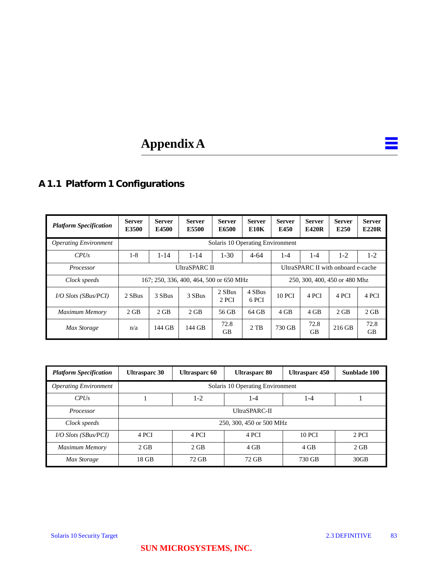# **Appendix A**

# **A 1.1 Platform 1 Configurations**

| <b>Platform Specification</b> | <b>Server</b><br>E3500 | <b>Server</b><br>E4500                                     | <b>Server</b><br>E5500                  | <b>Server</b><br>E6500 | <b>Server</b><br><b>E10K</b> | <b>Server</b><br>E450 | <b>Server</b><br><b>E420R</b> | <b>Server</b><br>E <sub>250</sub> | <b>Server</b><br><b>E220R</b> |  |
|-------------------------------|------------------------|------------------------------------------------------------|-----------------------------------------|------------------------|------------------------------|-----------------------|-------------------------------|-----------------------------------|-------------------------------|--|
| <b>Operating Environment</b>  |                        | Solaris 10 Operating Environment                           |                                         |                        |                              |                       |                               |                                   |                               |  |
| CPUS                          | $1 - 8$                | $1 - 14$                                                   | $1 - 14$                                | $1 - 30$               | $4 - 64$                     | $1-4$                 | $1 - 4$                       | $1 - 2$                           | $1 - 2$                       |  |
| Processor                     |                        | <b>UltraSPARC II</b><br>UltraSPARC II with onboard e-cache |                                         |                        |                              |                       |                               |                                   |                               |  |
| Clock speeds                  |                        |                                                            | 167; 250, 336, 400, 464, 500 or 650 MHz |                        |                              |                       |                               | 250, 300, 400, 450 or 480 Mhz     |                               |  |
| I/O Slots (SBus/PCI)          | 2 SBus                 | 3 SBus                                                     | 3 SBus                                  | 2 SBus<br>2 PCI        | 4 SBus<br>6 PCI              | <b>10 PCI</b>         | 4 PCI                         | 4 PCI                             | 4 PCI                         |  |
| Maximum Memory                | 2 GB                   | 2 GB                                                       | 2 GB                                    | 56 GB                  | 64 GB                        | $4$ GB                | $4$ GB                        | 2 GB                              | 2 GB                          |  |
| Max Storage                   | n/a                    | 144 GB                                                     | 144 GB                                  | 72.8<br>GВ             | $2$ TB                       | 730 GB                | 72.8<br>GВ                    | 216 GB                            | 72.8<br>GВ                    |  |

| <b>Platform Specification</b> | <b>Ultrasparc 30</b>             | <b>Ultrasparc 60</b> | <b>Ultrasparc 80</b>     | <b>Ultrasparc</b> 450 | Sunblade 100 |  |  |  |  |  |  |
|-------------------------------|----------------------------------|----------------------|--------------------------|-----------------------|--------------|--|--|--|--|--|--|
| <b>Operating Environment</b>  | Solaris 10 Operating Environment |                      |                          |                       |              |  |  |  |  |  |  |
| $\mathcal{C}$ <i>PUs</i>      |                                  | 1-2                  | 1-4                      | 1-4                   |              |  |  |  |  |  |  |
| Processor                     |                                  | UltraSPARC-II        |                          |                       |              |  |  |  |  |  |  |
| Clock speeds                  |                                  |                      | 250, 300, 450 or 500 MHz |                       |              |  |  |  |  |  |  |
| $I/O$ Slots (SBus/PCI)        | 4 PCI                            | 4 PCI                | 4 PCI                    | 10 PCI                | 2 PCI        |  |  |  |  |  |  |
| Maximum Memory                | $2$ GB                           | $2$ GB               | $4$ GB                   | $4$ GB                | $2$ GB       |  |  |  |  |  |  |
| Max Storage                   | 18 GB                            | 72 GB                | 72 GB                    | 730 GB                | 30GB         |  |  |  |  |  |  |

 $\equiv$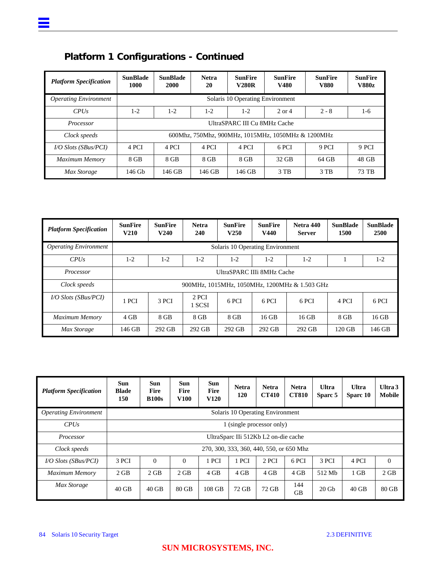|  |  | <b>Platform 1 Configurations - Continued</b> |  |  |
|--|--|----------------------------------------------|--|--|
|--|--|----------------------------------------------|--|--|

| <b>Platform Specification</b> | <b>SunBlade</b><br>1000 | <b>SunBlade</b><br>2000          | <b>Netra</b><br>20 | <b>SunFire</b><br><b>V280R</b> | <b>SunFire</b><br><b>V480</b>                      | <b>SunFire</b><br><b>V880</b> | <b>SunFire</b><br><b>V880z</b> |  |  |  |  |  |
|-------------------------------|-------------------------|----------------------------------|--------------------|--------------------------------|----------------------------------------------------|-------------------------------|--------------------------------|--|--|--|--|--|
| <b>Operating Environment</b>  |                         | Solaris 10 Operating Environment |                    |                                |                                                    |                               |                                |  |  |  |  |  |
| $\mathcal{C}$ <i>PUs</i>      | $1-2$                   | $1-2$                            | $1-2$              | $1-2$                          | $2$ or $4$                                         | $2 - 8$                       | $1-6$                          |  |  |  |  |  |
| Processor                     |                         | UltraSPARC III Cu 8MHz Cache     |                    |                                |                                                    |                               |                                |  |  |  |  |  |
| Clock speeds                  |                         |                                  |                    |                                | 600Mhz, 750Mhz, 900MHz, 1015MHz, 1050MHz & 1200MHz |                               |                                |  |  |  |  |  |
| I/O Slots (SBus/PCI)          | 4 PCI                   | 4 PCI                            | 4 PCI              | 4 PCI                          | 6 PCI                                              | 9 PCI                         | 9 PCI                          |  |  |  |  |  |
| Maximum Memory                | 8 GB                    | $8$ GB                           | $8$ GB             | 8 GB                           | 32 GB                                              | 64 GB                         | 48 GB                          |  |  |  |  |  |
| Max Storage                   | $146$ Gb                | 146 GB                           | 146 GB             | 146 GB                         | $3$ TB                                             | $3$ TB                        | 73 TB                          |  |  |  |  |  |

| <b>Platform Specification</b> | <b>SunFire</b><br><b>V210</b> | <b>SunFire</b><br>V240           | <b>Netra</b><br><b>240</b> | <b>SunFire</b><br>V250 | <b>SunFire</b><br>V440 | Netra 440<br><b>Server</b>                    | <b>SunBlade</b><br>1500 | <b>SunBlade</b><br>2500 |  |  |  |  |
|-------------------------------|-------------------------------|----------------------------------|----------------------------|------------------------|------------------------|-----------------------------------------------|-------------------------|-------------------------|--|--|--|--|
| <b>Operating Environment</b>  |                               | Solaris 10 Operating Environment |                            |                        |                        |                                               |                         |                         |  |  |  |  |
| $\mathcal{C}\mathit{PUs}$     | $1-2$                         | $1-2$                            | $1-2$                      | $1-2$                  | $1-2$                  | $1-2$                                         |                         | $1-2$                   |  |  |  |  |
| Processor                     |                               | UltraSPARC IIIi 8MHz Cache       |                            |                        |                        |                                               |                         |                         |  |  |  |  |
| Clock speeds                  |                               |                                  |                            |                        |                        | 900MHz, 1015MHz, 1050MHz, 1200MHz & 1.503 GHz |                         |                         |  |  |  |  |
| $I/O$ Slots (SBus/PCI)        | 1 PCI                         | 3 PCI                            | 2 PCI<br>1 SCSI-           | 6 PCI                  | 6 PCI                  | 6 PCI                                         | 4 PCI                   | 6 PCI                   |  |  |  |  |
| Maximum Memory                | $4$ GB                        | $8$ GB                           | $8$ GB                     | $8$ GB                 | 16 GB                  | $16$ GB                                       | $8$ GB                  | 16 GB                   |  |  |  |  |
| Max Storage                   | 146 GB                        | 292 GB                           | 292 GB                     | 292 GB                 | 292 GB                 | 292 GB                                        | $120$ GB                | 146 GB                  |  |  |  |  |

| <b>Platform Specification</b> | <b>Sun</b><br><b>Blade</b><br>150 | <b>Sun</b><br><b>Fire</b><br><b>B100s</b> | <b>Sun</b><br><b>Fire</b><br><b>V100</b> | <b>Sun</b><br><b>Fire</b><br>V <sub>120</sub> | <b>Netra</b><br>120 | <b>Netra</b><br>CT410                    | <b>Netra</b><br><b>CT810</b> | <b>Ultra</b><br>Sparc 5 | <b>Ultra</b><br>Sparc 10 | Ultra 3<br><b>Mobile</b> |
|-------------------------------|-----------------------------------|-------------------------------------------|------------------------------------------|-----------------------------------------------|---------------------|------------------------------------------|------------------------------|-------------------------|--------------------------|--------------------------|
| <b>Operating Environment</b>  |                                   | Solaris 10 Operating Environment          |                                          |                                               |                     |                                          |                              |                         |                          |                          |
| $\mathcal{C}$ <i>PUs</i>      |                                   | 1 (single processor only)                 |                                          |                                               |                     |                                          |                              |                         |                          |                          |
| Processor                     |                                   | UltraSparc IIi 512Kb L2 on-die cache      |                                          |                                               |                     |                                          |                              |                         |                          |                          |
| Clock speeds                  |                                   |                                           |                                          |                                               |                     | 270, 300, 333, 360, 440, 550, or 650 Mhz |                              |                         |                          |                          |
| I/O Slots (SBus/PCI)          | 3 PCI                             | $\Omega$                                  | $\Omega$                                 | 1 PCI                                         | 1 PCI               | 2 PCI                                    | 6 PCI                        | 3 PCI                   | 4 PCI                    | $\overline{0}$           |
| Maximum Memory                | $2$ GB                            | 2 GB                                      | 2 GB                                     | $4$ GB                                        | $4$ GB              | $4$ GB                                   | $4$ GB                       | 512 Mb                  | $1$ GB                   | 2 GB                     |
| Max Storage                   | $40$ GB                           | $40$ GB                                   | 80 GB                                    | $108$ GB                                      | 72 GB               | 72 GB                                    | 144<br>GB.                   | $20$ Gb                 | $40$ GB                  | $80$ GB                  |

## **SUN MICROSYSTEMS, INC.**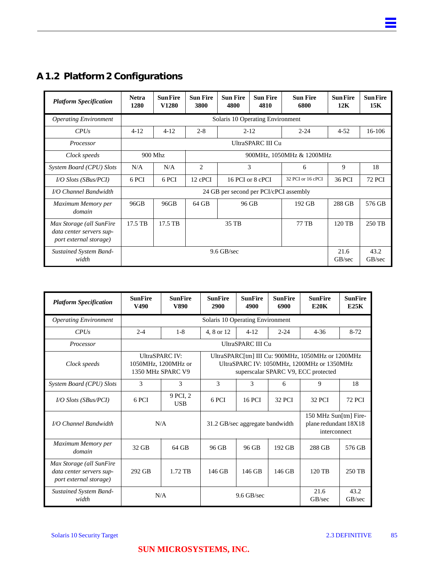| <b>Platform Specification</b>                                                  | <b>Netra</b><br>1280 | <b>Sun Fire</b><br>V1280 | <b>Sun Fire</b><br>3800                  | <b>Sun Fire</b><br>4800                | <b>Sun Fire</b><br>4810 | <b>Sun Fire</b><br>6800   | <b>Sun Fire</b><br>12K | <b>Sun Fire</b><br>15K |
|--------------------------------------------------------------------------------|----------------------|--------------------------|------------------------------------------|----------------------------------------|-------------------------|---------------------------|------------------------|------------------------|
| <b>Operating Environment</b>                                                   |                      |                          |                                          | Solaris 10 Operating Environment       |                         |                           |                        |                        |
| CPUS                                                                           | $4 - 12$             | $4 - 12$                 | $2 - 8$                                  |                                        | $2 - 12$                | $2 - 24$                  | $4 - 52$               | 16-106                 |
| Processor                                                                      |                      |                          |                                          |                                        | UltraSPARC III Cu       |                           |                        |                        |
| Clock speeds                                                                   |                      | 900 Mhz                  |                                          |                                        |                         | 900MHz, 1050MHz & 1200MHz |                        |                        |
| System Board (CPU) Slots                                                       | N/A                  | N/A                      | $\overline{c}$                           | 3                                      |                         | 6                         | 9                      | 18                     |
| I/O Slots (SBus/PCI)                                                           | 6 PCI                | 6 PCI                    | 12 cPCI                                  |                                        | 16 PCI or 8 cPCI        | 32 PCI or 16 cPCI         | 36 PCI                 | <b>72 PCI</b>          |
| <b>I/O Channel Bandwidth</b>                                                   |                      |                          |                                          | 24 GB per second per PCI/cPCI assembly |                         |                           |                        |                        |
| Maximum Memory per<br>domain                                                   | 96GB                 | 96GB                     | 64 GB                                    | 96 GB                                  |                         | 192 GB                    | 288 GB                 | 576 GB                 |
| Max Storage (all SunFire<br>data center servers sup-<br>port external storage) | 17.5 TB              | 17.5 TB                  | 35 TB<br>77 TB                           |                                        |                         | 120 TB                    | 250 TB                 |                        |
| Sustained System Band-<br>width                                                |                      |                          | $9.6$ GB/sec<br>21.6<br>GB/sec<br>GB/sec |                                        |                         |                           |                        |                        |

## **A 1.2 Platform 2 Configurations**

| <b>Platform Specification</b>                                                  | <b>SunFire</b><br>V490 | <b>SunFire</b><br><b>V890</b>                                                                                                                                                                               | <b>SunFire</b><br>2900 | <b>SunFire</b><br>4900          | <b>SunFire</b><br>6900 | <b>SunFire</b><br>E20K                                         | <b>SunFire</b><br>E25K |  |  |  |
|--------------------------------------------------------------------------------|------------------------|-------------------------------------------------------------------------------------------------------------------------------------------------------------------------------------------------------------|------------------------|---------------------------------|------------------------|----------------------------------------------------------------|------------------------|--|--|--|
| <b>Operating Environment</b>                                                   |                        | Solaris 10 Operating Environment                                                                                                                                                                            |                        |                                 |                        |                                                                |                        |  |  |  |
| $\mathcal{C}$ <i>PUs</i>                                                       | $2 - 4$                | $1 - 8$                                                                                                                                                                                                     | 4, 8 or 12             | $4 - 12$                        | $2 - 24$               | $4 - 36$                                                       | $8 - 72$               |  |  |  |
| Processor                                                                      |                        | UltraSPARC III Cu                                                                                                                                                                                           |                        |                                 |                        |                                                                |                        |  |  |  |
| Clock speeds                                                                   |                        | <b>UltraSPARC IV:</b><br>UltraSPARC[tm] III Cu: 900MHz, 1050MHz or 1200MHz<br>UltraSPARC IV: 1050MHz, 1200MHz or 1350MHz<br>1050MHz, 1200MHz or<br>1350 MHz SPARC V9<br>superscalar SPARC V9, ECC protected |                        |                                 |                        |                                                                |                        |  |  |  |
| System Board (CPU) Slots                                                       | 3                      | 3                                                                                                                                                                                                           | 3                      | 3                               | 6                      | 9                                                              | 18                     |  |  |  |
| I/O Slots (SBus/PCI)                                                           | 6 PCI                  | 9 PCI, 2<br><b>USB</b>                                                                                                                                                                                      | 6 PCI                  | <b>16 PCI</b>                   | <b>32 PCI</b>          | 32 PCI                                                         | <b>72 PCI</b>          |  |  |  |
| <b>I/O Channel Bandwidth</b>                                                   |                        | N/A                                                                                                                                                                                                         |                        | 31.2 GB/sec aggregate bandwidth |                        | 150 MHz Sun[tm] Fire-<br>plane redundant 18X18<br>interconnect |                        |  |  |  |
| Maximum Memory per<br>domain                                                   | 32 GB                  | 64 GB                                                                                                                                                                                                       | 96 GB                  | 96 GB                           | 192 GB                 | 288 GB                                                         | 576 GB                 |  |  |  |
| Max Storage (all SunFire<br>data center servers sup-<br>port external storage) | 292 GB                 | 1.72 TB                                                                                                                                                                                                     | 146 GB                 | 146 GB                          | 146 GB                 | 120 TB                                                         | 250 TB                 |  |  |  |
| <b>Sustained System Band-</b><br>width                                         |                        | N/A                                                                                                                                                                                                         |                        | $9.6$ GB/sec                    | 21.6<br>GB/sec         | 43.2<br>GB/sec                                                 |                        |  |  |  |